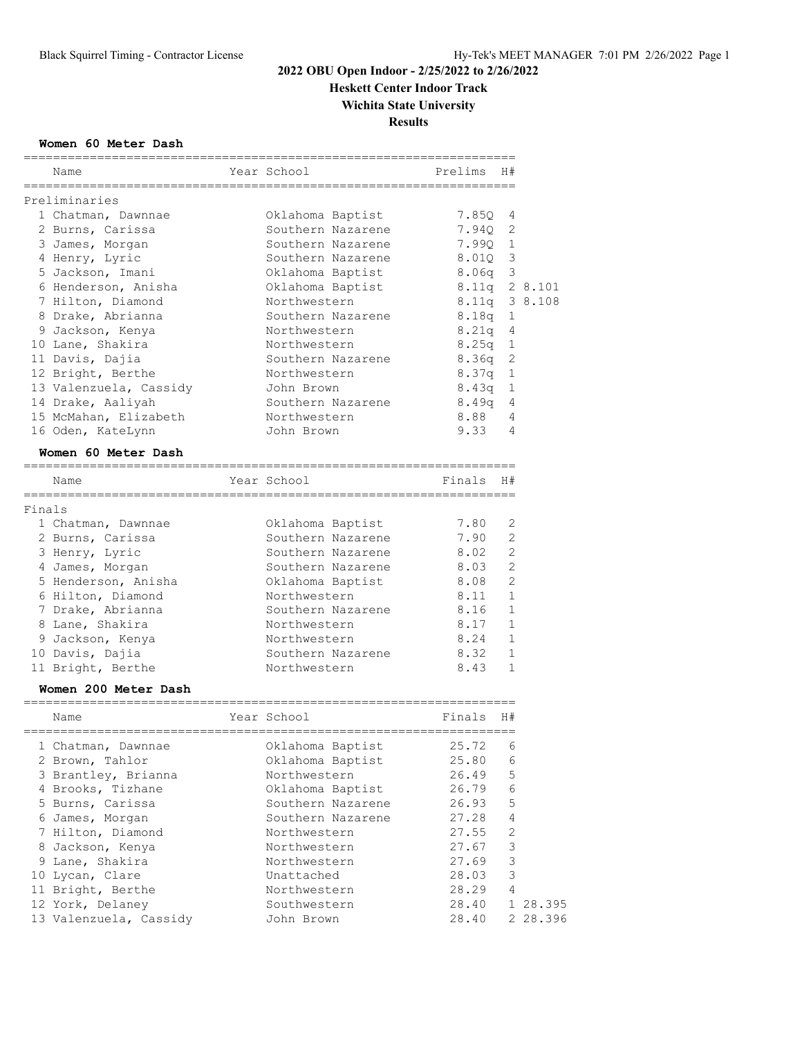**Heskett Center Indoor Track**

**Wichita State University**

**Results**

## **Women 60 Meter Dash**

|        | Name                                | Year School       | Prelims                | H#             |               |
|--------|-------------------------------------|-------------------|------------------------|----------------|---------------|
|        | Preliminaries                       |                   |                        |                |               |
|        | 1 Chatman, Dawnnae                  | Oklahoma Baptist  | 7.85Q                  | 4              |               |
|        | 2 Burns, Carissa                    | Southern Nazarene | 7.94Q                  | 2              |               |
|        | 3 James, Morgan                     | Southern Nazarene | 7.99Q 1                |                |               |
|        | 4 Henry, Lyric                      | Southern Nazarene | 8.01Q 3                |                |               |
|        | 5 Jackson, Imani                    | Oklahoma Baptist  | $8.06q$ 3              |                |               |
|        | 6 Henderson, Anisha                 | Oklahoma Baptist  |                        |                | 8.11q 2 8.101 |
|        | 7 Hilton, Diamond                   | Northwestern      |                        |                | 8.11q 3 8.108 |
|        | 8 Drake, Abrianna                   | Southern Nazarene | 8.18q                  | 1              |               |
|        | 9 Jackson, Kenya                    | Northwestern      | 8.21q                  | 4              |               |
|        | 10 Lane, Shakira                    | Northwestern      | $8.25q$ 1              |                |               |
|        | 11 Davis, Dajia                     | Southern Nazarene | 8.36q                  | 2              |               |
|        | 12 Bright, Berthe                   | Northwestern      | 8.37q                  | $\mathbf{1}$   |               |
|        | 13 Valenzuela, Cassidy              | John Brown        | 8.43q                  | 1              |               |
|        | 14 Drake, Aaliyah                   | Southern Nazarene | 8.49q                  | 4              |               |
|        | 15 McMahan, Elizabeth               | Northwestern      | 8.88                   | 4              |               |
|        |                                     | John Brown        | 9.33                   | 4              |               |
|        | 16 Oden, KateLynn                   |                   |                        |                |               |
|        | Women 60 Meter Dash                 |                   |                        |                |               |
|        | Name                                | Year School       | Finals                 | H#             |               |
|        |                                     | ===============   |                        |                |               |
| Finals | 1 Chatman, Dawnnae                  | Oklahoma Baptist  | 7.80                   | 2              |               |
|        | 2 Burns, Carissa                    | Southern Nazarene | 7.90                   | 2              |               |
|        | 3 Henry, Lyric                      | Southern Nazarene | 8.02                   | 2              |               |
|        | 4 James, Morgan                     | Southern Nazarene | 8.03                   | 2              |               |
|        | 5 Henderson, Anisha                 | Oklahoma Baptist  | 8.08                   | $\overline{2}$ |               |
|        | 6 Hilton, Diamond                   | Northwestern      | 8.11                   | $\mathbf{1}$   |               |
|        | 7 Drake, Abrianna                   | Southern Nazarene | 8.16                   | $\mathbf{1}$   |               |
|        | 8 Lane, Shakira                     | Northwestern      | 8.17                   | $\mathbf{1}$   |               |
|        |                                     | Northwestern      | 8.24                   | $\mathbf{1}$   |               |
|        | 9 Jackson, Kenya<br>10 Davis, Dajia | Southern Nazarene | 8.32                   | $\mathbf{1}$   |               |
|        |                                     | Northwestern      | 8.43                   | $\mathbf{1}$   |               |
|        | 11 Bright, Berthe                   |                   |                        |                |               |
|        | Women 200 Meter Dash                |                   | ====================== |                |               |
|        | Name                                | Year School       | Finals                 | H#             |               |
|        | 1 Chatman, Dawnnae                  | Oklahoma Baptist  | 25.72                  | 6              |               |
|        | 2 Brown, Tahlor                     | Oklahoma Baptist  | 25.80                  | 6              |               |
|        | 3 Brantley, Brianna                 | Northwestern      | 26.49                  | 5              |               |
|        | 4 Brooks, Tizhane                   | Oklahoma Baptist  | 26.79                  | 6              |               |
|        | 5 Burns, Carissa                    | Southern Nazarene | 26.93                  | 5              |               |
|        | 6 James, Morgan                     | Southern Nazarene | 27.28                  | 4              |               |
|        | 7 Hilton, Diamond                   | Northwestern      | 27.55                  | $\mathbf{2}$   |               |
|        | 8 Jackson, Kenya                    | Northwestern      | 27.67                  | 3              |               |
|        | 9 Lane, Shakira                     | Northwestern      | 27.69                  | 3              |               |
|        | 10 Lycan, Clare                     | Unattached        | 28.03                  | 3              |               |
|        | 11 Bright, Berthe                   | Northwestern      | 28.29                  | 4              |               |
|        | 12 York, Delaney                    | Southwestern      | 28.40                  |                | 1 28.395      |
|        | 13 Valenzuela, Cassidy              | John Brown        | 28.40                  |                | 2 28.396      |

===================================================================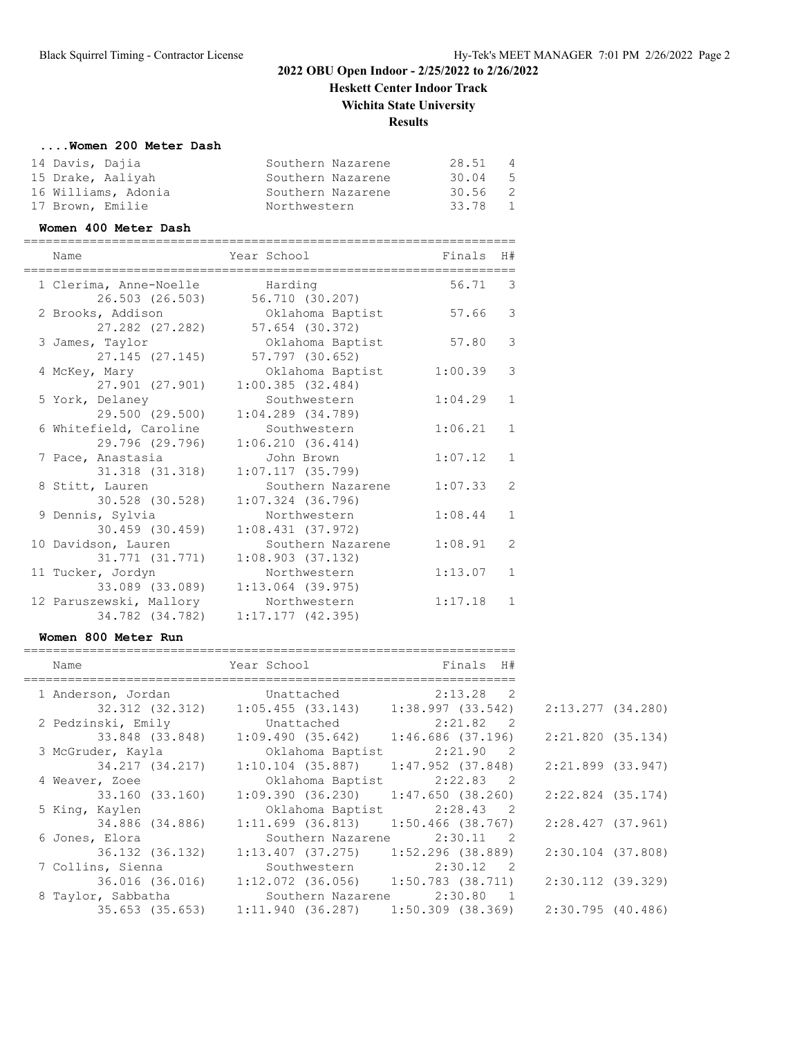**Heskett Center Indoor Track Wichita State University**

## **Results**

#### **....Women 200 Meter Dash**

| 14 Davis, Dajia     | Southern Nazarene | 28.51     | $\overline{4}$ |
|---------------------|-------------------|-----------|----------------|
| 15 Drake, Aaliyah   | Southern Nazarene | 30.04     | - 5            |
| 16 Williams, Adonia | Southern Nazarene | $30.56$ 2 |                |
| 17 Brown, Emilie    | Northwestern      | 33.78     | $\overline{1}$ |

#### **Women 400 Meter Dash**

| Name                                       | Year School                              | Finals  | H#             |
|--------------------------------------------|------------------------------------------|---------|----------------|
| 1 Clerima, Anne-Noelle<br>26.503 (26.503)  | Harding<br>56.710 (30.207)               | 56.71   | -3             |
| 2 Brooks, Addison<br>27.282 (27.282)       | Oklahoma Baptist<br>57.654 (30.372)      | 57.66   | 3              |
| 3 James, Taylor<br>$27.145$ $(27.145)$     | Oklahoma Baptist<br>57.797 (30.652)      | 57.80   | 3              |
| 4 McKey, Mary<br>27.901 (27.901)           | Oklahoma Baptist<br>1:00.385(32.484)     | 1:00.39 | 3              |
| 5 York, Delaney<br>29.500 (29.500)         | Southwestern<br>$1:04.289$ $(34.789)$    | 1:04.29 | $\mathbf{1}$   |
| 6 Whitefield, Caroline<br>29.796 (29.796)  | Southwestern<br>1:06.210(36.414)         | 1:06.21 | $\mathbf{1}$   |
| 7 Pace, Anastasia<br>31.318 (31.318)       | John Brown<br>1:07.117(35.799)           | 1:07.12 | $\mathbf{1}$   |
| 8 Stitt, Lauren<br>30.528 (30.528)         | Southern Nazarene<br>$1:07.324$ (36.796) | 1:07.33 | $\overline{2}$ |
| 9 Dennis, Sylvia<br>30.459 (30.459)        | Northwestern<br>1:08.431(37.972)         | 1:08.44 | $\mathbf{1}$   |
| 10 Davidson, Lauren<br>31.771 (31.771)     | Southern Nazarene<br>1:08.903(37.132)    | 1:08.91 | $\overline{2}$ |
| 11 Tucker, Jordyn<br>33.089 (33.089)       | Northwestern<br>$1:13.064$ (39.975)      | 1:13.07 | 1              |
| 12 Paruszewski, Mallory<br>34.782 (34.782) | Northwestern<br>1:17.177(42.395)         | 1:17.18 | 1              |

#### **Women 800 Meter Run**

| Name                                    | Year School                                           | Finals H#                   |
|-----------------------------------------|-------------------------------------------------------|-----------------------------|
| 1 Anderson, Jordan Unattached 2:13.28 2 |                                                       |                             |
|                                         | 32.312 (32.312) 1:05.455 (33.143) 1:38.997 (33.542)   |                             |
| 2 Pedzinski, Emily                      | Unattached 2:21.82 2                                  |                             |
|                                         | 33.848 (33.848) 1:09.490 (35.642) 1:46.686 (37.196)   |                             |
| 3 McGruder, Kayla                       | Oklahoma Baptist 2:21.90 2                            |                             |
|                                         | 34.217 (34.217) 1:10.104 (35.887)                     | 1:47.952 (37.848)           |
| 4 Weaver, Zoee                          |                                                       | Oklahoma Baptist 2:22.83 2  |
| 33.160 (33.160)                         | 1:09.390(36.230)                                      | 1:47.650 (38.260)           |
| 5 King, Kaylen                          | Oklahoma Baptist                                      | $2:28.43$ 2                 |
| 34.886 (34.886)                         | 1:11.699(36.813)                                      | 1:50.466 (38.767)           |
| 6 Jones, Elora                          | Southern Nazarene                                     | 2:30.11<br>$\overline{2}$   |
| 36.132 (36.132)                         | $1:13.407$ (37.275) 1:52.296 (38.889)                 |                             |
| 7 Collins, Sienna                       | Southwestern                                          | 2:30.12<br>$\overline{2}$   |
| 36.016 (36.016)                         | $1:12.072$ (36.056) $1:50.783$ (38.711)               |                             |
| 8 Taylor, Sabbatha                      |                                                       | Southern Nazarene 2:30.80 1 |
|                                         | $35.653$ (35.653) 1:11.940 (36.287) 1:50.309 (38.369) |                             |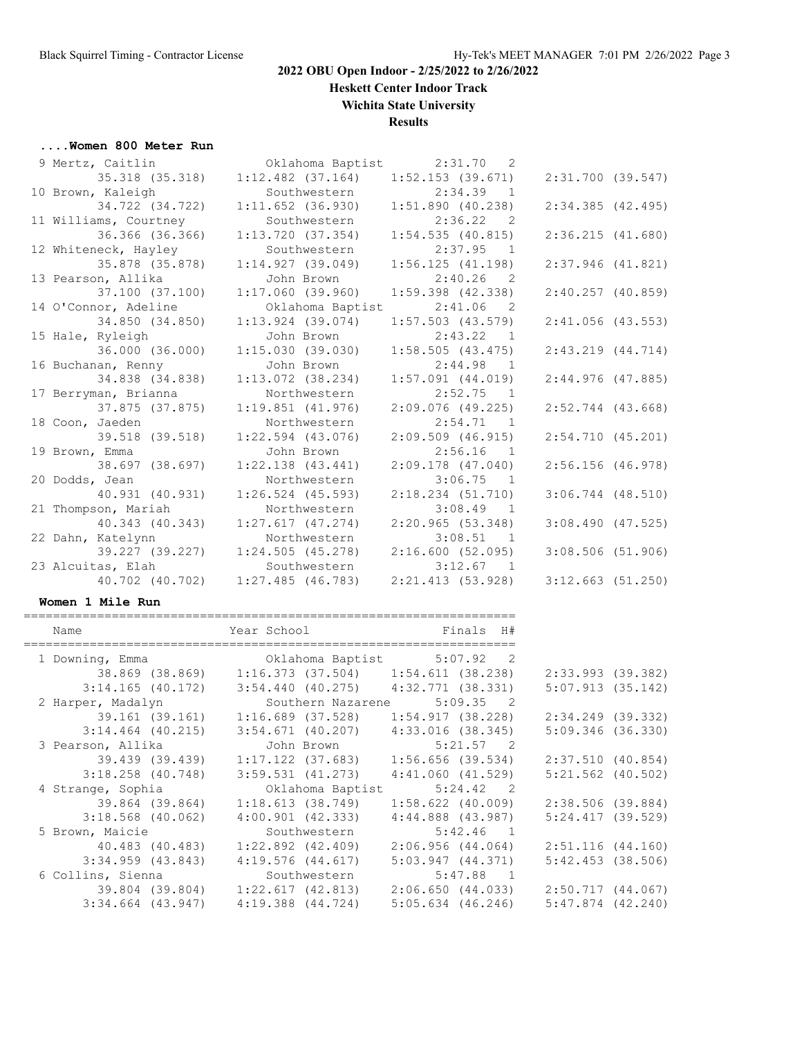**Heskett Center Indoor Track**

## **Wichita State University**

## **Results**

# **....Women 800 Meter Run**

| 9 Mertz, Caitlin      | Oklahoma Baptist 2:31.70 2 |                                       |                       |
|-----------------------|----------------------------|---------------------------------------|-----------------------|
| 35.318 (35.318)       | $1:12.482$ $(37.164)$      | $1:52.153$ (39.671)                   | $2:31.700$ (39.547)   |
| 10 Brown, Kaleigh     | Southwestern               | $2:34.39$ 1                           |                       |
| 34.722 (34.722)       | $1:11.652$ (36.930)        | 1:51.890(40.238)                      | $2:34.385$ (42.495)   |
| 11 Williams, Courtney | Southwestern               | 2:36.22<br>$\overline{\phantom{0}}^2$ |                       |
| 36.366 (36.366)       | 1:13.720(37.354)           | 1:54.535(40.815)                      | 2:36.215(41.680)      |
| 12 Whiteneck, Hayley  | Southwestern               | $2:37.95$ 1                           |                       |
| 35.878 (35.878)       | 1:14.927(39.049)           | 1:56.125(41.198)                      | $2:37.946$ (41.821)   |
| 13 Pearson, Allika    | John Brown                 | $2:40.26$ 2                           |                       |
| 37.100 (37.100)       | $1:17.060$ (39.960)        | $1:59.398$ $(42.338)$                 | $2:40.257$ (40.859)   |
| 14 O'Connor, Adeline  | Oklahoma Baptist 2:41.06   | $\overline{2}$                        |                       |
| 34.850 (34.850)       | $1:13.924$ (39.074)        | $1:57.503$ $(43.579)$                 | $2:41.056$ (43.553)   |
| 15 Hale, Ryleigh      | John Brown                 | $2:43.22$ 1                           |                       |
| 36.000 (36.000)       | 1:15.030(39.030)           | 1:58.505(43.475)                      | $2:43.219$ $(44.714)$ |
| 16 Buchanan, Renny    | John Brown                 | 2:44.98<br>$\sqrt{1}$                 |                       |
| 34.838 (34.838)       | $1:13.072$ (38.234)        | $1:57.091$ $(44.019)$                 | $2:44.976$ (47.885)   |
| 17 Berryman, Brianna  | Northwestern               | 2:52.75<br>$\overline{1}$             |                       |
| 37.875 (37.875)       | $1:19.851$ $(41.976)$      | $2:09.076$ (49.225)                   | $2:52.744$ (43.668)   |
| 18 Coon, Jaeden       | Northwestern               | $2:54.71$ 1                           |                       |
| 39.518 (39.518)       | $1:22.594$ (43.076)        | 2:09.509(46.915)                      | $2:54.710$ (45.201)   |
| 19 Brown, Emma        | John Brown                 | 2:56.16<br>$\overline{1}$             |                       |
| 38.697 (38.697)       | $1:22.138$ $(43.441)$      | $2:09.178$ (47.040)                   | 2:56.156(46.978)      |
| 20 Dodds, Jean        | Northwestern               | 3:06.75<br>$\overline{1}$             |                       |
| 40.931 (40.931)       | $1:26.524$ (45.593)        | $2:18.234$ $(51.710)$                 | $3:06.744$ $(48.510)$ |
| 21 Thompson, Mariah   | Northwestern               | $3:08.49$ 1                           |                       |
| 40.343 (40.343)       | 1:27.617(47.274)           | 2:20.965(53.348)                      | $3:08.490$ (47.525)   |
| 22 Dahn, Katelynn     | Northwestern               | $3:08.51$ 1                           |                       |
| 39.227 (39.227)       | 1:24.505(45.278)           | 2:16.600(52.095)                      | $3:08.506$ (51.906)   |
| 23 Alcuitas, Elah     | Southwestern               | $3:12.67$ 1                           |                       |
| 40.702 (40.702)       | $1:27.485$ (46.783)        | 2:21.413(53.928)                      | 3:12.663(51.250)      |
|                       |                            |                                       |                       |

#### **Women 1 Mile Run**

| Name                  | Year School Finals H#                                                                                                                                                                                                          |                             |                       |
|-----------------------|--------------------------------------------------------------------------------------------------------------------------------------------------------------------------------------------------------------------------------|-----------------------------|-----------------------|
| 1 Downing, Emma       | Oklahoma Baptist 5:07.92 2                                                                                                                                                                                                     |                             |                       |
|                       | 38.869 (38.869) 1:16.373 (37.504) 1:54.611 (38.238)                                                                                                                                                                            |                             | $2:33.993$ (39.382)   |
| $3:14.165$ (40.172)   | $3:54.440$ (40.275) $4:32.771$ (38.331)                                                                                                                                                                                        |                             | $5:07.913$ (35.142)   |
| 2 Harper, Madalyn     |                                                                                                                                                                                                                                | Southern Nazarene 5:09.35 2 |                       |
| 39.161 (39.161)       | $1:16.689$ (37.528) $1:54.917$ (38.228)                                                                                                                                                                                        |                             | 2:34.249 (39.332)     |
| $3:14.464$ (40.215)   | $3:54.671$ (40.207)                                                                                                                                                                                                            | 4:33.016 (38.345)           | $5:09.346$ (36.330)   |
| 3 Pearson, Allika     | John Brown the control of the control of the control of the control of the control of the control of the control of the control of the control of the control of the control of the control of the control of the control of t | 5:21.57 2                   |                       |
| 39.439 (39.439)       | $1:17.122$ (37.683)                                                                                                                                                                                                            | 1:56.656 (39.534)           | 2:37.510(40.854)      |
| $3:18.258$ (40.748)   | $3:59.531$ $(41.273)$                                                                                                                                                                                                          | 4:41.060 (41.529)           | $5:21.562$ (40.502)   |
| 4 Strange, Sophia     |                                                                                                                                                                                                                                | Oklahoma Baptist 5:24.42 2  |                       |
| 39.864 (39.864)       | 1:18.613(38.749)                                                                                                                                                                                                               | $1:58.622$ (40.009)         | $2:38.506$ (39.884)   |
| $3:18.568$ (40.062)   | $4:00.901$ $(42.333)$                                                                                                                                                                                                          | $4:44.888$ $(43.987)$       | $5:24.417$ (39.529)   |
| 5 Brown, Maicie       | Southwestern                                                                                                                                                                                                                   | $5:42.46$ 1                 |                       |
| 40.483 (40.483)       | $1:22.892$ (42.409)                                                                                                                                                                                                            | 2:06.956(44.064)            | $2:51.116$ $(44.160)$ |
| $3:34.959$ $(43.843)$ | $4:19.576$ $(44.617)$                                                                                                                                                                                                          | 5:03.947(44.371)            | $5:42.453$ (38.506)   |
|                       | 6 Collins, Sienna Southwestern                                                                                                                                                                                                 | $5:47.88$ 1                 |                       |
|                       | 39.804 (39.804) 1:22.617 (42.813)                                                                                                                                                                                              | 2:06.650 (44.033)           | 2:50.717 (44.067)     |
| $3:34.664$ (43.947)   | $4:19.388$ $(44.724)$                                                                                                                                                                                                          | $5:05.634$ $(46.246)$       | $5:47.874$ $(42.240)$ |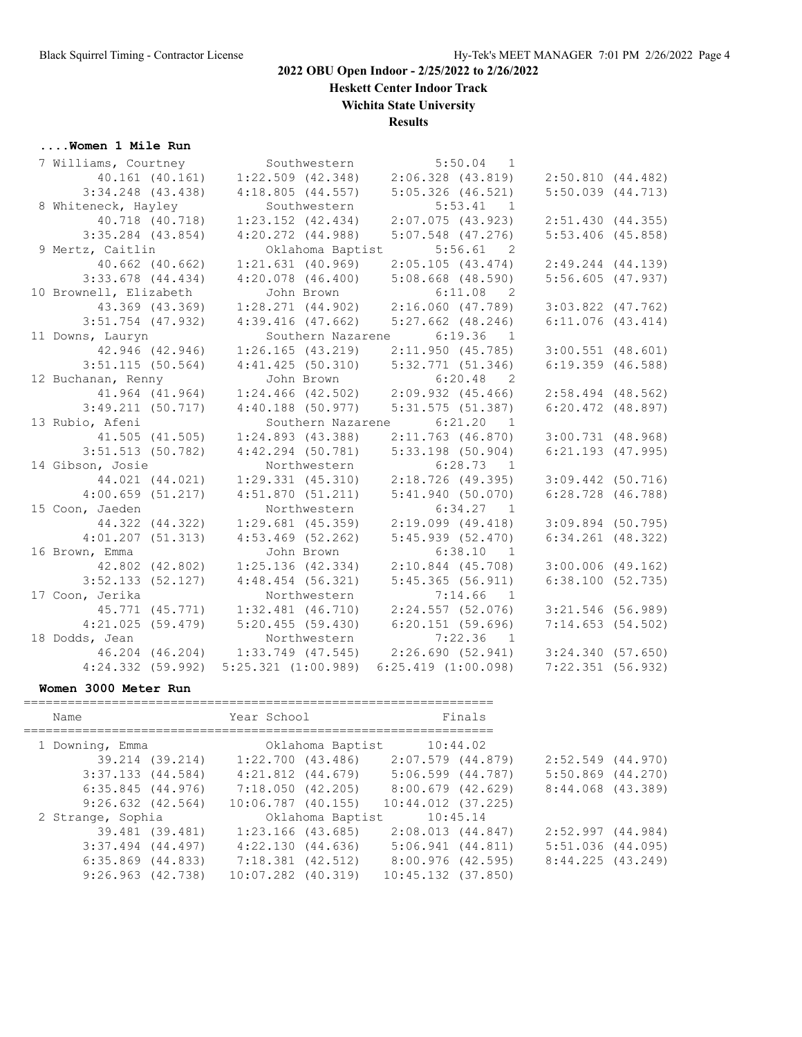**Heskett Center Indoor Track**

**Wichita State University**

# **Results**

# **....Women 1 Mile Run**

| 7 Williams, Courtney   | Southwestern                            | $5:50.04$ 1                 |                       |
|------------------------|-----------------------------------------|-----------------------------|-----------------------|
| 40.161 (40.161)        | $1:22.509$ (42.348) $2:06.328$ (43.819) |                             | 2:50.810(44.482)      |
| $3:34.248$ (43.438)    | 4:18.805(44.557)                        | $5:05.326$ (46.521)         | $5:50.039$ $(44.713)$ |
| 8 Whiteneck, Hayley    | Southwestern                            | 5:53.41 1                   |                       |
| 40.718 (40.718)        | $1:23.152$ $(42.434)$                   | $2:07.075$ (43.923)         | 2:51.430(44.355)      |
| $3:35.284$ (43.854)    | $4:20.272$ $(44.988)$                   | $5:07.548$ (47.276)         | $5:53.406$ (45.858)   |
| 9 Mertz, Caitlin       |                                         | Oklahoma Baptist 5:56.61 2  |                       |
| 40.662 (40.662)        | $1:21.631$ (40.969)                     | 2:05.105(43.474)            | $2:49.244$ $(44.139)$ |
| $3:33.678$ (44.434)    | $4:20.078$ $(46.400)$                   | $5:08.668$ (48.590)         | $5:56.605$ (47.937)   |
| 10 Brownell, Elizabeth | John Brown                              | $6:11.08$ 2                 |                       |
| 43.369 (43.369)        | $1:28.271$ $(44.902)$                   | 2:16.060 (47.789)           | $3:03.822$ $(47.762)$ |
| $3:51.754$ (47.932)    | $4:39.416$ (47.662)                     | $5:27.662$ (48.246)         | $6:11.076$ $(43.414)$ |
| 11 Downs, Lauryn       | Southern Nazarene                       | 6:19.36<br>$\overline{1}$   |                       |
| 42.946 (42.946)        | 1:26.165(43.219)                        | 2:11.950(45.785)            | $3:00.551$ $(48.601)$ |
| $3:51.115$ (50.564)    | 4:41.425(50.310)                        | 5:32.771(51.346)            | $6:19.359$ (46.588)   |
| 12 Buchanan, Renny     | John Brown                              | $6:20.48$ 2                 |                       |
| 41.964 (41.964)        | $1:24.466$ $(42.502)$                   | 2:09.932 (45.466)           | $2:58.494$ (48.562)   |
| 3:49.211(50.717)       | $4:40.188$ (50.977)                     | 5:31.575(51.387)            | $6:20.472$ $(48.897)$ |
| 13 Rubio, Afeni        |                                         | Southern Nazarene 6:21.20 1 |                       |
| 41.505 (41.505)        | $1:24.893$ $(43.388)$                   | 2:11.763 (46.870)           | 3:00.731(48.968)      |
| $3:51.513$ (50.782)    | $4:42.294$ (50.781)                     | $5:33.198$ (50.904)         | $6:21.193$ $(47.995)$ |
| 14 Gibson, Josie       | Northwestern                            | $6:28.73$ 1                 |                       |
| 44.021 (44.021)        | $1:29.331$ $(45.310)$                   | 2:18.726 (49.395)           | $3:09.442$ (50.716)   |
| $4:00.659$ $(51.217)$  | 4:51.870(51.211)                        | 5:41.940(50.070)            | $6:28.728$ $(46.788)$ |
| 15 Coon, Jaeden        | Northwestern                            | $6:34.27$ 1                 |                       |
| 44.322 (44.322)        | $1:29.681$ (45.359)                     | $2:19.099$ (49.418)         | $3:09.894$ (50.795)   |
| 4:01.207(51.313)       | $4:53.469$ (52.262)                     | 5:45.939(52.470)            | $6:34.261$ $(48.322)$ |
| 16 Brown, Emma         | John Brown                              | 6:38.10<br>$\overline{1}$   |                       |
| 42.802 (42.802)        | $1:25.136$ $(42.334)$                   | 2:10.844 (45.708)           | $3:00.006$ (49.162)   |
| 3:52.133(52.127)       | $4:48.454$ (56.321)                     | 5:45.365(56.911)            | 6:38.100(52.735)      |
| 17 Coon, Jerika        | Northwestern                            | $7:14.66$ 1                 |                       |
| 45.771 (45.771)        | $1:32.481$ $(46.710)$                   | 2:24.557 (52.076)           | $3:21.546$ (56.989)   |
| 4:21.025(59.479)       | $5:20.455$ (59.430)                     | 6:20.151(59.696)            | 7:14.653(54.502)      |
| 18 Dodds, Jean         | Northwestern                            | $7:22.36$ 1                 |                       |
| 46.204 (46.204)        | $1:33.749$ (47.545)                     | 2:26.690(52.941)            | 3:24.340(57.650)      |
| $4:24.332$ $(59.992)$  | $5:25.321$ $(1:00.989)$                 | $6:25.419$ $(1:00.098)$     | $7:22.351$ (56.932)   |

#### **Women 3000 Meter Run**

| Name                  | Year School            | Finals                 |                       |
|-----------------------|------------------------|------------------------|-----------------------|
| 1 Downing, Emma       | Oklahoma Baptist       | 10:44.02               |                       |
| 39.214 (39.214)       | $1:22.700$ (43.486)    | 2:07.579 (44.879)      | $2:52.549$ (44.970)   |
| $3:37.133$ $(44.584)$ | $4:21.812$ $(44.679)$  | 5:06.599 (44.787)      | $5:50.869$ $(44.270)$ |
| 6:35.845(44.976)      | 7:18.050 (42.205)      | 8:00.679 (42.629)      | 8:44.068 (43.389)     |
| $9:26.632$ $(42.564)$ | $10:06.787$ (40.155)   | $10:44.012$ $(37.225)$ |                       |
| 2 Strange, Sophia     | Oklahoma Baptist       | 10:45.14               |                       |
| 39.481 (39.481)       | $1:23.166$ (43.685)    | 2:08.013 (44.847)      | 2:52.997(44.984)      |
| $3:37.494$ $(44.497)$ | 4:22.130(44.636)       | 5:06.941(44.811)       | $5:51.036$ $(44.095)$ |
| $6:35.869$ $(44.833)$ | $7:18.381$ (42.512)    | 8:00.976 (42.595)      | 8:44.225(43.249)      |
| $9:26.963$ $(42.738)$ | $10:07.282$ $(40.319)$ | $10:45.132$ $(37.850)$ |                       |

================================================================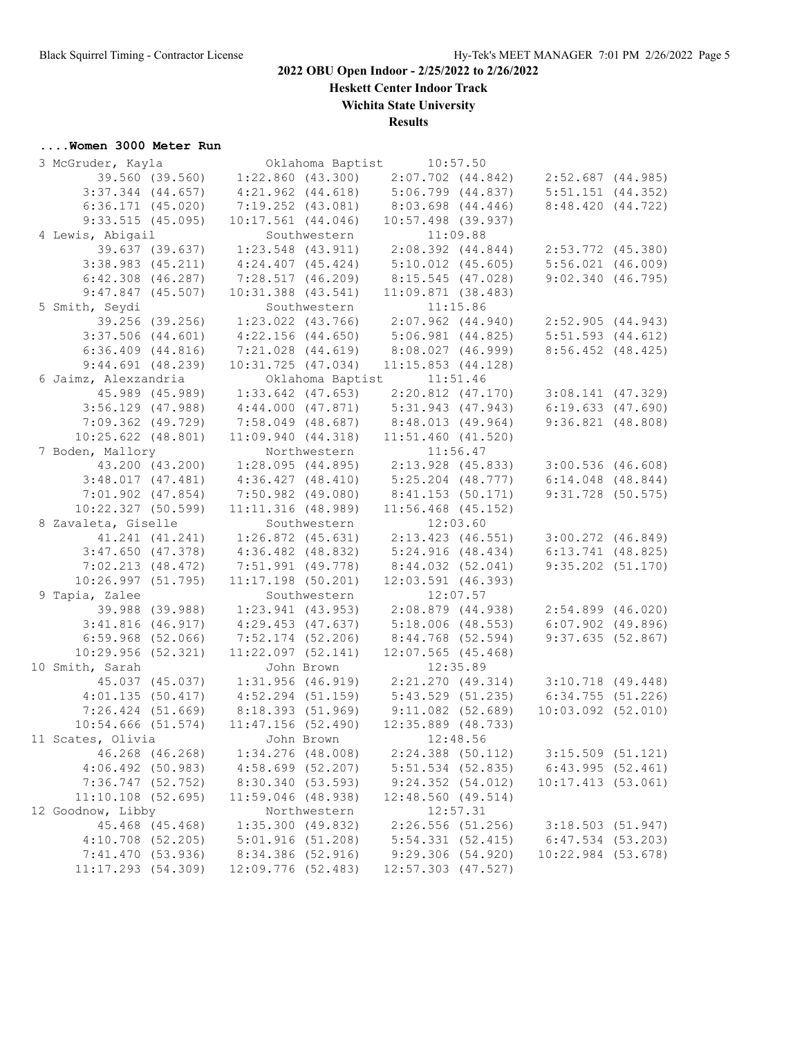**Heskett Center Indoor Track**

**Wichita State University**

# **Results**

# **....Women 3000 Meter Run**<br>3 McGruder Kayla

| 3 McGruder, Kayla      |                        |                       | Oklahoma Baptist 10:57.50 |                        |  |
|------------------------|------------------------|-----------------------|---------------------------|------------------------|--|
| 39.560 (39.560)        |                        | $1:22.860$ (43.300)   | $2:07.702$ $(44.842)$     | 2:52.687 (44.985)      |  |
| $3:37.344$ (44.657)    |                        | $4:21.962$ $(44.618)$ | $5:06.799$ $(44.837)$     | $5:51.151$ $(44.352)$  |  |
| $6:36.171$ $(45.020)$  | $7:19.252$ $(43.081)$  |                       | $8:03.698$ $(44.446)$     | 8:48.420(44.722)       |  |
| 9:33.515(45.095)       | $10:17.561$ $(44.046)$ |                       | $10:57.498$ (39.937)      |                        |  |
| 4 Lewis, Abigail       |                        | Southwestern          | 11:09.88                  |                        |  |
| 39.637 (39.637)        | $1:23.548$ (43.911)    |                       | $2:08.392$ $(44.844)$     | 2:53.772 (45.380)      |  |
| $3:38.983$ $(45.211)$  | $4:24.407$ $(45.424)$  |                       | $5:10.012$ (45.605)       | $5:56.021$ $(46.009)$  |  |
| $6:42.308$ $(46.287)$  | 7:28.517(46.209)       |                       | 8:15.545(47.028)          | 9:02.340(46.795)       |  |
| 9:47.847(45.507)       | $10:31.388$ $(43.541)$ |                       | 11:09.871(38.483)         |                        |  |
| 5 Smith, Seydi         |                        | Southwestern          | 11:15.86                  |                        |  |
| 39.256 (39.256)        |                        | $1:23.022$ (43.766)   | $2:07.962$ $(44.940)$     | 2:52.905 (44.943)      |  |
| $3:37.506$ $(44.601)$  | $4:22.156$ $(44.650)$  |                       | 5:06.981(44.825)          | $5:51.593$ $(44.612)$  |  |
| $6:36.409$ $(44.816)$  | 7:21.028 (44.619)      |                       | 8:08.027 (46.999)         | 8:56.452 (48.425)      |  |
| $9:44.691$ (48.239)    | 10:31.725(47.034)      |                       | 11:15.853(44.128)         |                        |  |
| 6 Jaimz, Alexzandria   |                        |                       | Oklahoma Baptist 11:51.46 |                        |  |
| 45.989 (45.989)        | $1:33.642$ (47.653)    |                       | $2:20.812$ $(47.170)$     | $3:08.141$ (47.329)    |  |
| $3:56.129$ (47.988)    | 4:44.000(47.871)       |                       | $5:31.943$ (47.943)       | 6:19.633(47.690)       |  |
| 7:09.362 (49.729)      | 7:58.049 (48.687)      |                       | 8:48.013 (49.964)         | 9:36.821(48.808)       |  |
| $10:25.622$ $(48.801)$ | 11:09.940(44.318)      |                       | $11:51.460$ $(41.520)$    |                        |  |
| 7 Boden, Mallory       |                        | Northwestern          | 11:56.47                  |                        |  |
| 43.200 (43.200)        | 1:28.095 (44.895)      |                       | 2:13.928 (45.833)         | $3:00.536$ (46.608)    |  |
| 3:48.017(47.481)       | 4:36.427(48.410)       |                       | 5:25.204 (48.777)         | $6:14.048$ $(48.844)$  |  |
| $7:01.902$ $(47.854)$  | 7:50.982 (49.080)      |                       | 8:41.153 (50.171)         | $9:31.728$ (50.575)    |  |
| $10:22.327$ (50.599)   | 11:11.316(48.989)      |                       | $11:56.468$ (45.152)      |                        |  |
| 8 Zavaleta, Giselle    |                        | Southwestern          | 12:03.60                  |                        |  |
| 41.241 (41.241)        | $1:26.872$ (45.631)    |                       | $2:13.423$ (46.551)       | $3:00.272$ (46.849)    |  |
| $3:47.650$ (47.378)    | $4:36.482$ $(48.832)$  |                       | 5:24.916(48.434)          | $6:13.741$ $(48.825)$  |  |
| 7:02.213(48.472)       | 7:51.991 (49.778)      |                       | 8:44.032 (52.041)         | $9:35.202$ (51.170)    |  |
| 10:26.997(51.795)      | $11:17.198$ (50.201)   |                       | $12:03.591$ (46.393)      |                        |  |
| 9 Tapia, Zalee         |                        | Southwestern          | 12:07.57                  |                        |  |
| 39.988 (39.988)        | $1:23.941$ (43.953)    |                       | 2:08.879 (44.938)         | $2:54.899$ (46.020)    |  |
| 3:41.816(46.917)       | $4:29.453$ $(47.637)$  |                       | 5:18.006(48.553)          | $6:07.902$ (49.896)    |  |
| $6:59.968$ $(52.066)$  | $7:52.174$ (52.206)    |                       | 8:44.768 (52.594)         | 9:37.635(52.867)       |  |
| 10:29.956(52.321)      | $11:22.097$ (52.141)   |                       | $12:07.565$ (45.468)      |                        |  |
| 10 Smith, Sarah        |                        | John Brown            | 12:35.89                  |                        |  |
| 45.037 (45.037)        | $1:31.956$ (46.919)    |                       | 2:21.270(49.314)          | $3:10.718$ (49.448)    |  |
| 4:01.135(50.417)       | $4:52.294$ (51.159)    |                       | 5:43.529 (51.235)         | 6:34.755(51.226)       |  |
| $7:26.424$ (51.669)    | 8:18.393 (51.969)      |                       | $9:11.082$ (52.689)       | $10:03.092$ $(52.010)$ |  |
| 10:54.666(51.574)      | 11:47.156(52.490)      |                       | $12:35.889$ (48.733)      |                        |  |
| 11 Scates, Olivia      |                        |                       | John Brown 12:48.56       |                        |  |
| 46.268 (46.268)        |                        | $1:34.276$ (48.008)   | $2:24.388$ (50.112)       | $3:15.509$ (51.121)    |  |
| $4:06.492$ (50.983)    | 4:58.699 (52.207)      |                       | $5:51.534$ (52.835)       | 6:43.995(52.461)       |  |
| 7:36.747 (52.752)      | 8:30.340 (53.593)      |                       | 9:24.352(54.012)          | 10:17.413(53.061)      |  |
| $11:10.108$ (52.695)   | $11:59.046$ (48.938)   |                       | 12:48.560(49.514)         |                        |  |
| 12 Goodnow, Libby      |                        | Northwestern          | 12:57.31                  |                        |  |
| 45.468 (45.468)        |                        | 1:35.300(49.832)      | $2:26.556$ (51.256)       | 3:18.503(51.947)       |  |
| $4:10.708$ (52.205)    |                        | 5:01.916(51.208)      | 5:54.331(52.415)          | $6:47.534$ (53.203)    |  |
| 7:41.470 (53.936)      | 8:34.386 (52.916)      |                       | 9:29.306(54.920)          | $10:22.984$ (53.678)   |  |
| 11:17.293 (54.309)     | 12:09.776 (52.483)     |                       | $12:57.303$ $(47.527)$    |                        |  |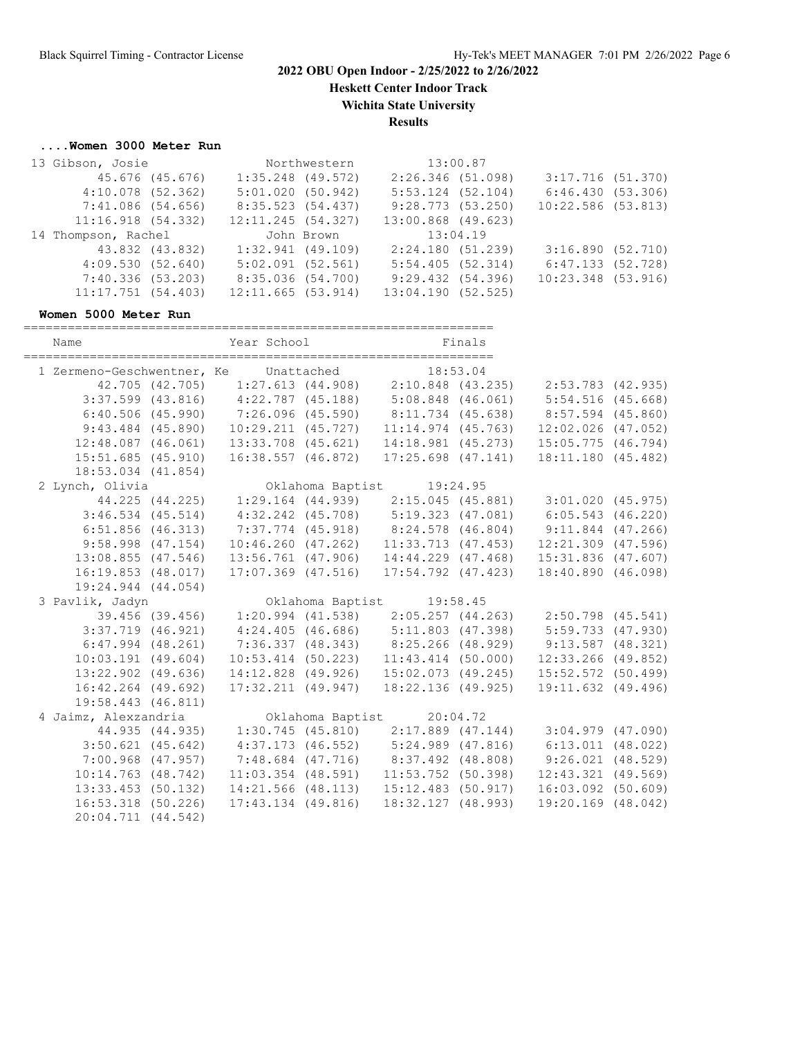**Heskett Center Indoor Track**

**Wichita State University**

**Results**

## **....Women 3000 Meter Run**

| 13 Gibson, Josie      |                 |                       | Northwestern |                       | 13:00.87 |                      |  |
|-----------------------|-----------------|-----------------------|--------------|-----------------------|----------|----------------------|--|
|                       | 45.676 (45.676) | $1:35.248$ (49.572)   |              | 2:26.346 (51.098)     |          | 3:17.716 (51.370)    |  |
| $4:10.078$ $(52.362)$ |                 | 5:01.020(50.942)      |              | $5:53.124$ $(52.104)$ |          | 6:46.430 (53.306)    |  |
| 7:41.086 (54.656)     |                 | 8:35.523 (54.437)     |              | 9:28.773(53.250)      |          | $10:22.586$ (53.813) |  |
| 11:16.918(54.332)     |                 | $12:11.245$ (54.327)  |              | 13:00.868 (49.623)    |          |                      |  |
|                       |                 |                       |              |                       |          |                      |  |
| 14 Thompson, Rachel   |                 |                       | John Brown   | 13:04.19              |          |                      |  |
|                       | 43.832 (43.832) | $1:32.941$ (49.109)   |              | 2:24.180 (51.239)     |          | 3:16.890(52.710)     |  |
| 4:09.530(52.640)      |                 | $5:02.091$ $(52.561)$ |              | 5:54.405(52.314)      |          | 6:47.133 (52.728)    |  |
| 7:40.336 (53.203)     |                 | 8:35.036 (54.700)     |              | 9:29.432(54.396)      |          | $10:23.348$ (53.916) |  |

#### **Women 5000 Meter Run**

| Name                                           | Year School Finals                                                              |                                       |                                                       |  |
|------------------------------------------------|---------------------------------------------------------------------------------|---------------------------------------|-------------------------------------------------------|--|
| 1 Zermeno-Geschwentner, Ke Unattached 18:53.04 |                                                                                 |                                       |                                                       |  |
|                                                | 42.705 (42.705) 1:27.613 (44.908) 2:10.848 (43.235) 2:53.783 (42.935)           |                                       |                                                       |  |
|                                                | 3:37.599 (43.816) 4:22.787 (45.188) 5:08.848 (46.061) 5:54.516 (45.668)         |                                       |                                                       |  |
|                                                | $6:40.506$ (45.990) 7:26.096 (45.590) 8:11.734 (45.638) 8:57.594 (45.860)       |                                       |                                                       |  |
|                                                | 9:43.484 (45.890) 10:29.211 (45.727) 11:14.974 (45.763) 12:02.026 (47.052)      |                                       |                                                       |  |
|                                                | 12:48.087 (46.061) 13:33.708 (45.621) 14:18.981 (45.273)                        |                                       | $15:05.775$ $(46.794)$                                |  |
| 15:51.685(45.910)                              | 16:38.557 (46.872)                                                              | $17:25.698$ $(47.141)$                | 18:11.180 (45.482)                                    |  |
| $18:53.034$ $(41.854)$                         |                                                                                 |                                       |                                                       |  |
| 2 Lynch, Olivia                                |                                                                                 | Oklahoma Baptist 19:24.95             |                                                       |  |
|                                                | 44.225 (44.225) 1:29.164 (44.939) 2:15.045 (45.881) 3:01.020 (45.975)           |                                       |                                                       |  |
|                                                | 3:46.534 (45.514) 4:32.242 (45.708) 5:19.323 (47.081) 6:05.543 (46.220)         |                                       |                                                       |  |
| $6:51.856$ (46.313)                            |                                                                                 |                                       | 7:37.774 (45.918) 8:24.578 (46.804) 9:11.844 (47.266) |  |
| $9:58.998$ $(47.154)$                          | $10:46.260$ $(47.262)$                                                          | $11:33.713$ $(47.453)$                | $12:21.309$ (47.596)                                  |  |
| $13:08.855$ (47.546)                           | 13:56.761 (47.906)                                                              | 14:44.229 (47.468)                    | 15:31.836 (47.607)                                    |  |
| 16:19.853(48.017)                              | $17:07.369$ $(47.516)$                                                          | 17:54.792 (47.423)                    | 18:40.890 (46.098)                                    |  |
| 19:24.944 (44.054)                             |                                                                                 |                                       |                                                       |  |
| 3 Pavlik, Jadyn                                |                                                                                 |                                       |                                                       |  |
|                                                |                                                                                 |                                       |                                                       |  |
|                                                | $3:37.719$ (46.921) $4:24.405$ (46.686) $5:11.803$ (47.398) $5:59.733$ (47.930) |                                       |                                                       |  |
| $6:47.994$ $(48.261)$                          |                                                                                 |                                       | 7:36.337 (48.343) 8:25.266 (48.929) 9:13.587 (48.321) |  |
| $10:03.191$ (49.604)                           | $10:53.414$ (50.223)                                                            | $11:43.414$ (50.000)                  | $12:33.266$ (49.852)                                  |  |
| $13:22.902$ (49.636)                           |                                                                                 | 14:12.828 (49.926) 15:02.073 (49.245) | 15:52.572 (50.499)                                    |  |
| $16:42.264$ (49.692)                           | $17:32.211$ $(49.947)$                                                          | 18:22.136 (49.925)                    | 19:11.632 (49.496)                                    |  |
| 19:58.443 (46.811)                             |                                                                                 |                                       |                                                       |  |
| 4 Jaimz, Alexzandria                           |                                                                                 | Oklahoma Baptist 20:04.72             |                                                       |  |
|                                                | 44.935 (44.935) 1:30.745 (45.810) 2:17.889 (47.144) 3:04.979 (47.090)           |                                       |                                                       |  |
| $3:50.621$ (45.642)                            |                                                                                 |                                       | 4:37.173 (46.552) 5:24.989 (47.816) 6:13.011 (48.022) |  |
| $7:00.968$ (47.957)                            |                                                                                 |                                       | 7:48.684 (47.716) 8:37.492 (48.808) 9:26.021 (48.529) |  |
| $10:14.763$ $(48.742)$                         | $11:03.354$ (48.591)                                                            | $11:53.752$ (50.398)                  | $12:43.321$ $(49.569)$                                |  |
|                                                | $13:33.453$ (50.132) $14:21.566$ (48.113) $15:12.483$ (50.917)                  |                                       | $16:03.092$ (50.609)                                  |  |
| $16:53.318$ (50.226)                           | $17:43.134$ (49.816)                                                            | 18:32.127(48.993)                     | 19:20.169 (48.042)                                    |  |
| 20:04.711 (44.542)                             |                                                                                 |                                       |                                                       |  |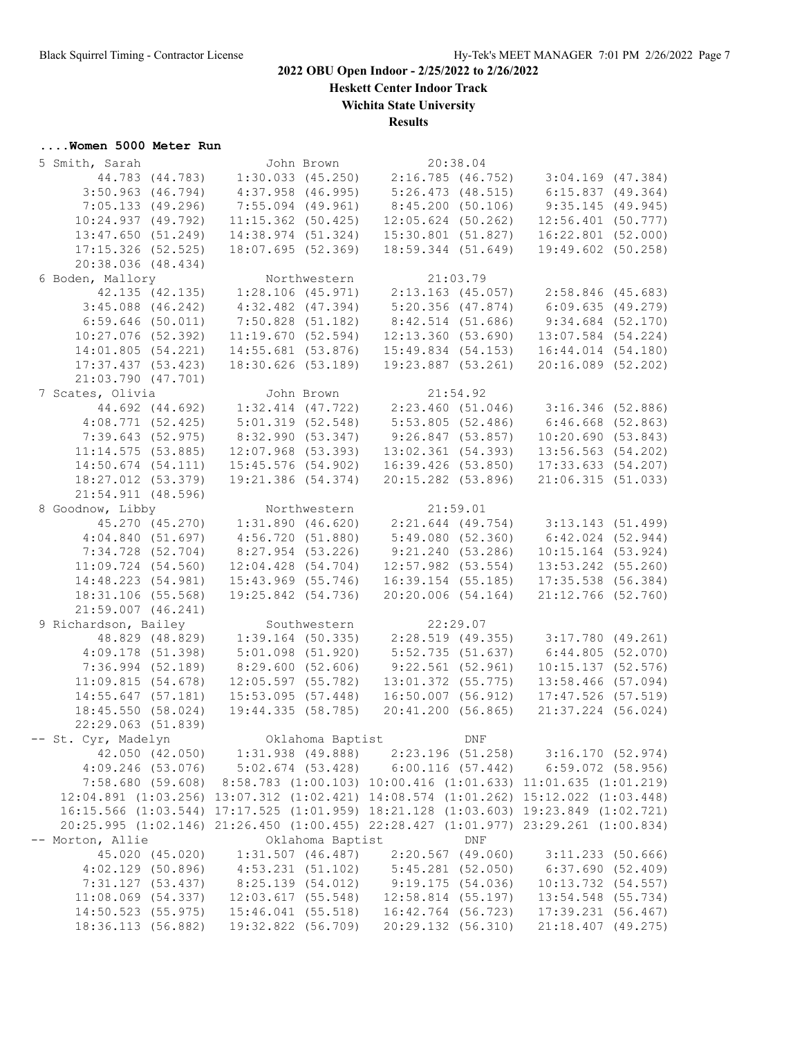**Heskett Center Indoor Track**

**Wichita State University**

**Results**

# **....Women 5000 Meter Run**

| 5 Smith, Sarah                                                                                                                                                     | John Brown                                                  |              |                     | 20:38.04             |                                                             |  |
|--------------------------------------------------------------------------------------------------------------------------------------------------------------------|-------------------------------------------------------------|--------------|---------------------|----------------------|-------------------------------------------------------------|--|
|                                                                                                                                                                    |                                                             |              |                     |                      |                                                             |  |
| 44.783 (44.783)                                                                                                                                                    |                                                             |              |                     |                      | $1:30.033$ (45.250) $2:16.785$ (46.752) $3:04.169$ (47.384) |  |
| $3:50.963$ $(46.794)$                                                                                                                                              | $4:37.958$ (46.995)                                         |              | $5:26.473$ (48.515) |                      | 6:15.837(49.364)                                            |  |
| 7:05.133(49.296)                                                                                                                                                   | $7:55.094$ (49.961)                                         |              |                     | 8:45.200(50.106)     | 9:35.145(49.945)                                            |  |
| 10:24.937(49.792)                                                                                                                                                  | $11:15.362$ (50.425)                                        |              |                     | $12:05.624$ (50.262) | $12:56.401$ (50.777)                                        |  |
| 13:47.650(51.249)                                                                                                                                                  | 14:38.974 (51.324)                                          |              |                     | 15:30.801(51.827)    | $16:22.801$ (52.000)                                        |  |
| $17:15.326$ (52.525)                                                                                                                                               | 18:07.695 (52.369)                                          |              |                     | 18:59.344 (51.649)   | 19:49.602 (50.258)                                          |  |
| 20:38.036 (48.434)                                                                                                                                                 |                                                             |              |                     |                      |                                                             |  |
| 6 Boden, Mallory                                                                                                                                                   |                                                             | Northwestern |                     | 21:03.79             |                                                             |  |
| 42.135 (42.135)                                                                                                                                                    | 1:28.106(45.971)                                            |              |                     | 2:13.163 (45.057)    | 2:58.846 (45.683)                                           |  |
| $3:45.088$ (46.242)                                                                                                                                                | $4:32.482$ $(47.394)$                                       |              |                     | $5:20.356$ (47.874)  | 6:09.635(49.279)                                            |  |
| $6:59.646$ (50.011)                                                                                                                                                | $7:50.828$ (51.182)                                         |              |                     | $8:42.514$ (51.686)  | $9:34.684$ (52.170)                                         |  |
| $10:27.076$ (52.392)                                                                                                                                               | 11:19.670(52.594)                                           |              |                     | 12:13.360(53.690)    | 13:07.584 (54.224)                                          |  |
| 14:01.805 (54.221)                                                                                                                                                 | $14:55.681$ (53.876)                                        |              |                     | 15:49.834(54.153)    | 16:44.014 (54.180)                                          |  |
|                                                                                                                                                                    |                                                             |              |                     |                      |                                                             |  |
| 17:37.437(53.423)                                                                                                                                                  | 18:30.626 (53.189)                                          |              |                     | 19:23.887 (53.261)   | 20:16.089 (52.202)                                          |  |
| 21:03.790 (47.701)                                                                                                                                                 |                                                             |              |                     |                      |                                                             |  |
| 7 Scates, Olivia                                                                                                                                                   | John Brown                                                  |              |                     | 21:54.92             |                                                             |  |
| 44.692 (44.692)                                                                                                                                                    | $1:32.414$ (47.722) $2:23.460$ (51.046) $3:16.346$ (52.886) |              |                     |                      |                                                             |  |
| $4:08.771$ (52.425)                                                                                                                                                | 5:01.319(52.548)                                            |              | 5:53.805 (52.486)   |                      | $6:46.668$ (52.863)                                         |  |
| 7:39.643(52.975)                                                                                                                                                   | 8:32.990 (53.347)                                           |              | 9:26.847(53.857)    |                      | 10:20.690(53.843)                                           |  |
| 11:14.575(53.885)                                                                                                                                                  | $12:07.968$ (53.393)                                        |              |                     | $13:02.361$ (54.393) | 13:56.563 (54.202)                                          |  |
| $14:50.674$ (54.111)                                                                                                                                               | $15:45.576$ (54.902)                                        |              |                     | $16:39.426$ (53.850) | 17:33.633 (54.207)                                          |  |
| 18:27.012 (53.379)                                                                                                                                                 | 19:21.386 (54.374)                                          |              |                     | 20:15.282 (53.896)   | 21:06.315 (51.033)                                          |  |
| $21:54.911$ (48.596)                                                                                                                                               |                                                             |              |                     |                      |                                                             |  |
| 8 Goodnow, Libby                                                                                                                                                   |                                                             | Northwestern |                     | 21:59.01             |                                                             |  |
| 45.270 (45.270)                                                                                                                                                    | 1:31.890(46.620)                                            |              |                     |                      | 2:21.644 (49.754) 3:13.143 (51.499)                         |  |
| 4:04.840(51.697)                                                                                                                                                   | 4:56.720(51.880)                                            |              | 5:49.080(52.360)    |                      | $6:42.024$ $(52.944)$                                       |  |
| 7:34.728 (52.704)                                                                                                                                                  | 8:27.954 (53.226)                                           |              |                     | 9:21.240(53.286)     | $10:15.164$ (53.924)                                        |  |
| $11:09.724$ (54.560)                                                                                                                                               | $12:04.428$ (54.704)                                        |              |                     | $12:57.982$ (53.554) | 13:53.242 (55.260)                                          |  |
|                                                                                                                                                                    |                                                             |              |                     |                      |                                                             |  |
| 14:48.223 (54.981)                                                                                                                                                 | $15:43.969$ (55.746)                                        |              |                     | $16:39.154$ (55.185) | 17:35.538 (56.384)                                          |  |
| 18:31.106 (55.568)                                                                                                                                                 | 19:25.842 (54.736)                                          |              |                     | 20:20.006(54.164)    | $21:12.766$ (52.760)                                        |  |
| $21:59.007$ $(46.241)$                                                                                                                                             |                                                             |              |                     |                      |                                                             |  |
| 9 Richardson, Bailey                                                                                                                                               | Southwestern                                                |              | 22:29.07            |                      |                                                             |  |
| 48.829 (48.829)                                                                                                                                                    | $1:39.164$ (50.335)                                         |              |                     | 2:28.519(49.355)     | 3:17.780 (49.261)                                           |  |
| $4:09.178$ (51.398)                                                                                                                                                | $5:01.098$ $(51.920)$                                       |              |                     | 5:52.735(51.637)     | 6:44.805(52.070)                                            |  |
| $7:36.994$ (52.189)                                                                                                                                                | 8:29.600(52.606)                                            |              |                     | $9:22.561$ (52.961)  | 10:15.137(52.576)                                           |  |
| 11:09.815(54.678)                                                                                                                                                  | 12:05.597 (55.782)                                          |              |                     | 13:01.372 (55.775)   | 13:58.466 (57.094)                                          |  |
| 14:55.647 (57.181)                                                                                                                                                 | $15:53.095$ (57.448)                                        |              |                     | $16:50.007$ (56.912) | $17:47.526$ (57.519)                                        |  |
| 18:45.550 (58.024)                                                                                                                                                 | 19:44.335 (58.785)                                          |              |                     | 20:41.200 (56.865)   | $21:37.224$ (56.024)                                        |  |
| 22:29.063 (51.839)                                                                                                                                                 |                                                             |              |                     |                      |                                                             |  |
|                                                                                                                                                                    |                                                             |              |                     |                      |                                                             |  |
| St. Cyr, Madelyn                           Oklahoma Baptist               DNF<br>42.050 (42.050)     1:31.938 (49.888)     2:23.196 (51.258)     3:16.170 (52.974) |                                                             |              |                     |                      |                                                             |  |
| 4:09.246 (53.076) 5:02.674 (53.428) 6:00.116 (57.442) 6:59.072 (58.956)                                                                                            |                                                             |              |                     |                      |                                                             |  |
|                                                                                                                                                                    |                                                             |              |                     |                      |                                                             |  |
| 7:58.680 (59.608) 8:58.783 (1:00.103) 10:00.416 (1:01.633) 11:01.635 (1:01.219)                                                                                    |                                                             |              |                     |                      |                                                             |  |
| 12:04.891 (1:03.256) 13:07.312 (1:02.421) 14:08.574 (1:01.262) 15:12.022 (1:03.448)                                                                                |                                                             |              |                     |                      |                                                             |  |
| 16:15.566 (1:03.544) 17:17.525 (1:01.959) 18:21.128 (1:03.603) 19:23.849 (1:02.721)                                                                                |                                                             |              |                     |                      |                                                             |  |
| 20:25.995 (1:02.146) 21:26.450 (1:00.455) 22:28.427 (1:01.977) 23:29.261 (1:00.834)                                                                                |                                                             |              |                     |                      |                                                             |  |
| -- Morton, Allie                                                                                                                                                   |                                                             |              | Oklahoma Baptist    | DNF                  |                                                             |  |
| 45.020 (45.020) 1:31.507 (46.487)                                                                                                                                  |                                                             |              | 2:20.567 (49.060)   |                      | $3:11.233$ (50.666)                                         |  |
| $4:02.129$ (50.896)                                                                                                                                                | $4:53.231$ (51.102) $5:45.281$ (52.050)                     |              |                     |                      | 6:37.690 (52.409)                                           |  |
| 7:31.127(53.437)                                                                                                                                                   | 8:25.139(54.012)                                            |              | 9:19.175(54.036)    |                      | 10:13.732 (54.557)                                          |  |
|                                                                                                                                                                    |                                                             |              |                     |                      | 13:54.548 (55.734)                                          |  |
| $11:08.069$ (54.337) $12:03.617$ (55.548) $12:58.814$ (55.197)<br>$14:50.523$ (55.975) $15:46.041$ (55.518) $16:42.764$ (56.723)                                   |                                                             |              |                     |                      | 17:39.231 (56.467)                                          |  |
| 18:36.113 (56.882) 19:32.822 (56.709)                                                                                                                              |                                                             |              |                     |                      | 20:29.132 (56.310) 21:18.407 (49.275)                       |  |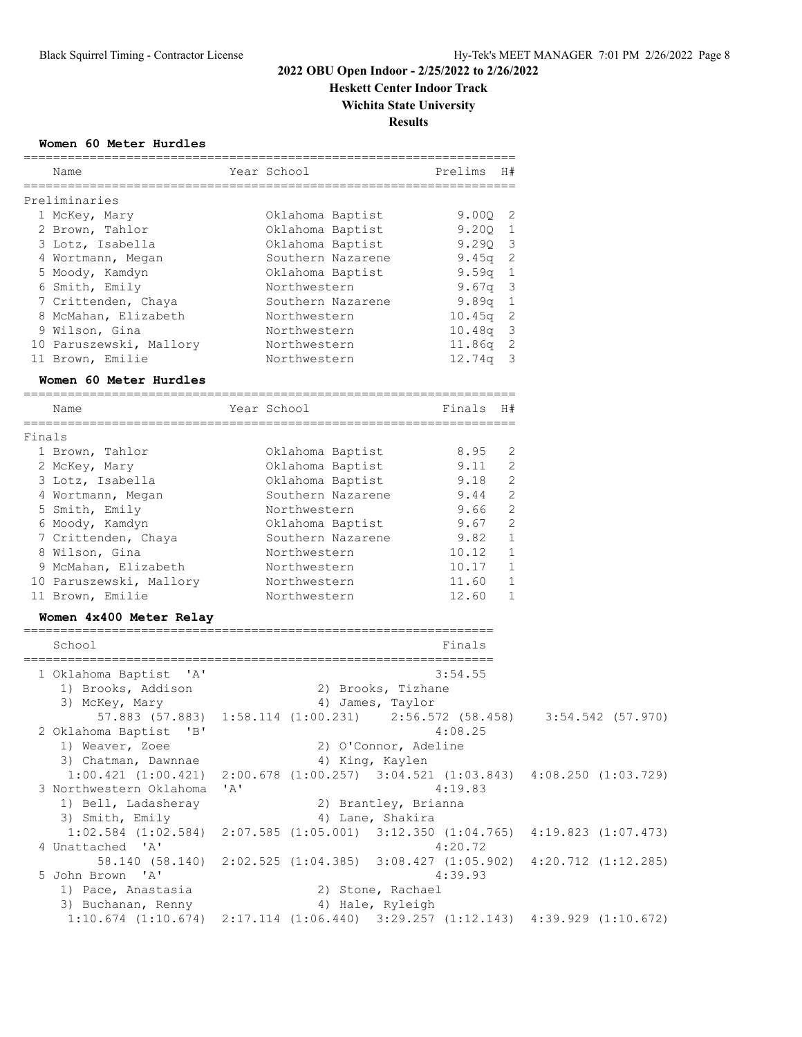**Heskett Center Indoor Track**

**Wichita State University**

**Results**

#### **Women 60 Meter Hurdles**

|                                      | =============                                                           | ======================           |                         |
|--------------------------------------|-------------------------------------------------------------------------|----------------------------------|-------------------------|
| Name                                 | Year School                                                             | Prelims<br>H#                    |                         |
| Preliminaries                        |                                                                         | ==============================   |                         |
| 1 McKey, Mary                        | Oklahoma Baptist                                                        | 9.00Q<br>2                       |                         |
| 2 Brown, Tahlor                      | Oklahoma Baptist                                                        | 9.20Q<br>$\mathbf{1}$            |                         |
| 3 Lotz, Isabella                     | Oklahoma Baptist                                                        | 9.290<br>$\overline{\mathbf{3}}$ |                         |
| 4 Wortmann, Megan                    | Southern Nazarene                                                       | 9.45g 2                          |                         |
| 5 Moody, Kamdyn                      | Oklahoma Baptist                                                        | 9.59q<br><sup>1</sup>            |                         |
| 6 Smith, Emily                       | Northwestern                                                            | $\overline{\mathbf{3}}$<br>9.67q |                         |
| 7 Crittenden, Chaya                  | Southern Nazarene                                                       | 9.89q<br>$\mathbf{1}$            |                         |
| 8 McMahan, Elizabeth                 | Northwestern                                                            | $10.45q$ 2                       |                         |
| 9 Wilson, Gina                       | Northwestern                                                            | 10.48q 3                         |                         |
| 10 Paruszewski, Mallory              | Northwestern                                                            | $11.86q$ 2                       |                         |
| 11 Brown, Emilie                     | Northwestern                                                            | $12.74q$ 3                       |                         |
| Women 60 Meter Hurdles               |                                                                         |                                  |                         |
| ----------------------------<br>Name | Year School                                                             | Finals H#                        |                         |
|                                      |                                                                         | ==========================       |                         |
| Finals                               |                                                                         |                                  |                         |
| 1 Brown, Tahlor                      | Oklahoma Baptist                                                        | 8.95<br>2                        |                         |
| 2 McKey, Mary                        | Oklahoma Baptist                                                        | 9.11<br>2                        |                         |
| 3 Lotz, Isabella                     | Oklahoma Baptist                                                        | 2<br>9.18                        |                         |
| 4 Wortmann, Megan                    | Southern Nazarene                                                       | 9.44<br>2                        |                         |
| 5 Smith, Emily                       | Northwestern                                                            | 9.66<br>2                        |                         |
| 6 Moody, Kamdyn                      | Oklahoma Baptist                                                        | 2<br>9.67                        |                         |
| 7 Crittenden, Chaya                  | Southern Nazarene                                                       | $\mathbf{1}$<br>9.82             |                         |
| 8 Wilson, Gina                       | Northwestern                                                            | 10.12<br>$\mathbf{1}$            |                         |
| 9 McMahan, Elizabeth                 | Northwestern                                                            | 10.17<br>1                       |                         |
| 10 Paruszewski, Mallory              | Northwestern                                                            | 11.60<br>1                       |                         |
| 11 Brown, Emilie                     | Northwestern                                                            | 12.60<br>1                       |                         |
| Women 4x400 Meter Relay              |                                                                         |                                  |                         |
| School                               |                                                                         | Finals                           |                         |
|                                      |                                                                         |                                  |                         |
| 1 Oklahoma Baptist<br>$\mathsf{A}$   |                                                                         | 3:54.55                          |                         |
| 1) Brooks, Addison                   | 2) Brooks, Tizhane                                                      |                                  |                         |
| 3) McKey, Mary                       | 4) James, Taylor                                                        |                                  |                         |
|                                      | 57.883 (57.883) 1:58.114 (1:00.231) 2:56.572 (58.458) 3:54.542 (57.970) |                                  |                         |
| 2 Oklahoma Baptist<br>"B"            |                                                                         | 4:08.25                          |                         |
| 1) Weaver, Zoee                      | 2) O'Connor, Adeline                                                    |                                  |                         |
| 3) Chatman, Dawnnae                  | 4) King, Kaylen                                                         |                                  |                         |
| $1:00.421$ $(1:00.421)$              | 2:00.678 (1:00.257) 3:04.521 (1:03.843) 4:08.250 (1:03.729)             |                                  |                         |
| 3 Northwestern Oklahoma              | 'A'                                                                     | 4:19.83                          |                         |
| 1) Bell, Ladasheray                  | 2) Brantley, Brianna                                                    |                                  |                         |
| 3) Smith, Emily                      | 4) Lane, Shakira                                                        |                                  |                         |
| $1:02.584$ $(1:02.584)$              | $2:07.585$ $(1:05.001)$ $3:12.350$ $(1:04.765)$                         |                                  | $4:19.823$ $(1:07.473)$ |
| 4 Unattached 'A'                     |                                                                         | 4:20.72                          |                         |
| 58.140 (58.140)                      | 2:02.525(1:04.385)                                                      | 3:08.427(1:05.902)               | $4:20.712$ $(1:12.285)$ |
| 5 John Brown 'A'                     |                                                                         | 4:39.93                          |                         |
| 1) Pace, Anastasia                   | 2) Stone, Rachael                                                       |                                  |                         |
| 3) Buchanan, Renny                   | 4) Hale, Ryleigh                                                        |                                  |                         |
| $1:10.674$ $(1:10.674)$              | $2:17.114$ (1:06.440) 3:29.257 (1:12.143) 4:39.929 (1:10.672)           |                                  |                         |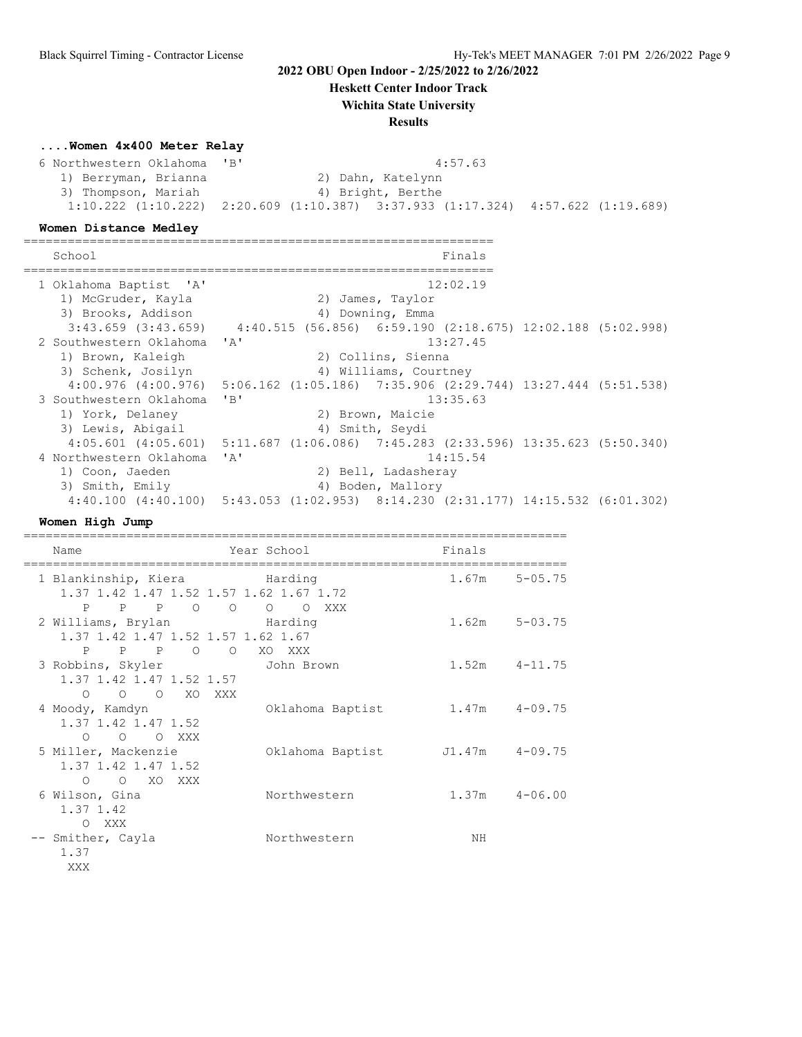**Heskett Center Indoor Track**

## **Wichita State University**

**Results**

#### **....Women 4x400 Meter Relay**

6 Northwestern Oklahoma 'B' 4:57.63<br>1) Berryman, Brianna 2) Dahn, Katelynn 1) Berryman, Brianna 3) Thompson, Mariah 4) Bright, Berthe 1:10.222 (1:10.222) 2:20.609 (1:10.387) 3:37.933 (1:17.324) 4:57.622 (1:19.689)

#### **Women Distance Medley**

================================================================

| School                                                                                           |                                 |                       | Finals   |  |
|--------------------------------------------------------------------------------------------------|---------------------------------|-----------------------|----------|--|
| 1 Oklahoma Baptist 'A'<br>1) McGruder, Kayla                                                     |                                 | 2) James, Taylor      | 12:02.19 |  |
| 3) Brooks, Addison                                                                               |                                 | 4) Downing, Emma      |          |  |
| $3:43.659$ $(3:43.659)$ $4:40.515$ $(56.856)$ $6:59.190$ $(2:18.675)$ $12:02.188$ $(5:02.998)$   |                                 |                       |          |  |
| 2 Southwestern Oklahoma 'A'                                                                      |                                 |                       | 13:27.45 |  |
| 1) Brown, Kaleigh                                                                                |                                 | 2) Collins, Sienna    |          |  |
| 3) Schenk, Josilyn                                                                               |                                 | 4) Williams, Courtney |          |  |
| $4:00.976$ $(4:00.976)$ $5:06.162$ $(1:05.186)$ $7:35.906$ $(2:29.744)$ $13:27.444$ $(5:51.538)$ |                                 |                       |          |  |
| 3 Southwestern Oklahoma                                                                          | $'$ B <sup><math>'</math></sup> |                       | 13:35.63 |  |
| 1) York, Delaney                                                                                 |                                 | 2) Brown, Maicie      |          |  |
| 3) Lewis, Abigail                                                                                |                                 | 4) Smith, Seydi       |          |  |
| 4:05.601 (4:05.601) 5:11.687 (1:06.086) 7:45.283 (2:33.596) 13:35.623 (5:50.340)                 |                                 |                       |          |  |
| 4 Northwestern Oklahoma                                                                          | ' A'                            |                       | 14:15.54 |  |
| 1) Coon, Jaeden                                                                                  |                                 | 2) Bell, Ladasheray   |          |  |
| 3) Smith, Emily                                                                                  |                                 | 4) Boden, Mallory     |          |  |
| 4:40.100 (4:40.100) 5:43.053 (1:02.953) 8:14.230 (2:31.177) 14:15.532 (6:01.302)                 |                                 |                       |          |  |

#### **Women High Jump**

| Name                                                                            | Year School                     |                  | Finals             |                   |
|---------------------------------------------------------------------------------|---------------------------------|------------------|--------------------|-------------------|
| 1 Blankinship, Kiera         Harding<br>1.37 1.42 1.47 1.52 1.57 1.62 1.67 1.72 |                                 |                  |                    | $1.67m$ $5-05.75$ |
| P P P 0 0 0<br>2 Williams, Brylan Barding<br>1.37 1.42 1.47 1.52 1.57 1.62 1.67 |                                 | O XXX            |                    | $1.62m$ $5-03.75$ |
| P P P O<br>3 Robbins, Skyler<br>1.37 1.42 1.47 1.52 1.57                        | $\circ$<br>XO XXX<br>John Brown |                  |                    | $1.52m$ $4-11.75$ |
| O O O XO XXX<br>4 Moody, Kamdyn<br>1.37 1.42 1.47 1.52                          |                                 | Oklahoma Baptist |                    | $1.47m$ $4-09.75$ |
| O O O XXX<br>5 Miller, Mackenzie<br>1.37 1.42 1.47 1.52                         |                                 | Oklahoma Baptist | $J1.47m$ $4-09.75$ |                   |
| O XO XXX<br>$\circ$<br>6 Wilson, Gina<br>1.37 1.42                              |                                 | Northwestern     |                    | $1.37m$ $4-06.00$ |
| O XXX<br>-- Smither, Cayla<br>1.37<br>XXX                                       |                                 | Northwestern     | NΗ                 |                   |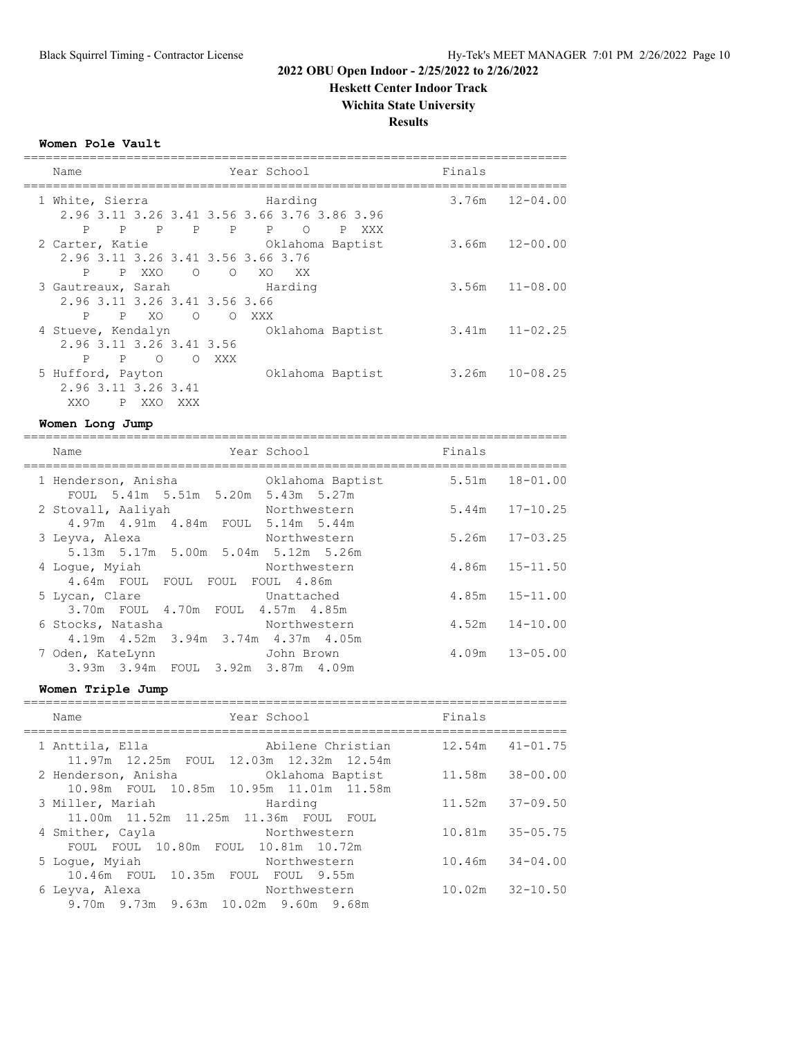**Heskett Center Indoor Track**

**Wichita State University**

**Results**

**Women Pole Vault**

| Name                       |                                    | Year School        |                                              | Finals |                    |
|----------------------------|------------------------------------|--------------------|----------------------------------------------|--------|--------------------|
| 1 White, Sierra            |                                    | Harding            |                                              |        | $3.76m$ $12-04.00$ |
|                            |                                    |                    | 2.96 3.11 3.26 3.41 3.56 3.66 3.76 3.86 3.96 |        |                    |
| P                          | P P P P P                          |                    | $\circ$<br>P<br>XXX                          |        |                    |
| 2 Carter, Katie            |                                    |                    | Oklahoma Baptist                             |        | $3.66m$ $12-00.00$ |
|                            | 2.96 3.11 3.26 3.41 3.56 3.66 3.76 |                    |                                              |        |                    |
| P P XXO                    |                                    | $\circ$ 0 0<br>XO. | xx xx                                        |        |                    |
| 3 Gautreaux, Sarah Marding |                                    |                    |                                              |        | $3.56m$ $11-08.00$ |
|                            | 2.96 3.11 3.26 3.41 3.56 3.66      |                    |                                              |        |                    |
| P                          | PXO O OXXX                         |                    |                                              |        |                    |
| 4 Stueve, Kendalyn         |                                    |                    | Oklahoma Baptist                             |        | $3.41m$ $11-02.25$ |
|                            | 2.96 3.11 3.26 3.41 3.56           |                    |                                              |        |                    |
| P                          | $P \qquad \Omega$                  | O XXX              |                                              |        |                    |
| 5 Hufford, Payton          |                                    |                    | Oklahoma Baptist                             | 3.26m  | $10 - 08.25$       |
| 2.96 3.11 3.26 3.41        |                                    |                    |                                              |        |                    |
| XXO                        | P XXO<br>XXX                       |                    |                                              |        |                    |

#### **Women Long Jump**

| Name                                                                              | Year School  | Finals |                    |
|-----------------------------------------------------------------------------------|--------------|--------|--------------------|
| 1 Henderson, Anisha (2008) Oklahoma Baptist<br>FOUL 5.41m 5.51m 5.20m 5.43m 5.27m |              |        | 5.51m 18-01.00     |
| 2 Stovall, Aaliyah<br>4.97m 4.91m 4.84m FOUL 5.14m 5.44m                          | Northwestern |        | $5.44m$ $17-10.25$ |
| 3 Leyva, Alexa<br>5.13m 5.17m 5.00m 5.04m 5.12m 5.26m                             | Northwestern |        | $5.26m$ $17-03.25$ |
| 4 Loque, Myiah<br>4.64m FOUL FOUL FOUL FOUL 4.86m                                 | Northwestern |        | $4.86m$ $15-11.50$ |
| 5 Lycan, Clare<br>Unattached<br>3.70m FOUL 4.70m FOUL 4.57m 4.85m                 |              |        | $4.85m$ $15-11.00$ |
| Northwestern<br>6 Stocks, Natasha<br>4.19m  4.52m  3.94m  3.74m  4.37m  4.05m     |              |        | $4.52m$ $14-10.00$ |
| 7 Oden, KateLynn<br>John Brown<br>3.93m 3.94m FOUL 3.92m 3.87m 4.09m              |              |        | $4.09m$ $13-05.00$ |

**Women Triple Jump**

| Name                                                           | Year School                                                  | Finals |                     |
|----------------------------------------------------------------|--------------------------------------------------------------|--------|---------------------|
| 1 Anttila, Ella                                                | Abilene Christian<br>11.97m 12.25m FOUL 12.03m 12.32m 12.54m |        | $12.54m$ $41-01.75$ |
| 2 Henderson, Anisha (2008) 2 December 2016                     | 10.98m FOUL 10.85m 10.95m 11.01m 11.58m                      |        | 11.58m 38-00.00     |
| 3 Miller, Mariah<br>11.00m  11.52m  11.25m  11.36m  FOUL  FOUL | Harding                                                      |        | $11.52m$ $37-09.50$ |
| 4 Smither, Cayla<br>FOUL FOUL 10.80m FOUL 10.81m 10.72m        | Northwestern                                                 |        | 10.81m 35-05.75     |
| 5 Loque, Myiah<br>10.46m FOUL 10.35m FOUL FOUL 9.55m           | Northwestern                                                 |        | $10.46m$ $34-04.00$ |
| 6 Leyva, Alexa<br>9.70m 9.73m 9.63m 10.02m 9.60m 9.68m         | Northwestern                                                 |        | $10.02m$ $32-10.50$ |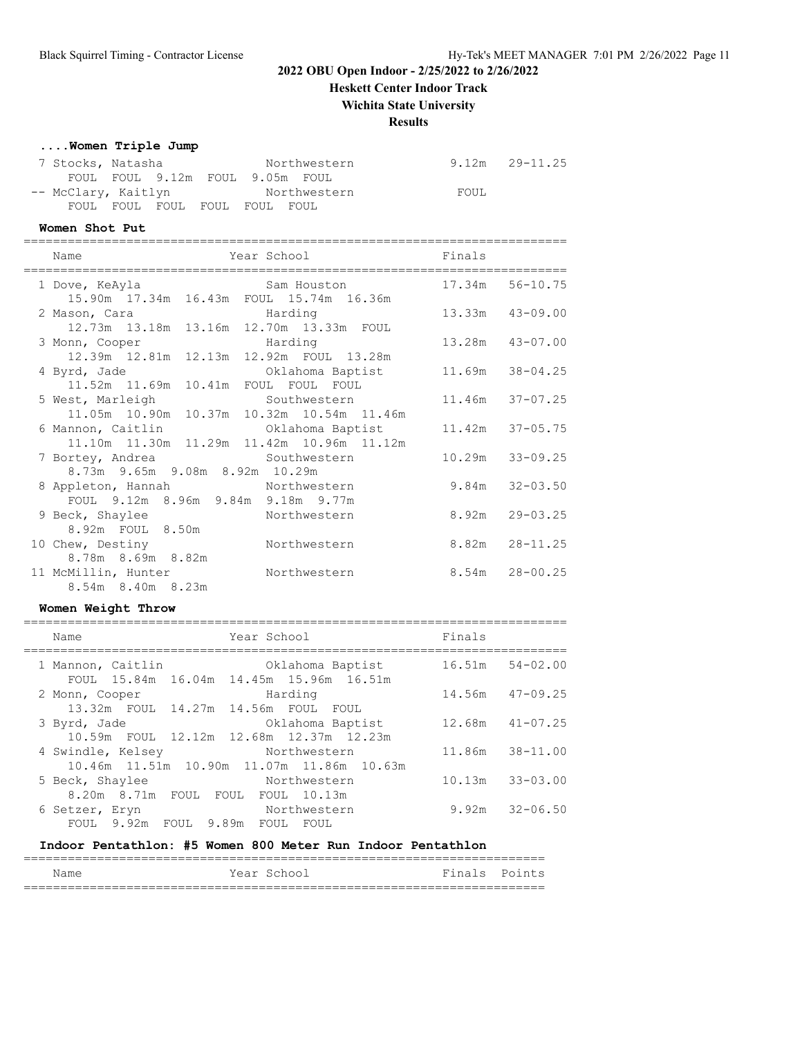**Heskett Center Indoor Track**

## **Wichita State University**

## **Results**

#### **....Women Triple Jump**

| 7 Stocks, Natasha   |  |                               | Northwestern                    |      | $9.12m$ $29-11.25$ |
|---------------------|--|-------------------------------|---------------------------------|------|--------------------|
|                     |  |                               | FOUL FOUL 9.12m FOUL 9.05m FOUL |      |                    |
| -- McClary, Kaitlyn |  |                               | Northwestern                    | FOUL |                    |
|                     |  | FOUL FOUL FOUL FOUL FOUL FOUL |                                 |      |                    |

#### **Women Shot Put**

| Name                                           | Year School      | Finals              |                    |
|------------------------------------------------|------------------|---------------------|--------------------|
| 1 Dove, KeAyla                                 | Sam Houston      | 17.34m 56-10.75     |                    |
| 15.90m  17.34m  16.43m  FOUL  15.74m  16.36m   |                  |                     |                    |
| 2 Mason, Cara                                  | Harding          | 13.33m 43-09.00     |                    |
| 12.73m  13.18m  13.16m  12.70m  13.33m  FOUL   |                  |                     |                    |
| 3 Monn, Cooper                                 | Harding          | 13.28m  43-07.00    |                    |
| 12.39m 12.81m 12.13m 12.92m FOUL 13.28m        |                  |                     |                    |
| 4 Byrd, Jade                                   | Oklahoma Baptist | 11.69m 38-04.25     |                    |
| 11.52m  11.69m  10.41m  FOUL  FOUL  FOUL       |                  |                     |                    |
| 5 West, Marleigh                               | Southwestern     | 11.46m 37-07.25     |                    |
| 11.05m  10.90m  10.37m  10.32m  10.54m  11.46m |                  |                     |                    |
| 6 Mannon, Caitlin                              | Oklahoma Baptist | $11.42m$ $37-05.75$ |                    |
| 11.10m  11.30m  11.29m  11.42m  10.96m  11.12m |                  |                     |                    |
| 7 Bortey, Andrea                               | Southwestern     | 10.29m              | $33 - 09.25$       |
| 8.73m 9.65m 9.08m 8.92m 10.29m                 |                  |                     |                    |
| 8 Appleton, Hannah                             | Northwestern     | 9.84m               | $32 - 03.50$       |
| FOUL 9.12m 8.96m 9.84m 9.18m 9.77m             |                  |                     |                    |
| 9 Beck, Shaylee                                | Northwestern     | 8.92m               | $29 - 03.25$       |
| 8.92m FOUL 8.50m                               |                  |                     |                    |
| 10 Chew, Destiny                               | Northwestern     | 8.82m               | $28 - 11.25$       |
| 8.78m 8.69m 8.82m                              |                  |                     |                    |
| 11 McMillin, Hunter                            | Northwestern     |                     | $8.54m$ $28-00.25$ |
| 8.54m 8.40m 8.23m                              |                  |                     |                    |

#### **Women Weight Throw**

| Name                                                 | Year School                                                 | Finals |                     |
|------------------------------------------------------|-------------------------------------------------------------|--------|---------------------|
| 1 Mannon, Caitlin                                    | Oklahoma Baptist<br>FOUL 15.84m 16.04m 14.45m 15.96m 16.51m |        | $16.51m$ $54-02.00$ |
| 2 Monn, Cooper                                       | Harding                                                     |        | $14.56m$ $47-09.25$ |
| 13.32m FOUL 14.27m 14.56m FOUL FOUL<br>3 Byrd, Jade  | Oklahoma Baptist                                            |        | $12.68m$ $41-07.25$ |
| 4 Swindle, Kelsey                                    | 10.59m FOUL 12.12m 12.68m 12.37m 12.23m<br>Northwestern     |        | 11.86m  38-11.00    |
|                                                      | 10.46m  11.51m  10.90m  11.07m  11.86m  10.63m              |        |                     |
| 5 Beck, Shaylee<br>8.20m 8.71m FOUL FOUL FOUL 10.13m | Northwestern                                                |        | $10.13m$ $33-03.00$ |
| 6 Setzer, Eryn<br>FOUL 9.92m FOUL 9.89m FOUL FOUL    | Northwestern                                                |        | $9.92m$ $32-06.50$  |
|                                                      |                                                             |        |                     |

#### **Indoor Pentathlon: #5 Women 800 Meter Run Indoor Pentathlon**

| Name | Year School | Finals Points |
|------|-------------|---------------|
|      |             |               |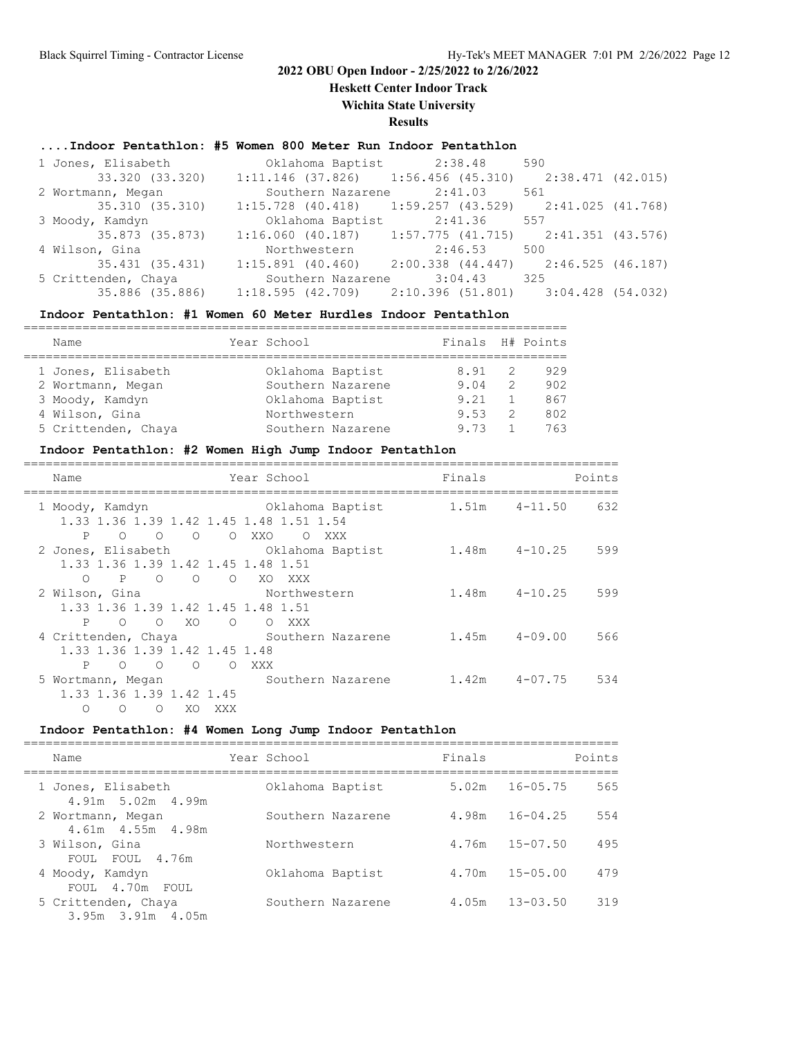**Heskett Center Indoor Track**

#### **Wichita State University**

## **Results**

#### **....Indoor Pentathlon: #5 Women 800 Meter Run Indoor Pentathlon**

| 1 Jones, Elisabeth  | Oklahoma Baptist 2:38.48 590                                |                           |     |  |
|---------------------|-------------------------------------------------------------|---------------------------|-----|--|
| 33.320 (33.320)     | $1:11.146$ (37.826) 1:56.456 (45.310) 2:38.471 (42.015)     |                           |     |  |
| 2 Wortmann, Megan   |                                                             | Southern Nazarene 2:41.03 | 561 |  |
| 35.310 (35.310)     | $1:15.728$ (40.418) 1:59.257 (43.529) 2:41.025 (41.768)     |                           |     |  |
| 3 Moody, Kamdyn     | Oklahoma Baptist 2:41.36 557                                |                           |     |  |
| 35.873 (35.873)     | $1:16.060$ (40.187) $1:57.775$ (41.715) $2:41.351$ (43.576) |                           |     |  |
| 4 Wilson, Gina      | Northwestern 2:46.53 500                                    |                           |     |  |
| 35.431 (35.431)     | $1:15.891$ (40.460) $2:00.338$ (44.447) $2:46.525$ (46.187) |                           |     |  |
| 5 Crittenden, Chaya | Southern Nazarene 3:04.43 325                               |                           |     |  |
| 35.886 (35.886)     | $1:18.595$ (42.709) $2:10.396$ (51.801) $3:04.428$ (54.032) |                           |     |  |

#### **Indoor Pentathlon: #1 Women 60 Meter Hurdles Indoor Pentathlon**

| Name                | Year School       | Finals H# Points |               |     |
|---------------------|-------------------|------------------|---------------|-----|
|                     |                   |                  |               |     |
| 1 Jones, Elisabeth  | Oklahoma Baptist  | 8.91             | - 2           | 929 |
| 2 Wortmann, Megan   | Southern Nazarene | 9.04             | $\mathcal{L}$ | 902 |
| 3 Moody, Kamdyn     | Oklahoma Baptist  | 9.21             |               | 867 |
| 4 Wilson, Gina      | Northwestern      | 9.53             | 2             | 802 |
| 5 Crittenden, Chaya | Southern Nazarene | 973              |               | 763 |

#### **Indoor Pentathlon: #2 Women High Jump Indoor Pentathlon**

| Points |                   | Finals            | Year School                                                 |                                    |                |            | Name                     |  |
|--------|-------------------|-------------------|-------------------------------------------------------------|------------------------------------|----------------|------------|--------------------------|--|
| 632    |                   | $1.51m$ $4-11.50$ | Oklahoma Baptist<br>1.33 1.36 1.39 1.42 1.45 1.48 1.51 1.54 |                                    |                |            | 1 Moody, Kamdyn          |  |
|        |                   |                   | XXX<br>$\Omega$                                             | O XXO                              | $\Omega$       | $\bigcirc$ | P<br>$\Omega$            |  |
| 599    | $1.48m$ $4-10.25$ |                   | 2 Jones, Elisabeth Cklahoma Baptist                         |                                    |                |            |                          |  |
|        |                   |                   |                                                             | 1.33 1.36 1.39 1.42 1.45 1.48 1.51 |                |            |                          |  |
|        |                   |                   | XO XXX                                                      | $\circ$ $\circ$                    |                | $P$ 0      | $\circ$                  |  |
| 599    | $1.48m$ $4-10.25$ |                   | Northwestern                                                |                                    |                |            | 2 Wilson, Gina           |  |
|        |                   |                   |                                                             | 1.33 1.36 1.39 1.42 1.45 1.48 1.51 |                |            |                          |  |
|        |                   |                   | O XXX                                                       | $\circ$                            | XO             | $\Omega$   | P<br>$\Omega$            |  |
| 566    | $1.45m$ $4-09.00$ |                   | 4 Crittenden, Chaya Mouthern Nazarene                       |                                    |                |            |                          |  |
|        |                   |                   |                                                             | 1.33 1.36 1.39 1.42 1.45 1.48      |                |            |                          |  |
|        |                   |                   | XXX                                                         | $\circ$                            | $\overline{O}$ | $\bigcirc$ | P<br>$\bigcirc$          |  |
| 534    |                   | $1.42m$ $4-07.75$ | Southern Nazarene                                           |                                    |                |            | 5 Wortmann, Megan        |  |
|        |                   |                   |                                                             |                                    |                |            | 1.33 1.36 1.39 1.42 1.45 |  |
|        |                   |                   |                                                             | XXX                                | XO.            | $\bigcirc$ | $\Omega$<br>$\Omega$     |  |

## **Indoor Pentathlon: #4 Women Long Jump Indoor Pentathlon**

| Name                                           | Year School       | Finals |              | Points |
|------------------------------------------------|-------------------|--------|--------------|--------|
| 1 Jones, Elisabeth<br>$4.91m$ 5.02m $4.99m$    | Oklahoma Baptist  | 5.02m  | $16 - 05.75$ | 565    |
| 2 Wortmann, Megan<br>4.61m  4.55m  4.98m       | Southern Nazarene | 4.98m  | $16 - 04.25$ | 554    |
| 3 Wilson, Gina<br>FOUL FOUL 4.76m              | Northwestern      | 4.76m  | $15 - 07.50$ | 495    |
| 4 Moody, Kamdyn<br>FOUL 4.70m FOUL             | Oklahoma Baptist  | 4.70m  | $15 - 05.00$ | 479    |
| 5 Crittenden, Chaya<br>$3.95m$ $3.91m$ $4.05m$ | Southern Nazarene | 4.05m  | $13 - 03.50$ | 319    |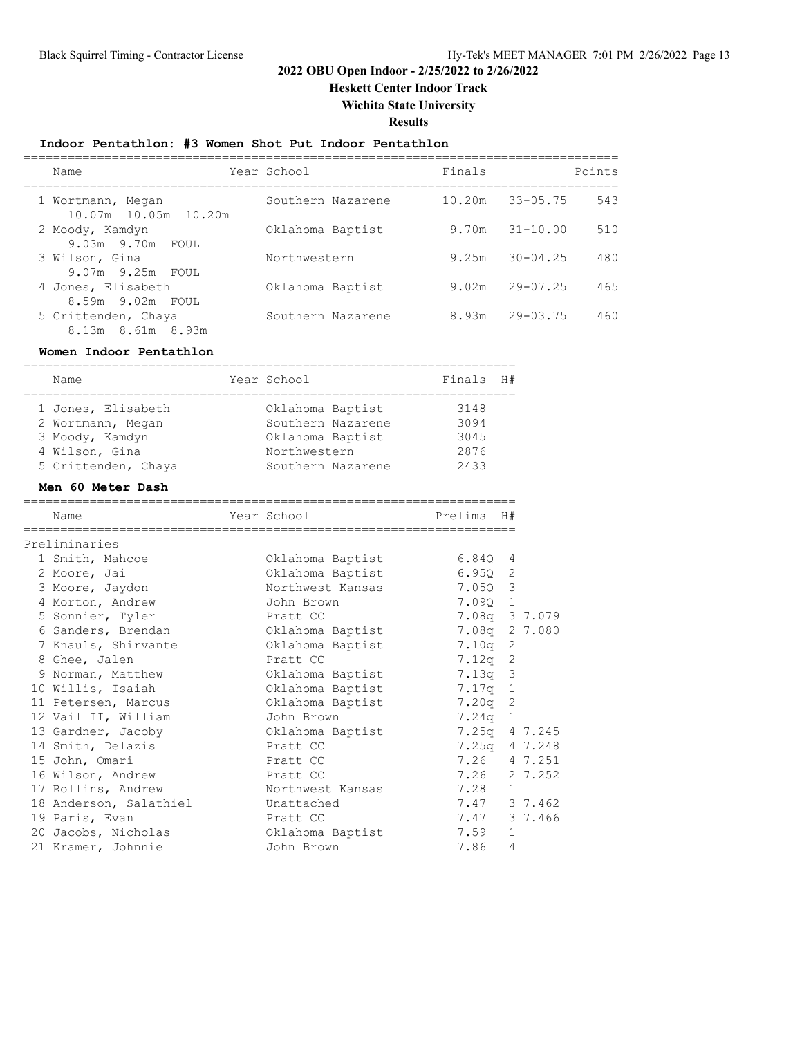**Heskett Center Indoor Track**

**Wichita State University**

**Results**

## **Indoor Pentathlon: #3 Women Shot Put Indoor Pentathlon**

| Name                                           | Year School       | Finals |              | Points |
|------------------------------------------------|-------------------|--------|--------------|--------|
| 1 Wortmann, Megan<br>10.07m 10.05m 10.20m      | Southern Nazarene | 10.20m | $33 - 05.75$ | 543    |
| 2 Moody, Kamdyn<br>9.03m 9.70m FOUL            | Oklahoma Baptist  | 9.70m  | $31 - 10.00$ | 510    |
| 3 Wilson, Gina                                 | Northwestern      | 9.25m  | $30 - 04.25$ | 480    |
| 9.07m 9.25m FOUL<br>4 Jones, Elisabeth         | Oklahoma Baptist  | 9.02m  | $29 - 07.25$ | 465    |
| 8.59m 9.02m FOUL                               |                   |        |              |        |
| 5 Crittenden, Chaya<br>$8.13m$ $8.61m$ $8.93m$ | Southern Nazarene | 8.93m  | $29 - 03.75$ | 460    |

#### **Women Indoor Pentathlon**

| Name                   | Year School       | Finals        | H#             |         |
|------------------------|-------------------|---------------|----------------|---------|
| 1 Jones, Elisabeth     | Oklahoma Baptist  | 3148          |                |         |
| 2 Wortmann, Megan      | Southern Nazarene | 3094          |                |         |
| 3 Moody, Kamdyn        | Oklahoma Baptist  | 3045          |                |         |
| 4 Wilson, Gina         | Northwestern      | 2876          |                |         |
| 5 Crittenden, Chaya    | Southern Nazarene | 2433          |                |         |
| Men 60 Meter Dash      |                   |               |                |         |
| Name                   | Year School       | Prelims H#    |                |         |
| Preliminaries          |                   |               |                |         |
| 1 Smith, Mahcoe        | Oklahoma Baptist  | 6.840         | 4              |         |
| 2 Moore, Jai           | Oklahoma Baptist  | 6.950         | 2              |         |
| 3 Moore, Jaydon        | Northwest Kansas  | 7.050         | 3              |         |
| 4 Morton, Andrew       | John Brown        | 7.09Q 1       |                |         |
| 5 Sonnier, Tyler       | Pratt CC          | 7.08q 3 7.079 |                |         |
| 6 Sanders, Brendan     | Oklahoma Baptist  | 7.08q         |                | 2 7.080 |
| 7 Knauls, Shirvante    | Oklahoma Baptist  | 7.10q         | 2              |         |
| 8 Ghee, Jalen          | Pratt CC          | 7.12g         | 2              |         |
| 9 Norman, Matthew      | Oklahoma Baptist  | 7.13q         | $\mathfrak{Z}$ |         |
| 10 Willis, Isaiah      | Oklahoma Baptist  | 7.17q         | $\mathbf{1}$   |         |
| 11 Petersen, Marcus    | Oklahoma Baptist  | 7.20q         | $\mathbf{2}$   |         |
| 12 Vail II, William    | John Brown        | 7.24q         | $\mathbf{1}$   |         |
| 13 Gardner, Jacoby     | Oklahoma Baptist  | 7.25q         |                | 4 7.245 |
| 14 Smith, Delazis      | Pratt CC          | 7.25q         |                | 4 7.248 |
| 15 John, Omari         | Pratt CC          | 7.26          |                | 4 7.251 |
| 16 Wilson, Andrew      | Pratt CC          | 7.26          |                | 2 7.252 |
| 17 Rollins, Andrew     | Northwest Kansas  | 7.28          | 1.             |         |
| 18 Anderson, Salathiel | Unattached        | 7.47 3 7.462  |                |         |
| 19 Paris, Evan         | Pratt CC          | 7.47 3 7.466  |                |         |
| 20 Jacobs, Nicholas    | Oklahoma Baptist  | 7.59          | 1              |         |
| 21 Kramer, Johnnie     | John Brown        | 7.86          | 4              |         |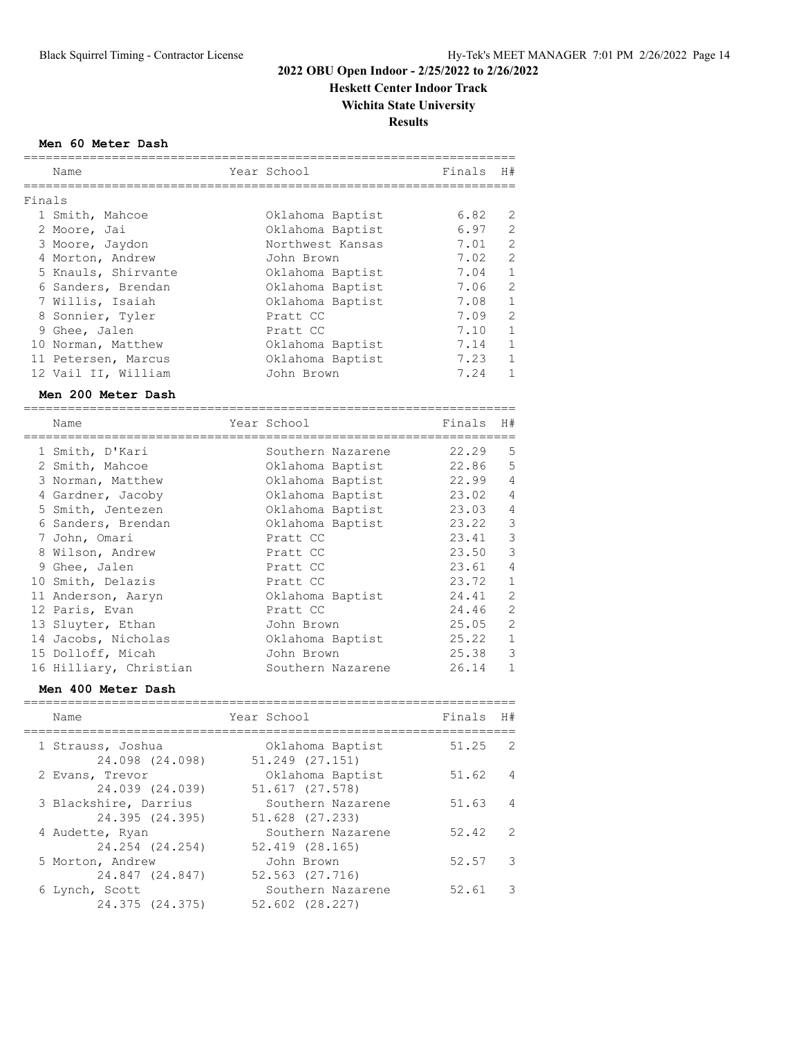**Heskett Center Indoor Track**

**Wichita State University**

**Results**

#### **Men 60 Meter Dash**

|        | Name                   | Year School       | Finals | H#             |
|--------|------------------------|-------------------|--------|----------------|
| Finals |                        |                   |        |                |
|        | 1 Smith, Mahcoe        | Oklahoma Baptist  | 6.82   | 2              |
|        | 2 Moore, Jai           | Oklahoma Baptist  | 6.97   | 2              |
|        | 3 Moore, Jaydon        | Northwest Kansas  | 7.01   | $\overline{2}$ |
|        | 4 Morton, Andrew       | John Brown        | 7.02   | $\overline{2}$ |
|        | 5 Knauls, Shirvante    | Oklahoma Baptist  | 7.04   | $\mathbf{1}$   |
|        | 6 Sanders, Brendan     | Oklahoma Baptist  | 7.06   | $\overline{2}$ |
|        | 7 Willis, Isaiah       | Oklahoma Baptist  | 7.08   | $\mathbf{1}$   |
|        | 8 Sonnier, Tyler       | Pratt CC          | 7.09   | $\overline{2}$ |
|        | 9 Ghee, Jalen          | Pratt CC          | 7.10   | $\mathbf{1}$   |
|        | 10 Norman, Matthew     | Oklahoma Baptist  | 7.14   | $\mathbf{1}$   |
|        | 11 Petersen, Marcus    | Oklahoma Baptist  | 7.23   | $\mathbf{1}$   |
|        | 12 Vail II, William    | John Brown        | 7.24   | $\mathbf{1}$   |
|        | Men 200 Meter Dash     |                   |        |                |
|        | Name                   | Year School       | Finals | H#             |
|        | 1 Smith, D'Kari        | Southern Nazarene | 22.29  | 5              |
|        | 2 Smith, Mahcoe        | Oklahoma Baptist  | 22.86  | 5              |
|        | 3 Norman, Matthew      | Oklahoma Baptist  | 22.99  | $\overline{4}$ |
|        | 4 Gardner, Jacoby      | Oklahoma Baptist  | 23.02  | $\overline{4}$ |
|        | 5 Smith, Jentezen      | Oklahoma Baptist  | 23.03  | 4              |
|        | 6 Sanders, Brendan     | Oklahoma Baptist  | 23.22  | 3              |
|        | 7 John, Omari          | Pratt CC          | 23.41  | 3              |
|        | 8 Wilson, Andrew       | Pratt CC          | 23.50  | 3              |
|        | 9 Ghee, Jalen          | Pratt CC          | 23.61  | 4              |
|        | 10 Smith, Delazis      | Pratt CC          | 23.72  | $\mathbf{1}$   |
|        | 11 Anderson, Aaryn     | Oklahoma Baptist  | 24.41  | $\overline{2}$ |
|        | 12 Paris, Evan         | Pratt CC          | 24.46  | $\overline{c}$ |
|        | 13 Sluyter, Ethan      | John Brown        | 25.05  | $\overline{2}$ |
|        | 14 Jacobs, Nicholas    | Oklahoma Baptist  | 25.22  | $\mathbf{1}$   |
|        | 15 Dolloff, Micah      | John Brown        | 25.38  | 3              |
|        | 16 Hilliary, Christian | Southern Nazarene | 26.14  | $\mathbf{1}$   |

#### **Men 400 Meter Dash**

| Name                                     | Year School                             | Finals | H#             |
|------------------------------------------|-----------------------------------------|--------|----------------|
| 1 Strauss, Joshua<br>24.098 (24.098)     | Oklahoma Baptist<br>$51.249$ $(27.151)$ | 51.25  | - 2            |
| 2 Evans, Trevor<br>24.039 (24.039)       | Oklahoma Baptist<br>51.617 (27.578)     | 51.62  | $\overline{4}$ |
| 3 Blackshire, Darrius<br>24.395 (24.395) | Southern Nazarene<br>51.628 (27.233)    | 51.63  | $\overline{4}$ |
| 4 Audette, Ryan<br>24.254 (24.254)       | Southern Nazarene<br>52.419 (28.165)    | 52.42  | $\overline{2}$ |
| 5 Morton, Andrew<br>24.847 (24.847)      | John Brown<br>52.563 (27.716)           | 52.57  | -3             |
| 6 Lynch, Scott<br>24.375 (24.375)        | Southern Nazarene<br>52.602 (28.227)    | 52.61  | -3             |
|                                          |                                         |        |                |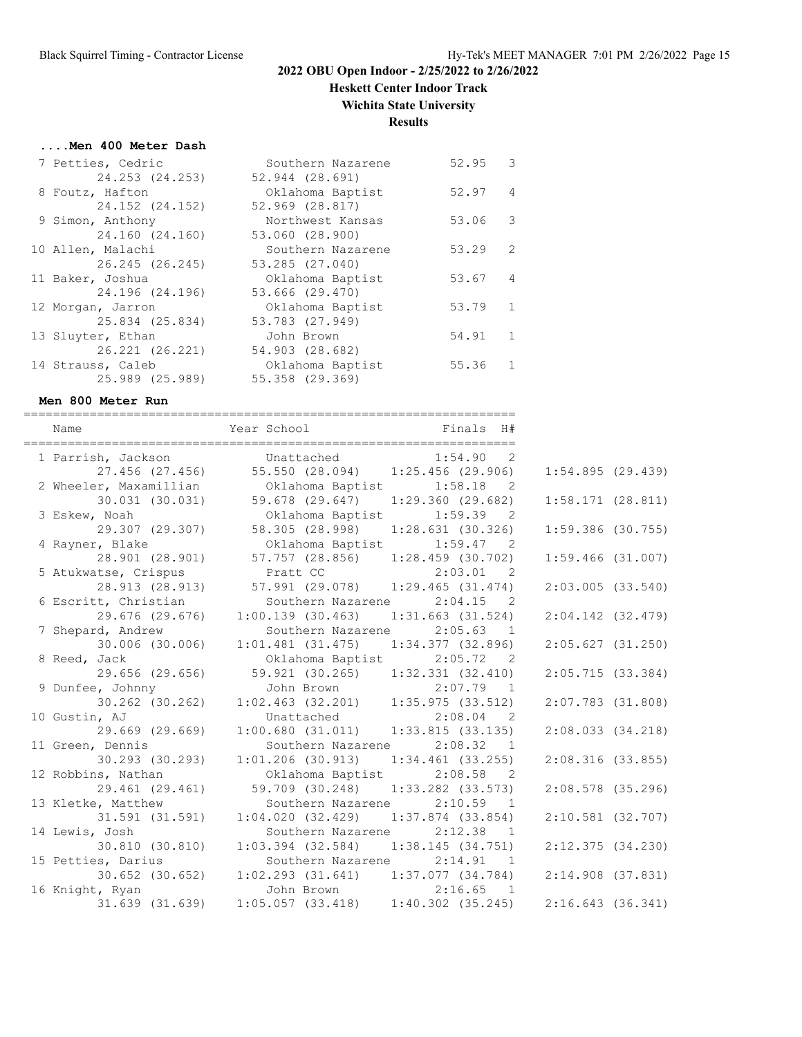**Heskett Center Indoor Track**

**Wichita State University**

# **Results**

#### **....Men 400 Meter Dash**

| 7 Petties, Cedric | Southern Nazarene   | 52.95 | -3                      |
|-------------------|---------------------|-------|-------------------------|
| 24.253 (24.253)   | 52.944 (28.691)     |       |                         |
| 8 Foutz, Hafton   | Oklahoma Baptist    | 52.97 | $\overline{4}$          |
| 24.152 (24.152)   | $52.969$ $(28.817)$ |       |                         |
| 9 Simon, Anthony  | Northwest Kansas    | 53.06 | $\overline{\mathbf{3}}$ |
| 24.160 (24.160)   | 53.060 (28.900)     |       |                         |
| 10 Allen, Malachi | Southern Nazarene   | 53.29 | $\mathcal{L}$           |
| 26.245 (26.245)   | 53.285 (27.040)     |       |                         |
| 11 Baker, Joshua  | Oklahoma Baptist    | 53.67 | 4                       |
| 24.196 (24.196)   | 53.666 (29.470)     |       |                         |
| 12 Morgan, Jarron | Oklahoma Baptist    | 53.79 | $\overline{1}$          |
| 25.834 (25.834)   | 53.783 (27.949)     |       |                         |
| 13 Sluyter, Ethan | John Brown          | 54.91 | $\overline{1}$          |
| 26.221 (26.221)   | 54.903 (28.682)     |       |                         |
| 14 Strauss, Caleb | Oklahoma Baptist    | 55.36 | -1.                     |
| 25.989 (25.989)   | 55.358 (29.369)     |       |                         |

#### **Men 800 Meter Run**

| Name                   |                                                             |                                   |                       |  |
|------------------------|-------------------------------------------------------------|-----------------------------------|-----------------------|--|
| 1 Parrish, Jackson     | Unattached                                                  | 1:54.90<br>$\overline{2}$         |                       |  |
| 27.456 (27.456)        |                                                             | 55.550 (28.094) 1:25.456 (29.906) | 1:54.895(29.439)      |  |
| 2 Wheeler, Maxamillian | Oklahoma Baptist                                            | 1:58.18<br>$\overline{2}$         |                       |  |
| 30.031 (30.031)        | 59.678 (29.647) 1:29.360 (29.682)                           |                                   | 1:58.171(28.811)      |  |
| 3 Eskew, Noah          |                                                             | Oklahoma Baptist 1:59.39 2        |                       |  |
| 29.307 (29.307)        |                                                             | 58.305 (28.998) 1:28.631 (30.326) | $1:59.386$ (30.755)   |  |
| 4 Rayner, Blake        | Oklahoma Baptist                                            | 1:59.47<br>$\overline{2}$         |                       |  |
| 28.901 (28.901)        | 57.757 (28.856) 1:28.459 (30.702)                           |                                   | $1:59.466$ (31.007)   |  |
| 5 Atukwatse, Crispus   | Pratt CC                                                    | 2:03.01 2                         |                       |  |
| 28.913 (28.913)        |                                                             | 57.991 (29.078) 1:29.465 (31.474) | $2:03.005$ $(33.540)$ |  |
| 6 Escritt, Christian   |                                                             | Southern Nazarene 2:04.15 2       |                       |  |
| 29.676 (29.676)        | 1:00.139(30.463)                                            | $1:31.663$ $(31.524)$             | $2:04.142$ $(32.479)$ |  |
| 7 Shepard, Andrew      |                                                             | Southern Nazarene 2:05.63 1       |                       |  |
| 30.006 (30.006)        | $1:01.481$ (31.475)                                         | 1:34.377 (32.896)                 | 2:05.627(31.250)      |  |
| 8 Reed, Jack           | Oklahoma Baptist                                            | 2:05.72<br>$\overline{2}$         |                       |  |
| 29.656 (29.656)        | 59.921 (30.265) 1:32.331 (32.410)                           |                                   | 2:05.715(33.384)      |  |
| 9 Dunfee, Johnny       |                                                             | $2:07.79$ 1                       |                       |  |
| $30.262$ $(30.262)$    | John Brown 2:07.79 1<br>1:02.463 (32.201) 1:35.975 (33.512) |                                   | $2:07.783$ (31.808)   |  |
| 10 Gustin, AJ          |                                                             |                                   |                       |  |
| 29.669 (29.669)        | Unattached 2:08.04 2<br>1:00.680 (31.011) 1:33.815 (33.135) |                                   | $2:08.033$ $(34.218)$ |  |
| 11 Green, Dennis       | Southern Nazarene                                           | 2:08.32 1                         |                       |  |
| 30.293 (30.293)        | $1:01.206$ (30.913)                                         | $1:34.461$ (33.255)               | $2:08.316$ (33.855)   |  |
| 12 Robbins, Nathan     | Oklahoma Baptist                                            | 2:08.58<br>$\overline{2}$         |                       |  |
| 29.461 (29.461)        | 59.709 (30.248)                                             | $1:33.282$ (33.573)               | $2:08.578$ (35.296)   |  |
| 13 Kletke, Matthew     | Southern Nazarene                                           | 2:10.59<br>$\overline{1}$         |                       |  |
| 31.591 (31.591)        | 1:04.020(32.429)                                            | $1:37.874$ (33.854)               | $2:10.581$ (32.707)   |  |
| 14 Lewis, Josh         |                                                             | Southern Nazarene 2:12.38 1       |                       |  |
| 30.810 (30.810)        | $1:03.394$ (32.584) $1:38.145$ (34.751)                     |                                   | 2:12.375(34.230)      |  |
| 15 Petties, Darius     | Southern Nazarene                                           | 2:14.91<br>$\overline{1}$         |                       |  |
| $30.652$ $(30.652)$    | $1:02.293$ $(31.641)$ $1:37.077$ $(34.784)$                 |                                   | $2:14.908$ (37.831)   |  |
| 16 Knight, Ryan        | John Brown                                                  | 2:16.65<br>$\overline{1}$         |                       |  |
| $31.639$ $(31.639)$    | $1:05.057$ (33.418) $1:40.302$ (35.245)                     |                                   | $2:16.643$ (36.341)   |  |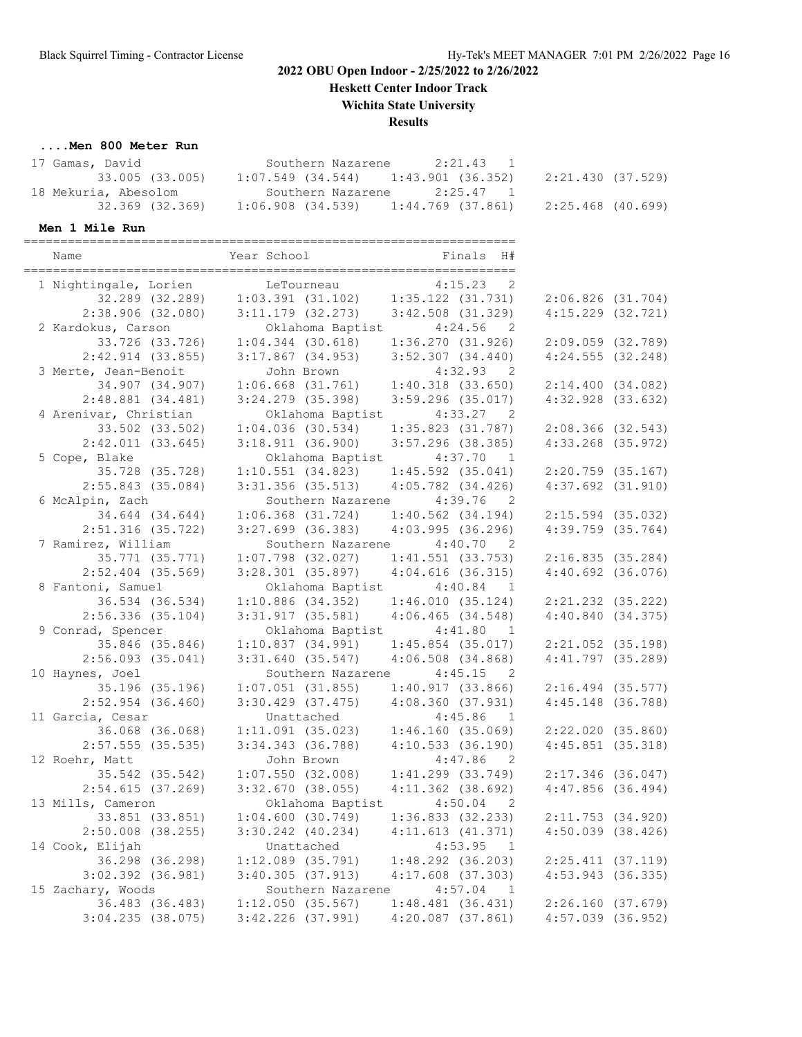# **Heskett Center Indoor Track**

**Wichita State University**

**Results**

#### **....Men 800 Meter Run**

| 17 Gamas, David      | 2:21.43 1<br>Southern Nazarene          |                   |
|----------------------|-----------------------------------------|-------------------|
| 33.005 (33.005)      | $1:07.549$ (34.544) $1:43.901$ (36.352) | 2:21.430 (37.529) |
| 18 Mekuria, Abesolom | Southern Nazarene<br>2:25.47 1          |                   |
| 32.369 (32.369)      | 1:06.908 (34.539)<br>1:44.769 (37.861)  | 2:25.468 (40.699) |

#### **Men 1 Mile Run**

| 1 Nightingale, Lorien<br>4:15.23<br>$\overline{\phantom{0}}^2$<br>LeTourneau<br>32.289 (32.289)<br>$1:03.391$ $(31.102)$<br>$1:35.122$ $(31.731)$<br>$2:06.826$ $(31.704)$<br>2:38.906(32.080)<br>$3:11.179$ (32.273)<br>$3:42.508$ (31.329)<br>$4:15.229$ $(32.721)$<br>2 Kardokus, Carson<br>Oklahoma Baptist<br>4:24.56<br>$\overline{2}$<br>33.726 (33.726)<br>$1:04.344$ (30.618)<br>1:36.270(31.926)<br>$2:09.059$ $(32.789)$<br>$3:52.307$ (34.440)<br>$4:24.555$ (32.248)<br>$2:42.914$ (33.855)<br>$3:17.867$ (34.953)<br>3 Merte, Jean-Benoit<br>4:32.93 2<br>John Brown<br>$1:40.318$ (33.650)<br>34.907 (34.907)<br>$1:06.668$ $(31.761)$<br>2:14.400(34.082)<br>$2:48.881$ (34.481)<br>$3:24.279$ (35.398)<br>$3:59.296$ (35.017)<br>$4:32.928$ $(33.632)$<br>4 Arenivar, Christian<br>Oklahoma Baptist<br>4:33.27<br>$\overline{2}$<br>$1:04.036$ (30.534)<br>$1:35.823$ (31.787)<br>$2:08.366$ (32.543)<br>33.502 (33.502)<br>$2:42.011$ (33.645)<br>3:18.911(36.900)<br>4:33.268 (35.972)<br>3:57.296 (38.385)<br>5 Cope, Blake<br>Oklahoma Baptist<br>4:37.70<br>$\overline{1}$<br>35.728 (35.728)<br>1:10.551(34.823)<br>$1:45.592$ (35.041)<br>$2:20.759$ (35.167)<br>$2:55.843$ (35.084)<br>$3:31.356$ (35.513)<br>$4:05.782$ (34.426)<br>$4:37.692$ $(31.910)$<br>6 McAlpin, Zach<br>Southern Nazarene<br>4:39.76<br>$\overline{2}$<br>34.644 (34.644)<br>$1:06.368$ $(31.724)$<br>$1:40.562$ (34.194)<br>$2:15.594$ (35.032)<br>$4:39.759$ (35.764)<br>$2:51.316$ (35.722)<br>$3:27.699$ (36.383)<br>4:03.995(36.296)<br>7 Ramirez, William<br>Southern Nazarene 4:40.70 2<br>$1:07.798$ (32.027)<br>$1:41.551$ (33.753)<br>2:16.835(35.284)<br>35.771 (35.771)<br>$2:52.404$ (35.569)<br>$3:28.301$ (35.897)<br>$4:04.616$ (36.315)<br>$4:40.692$ (36.076)<br>8 Fantoni, Samuel<br>Oklahoma Baptist<br>4:40.84<br>$\overline{1}$<br>$1:10.886$ (34.352)<br>1:46.010(35.124)<br>$2:21.232$ (35.222)<br>36.534 (36.534)<br>$3:31.917$ (35.581)<br>4:40.840(34.375)<br>$2:56.336$ (35.104)<br>4:06.465(34.548)<br>9 Conrad, Spencer<br>Oklahoma Baptist<br>4:41.80<br>$\overline{1}$<br>35.846 (35.846)<br>1:10.837(34.991)<br>$1:45.854$ (35.017)<br>$2:21.052$ (35.198)<br>$2:56.093$ (35.041)<br>$3:31.640$ (35.547)<br>$4:41.797$ (35.289)<br>$4:06.508$ $(34.868)$<br>10 Haynes, Joel<br>Southern Nazarene<br>4:45.15<br>$\overline{2}$<br>$1:07.051$ (31.855)<br>1:40.917(33.866)<br>35.196 (35.196)<br>$2:16.494$ (35.577)<br>$2:52.954$ (36.460)<br>4:45.148 (36.788)<br>$3:30.429$ (37.475)<br>4:08.360(37.931)<br>11 Garcia, Cesar<br>Unattached<br>4:45.86<br>$\overline{1}$<br>1:46.160(35.069)<br>36.068 (36.068)<br>1:11.091(35.023)<br>2:22.020(35.860)<br>4:10.533(36.190)<br>$4:45.851$ (35.318)<br>$2:57.555$ (35.535)<br>$3:34.343$ $(36.788)$<br>12 Roehr, Matt<br>John Brown<br>4:47.86<br>$\overline{2}$<br>$1:07.550$ (32.008)<br>$1:41.299$ (33.749)<br>2:17.346 (36.047)<br>35.542 (35.542)<br>$3:32.670$ (38.055)<br>$4:47.856$ (36.494)<br>2:54.615(37.269)<br>$4:11.362$ (38.692)<br>13 Mills, Cameron<br>Oklahoma Baptist<br>4:50.04<br>$\overline{2}$<br>1:04.600(30.749)<br>1:36.833(32.233)<br>33.851 (33.851)<br>2:11.753(34.920)<br>$2:50.008$ $(38.255)$<br>3:30.242 (40.234)<br>4:11.613(41.371)<br>$4:50.039$ $(38.426)$<br>14 Cook, Elijah<br>Unattached<br>4:53.95<br>- 1<br>36.298 (36.298)<br>$1:12.089$ $(35.791)$<br>$1:48.292$ (36.203)<br>$2:25.411$ (37.119)<br>$4:53.943$ (36.335)<br>$3:02.392$ $(36.981)$<br>3:40.305(37.913)<br>$4:17.608$ $(37.303)$<br>15 Zachary, Woods<br>Southern Nazarene<br>4:57.04<br>$\mathbf{1}$<br>36.483 (36.483)<br>1:12.050(35.567)<br>1:48.481(36.431)<br>2:26.160(37.679)<br>$3:04.235$ (38.075)<br>$3:42.226$ (37.991)<br>$4:20.087$ (37.861)<br>$4:57.039$ (36.952) | Name | Year School | Finals<br>H# |  |
|-----------------------------------------------------------------------------------------------------------------------------------------------------------------------------------------------------------------------------------------------------------------------------------------------------------------------------------------------------------------------------------------------------------------------------------------------------------------------------------------------------------------------------------------------------------------------------------------------------------------------------------------------------------------------------------------------------------------------------------------------------------------------------------------------------------------------------------------------------------------------------------------------------------------------------------------------------------------------------------------------------------------------------------------------------------------------------------------------------------------------------------------------------------------------------------------------------------------------------------------------------------------------------------------------------------------------------------------------------------------------------------------------------------------------------------------------------------------------------------------------------------------------------------------------------------------------------------------------------------------------------------------------------------------------------------------------------------------------------------------------------------------------------------------------------------------------------------------------------------------------------------------------------------------------------------------------------------------------------------------------------------------------------------------------------------------------------------------------------------------------------------------------------------------------------------------------------------------------------------------------------------------------------------------------------------------------------------------------------------------------------------------------------------------------------------------------------------------------------------------------------------------------------------------------------------------------------------------------------------------------------------------------------------------------------------------------------------------------------------------------------------------------------------------------------------------------------------------------------------------------------------------------------------------------------------------------------------------------------------------------------------------------------------------------------------------------------------------------------------------------------------------------------------------------------------------------------------------------------------------------------------------------------------------------------------------------------------------------------------------------------------------------------------------------------------------------------------------------------------------------------------------------------------------------------------------------------------------------------------------------------------------------------------------------------------------------------------------------------------------------------------------------------|------|-------------|--------------|--|
|                                                                                                                                                                                                                                                                                                                                                                                                                                                                                                                                                                                                                                                                                                                                                                                                                                                                                                                                                                                                                                                                                                                                                                                                                                                                                                                                                                                                                                                                                                                                                                                                                                                                                                                                                                                                                                                                                                                                                                                                                                                                                                                                                                                                                                                                                                                                                                                                                                                                                                                                                                                                                                                                                                                                                                                                                                                                                                                                                                                                                                                                                                                                                                                                                                                                                                                                                                                                                                                                                                                                                                                                                                                                                                                                                                             |      |             |              |  |
|                                                                                                                                                                                                                                                                                                                                                                                                                                                                                                                                                                                                                                                                                                                                                                                                                                                                                                                                                                                                                                                                                                                                                                                                                                                                                                                                                                                                                                                                                                                                                                                                                                                                                                                                                                                                                                                                                                                                                                                                                                                                                                                                                                                                                                                                                                                                                                                                                                                                                                                                                                                                                                                                                                                                                                                                                                                                                                                                                                                                                                                                                                                                                                                                                                                                                                                                                                                                                                                                                                                                                                                                                                                                                                                                                                             |      |             |              |  |
|                                                                                                                                                                                                                                                                                                                                                                                                                                                                                                                                                                                                                                                                                                                                                                                                                                                                                                                                                                                                                                                                                                                                                                                                                                                                                                                                                                                                                                                                                                                                                                                                                                                                                                                                                                                                                                                                                                                                                                                                                                                                                                                                                                                                                                                                                                                                                                                                                                                                                                                                                                                                                                                                                                                                                                                                                                                                                                                                                                                                                                                                                                                                                                                                                                                                                                                                                                                                                                                                                                                                                                                                                                                                                                                                                                             |      |             |              |  |
|                                                                                                                                                                                                                                                                                                                                                                                                                                                                                                                                                                                                                                                                                                                                                                                                                                                                                                                                                                                                                                                                                                                                                                                                                                                                                                                                                                                                                                                                                                                                                                                                                                                                                                                                                                                                                                                                                                                                                                                                                                                                                                                                                                                                                                                                                                                                                                                                                                                                                                                                                                                                                                                                                                                                                                                                                                                                                                                                                                                                                                                                                                                                                                                                                                                                                                                                                                                                                                                                                                                                                                                                                                                                                                                                                                             |      |             |              |  |
|                                                                                                                                                                                                                                                                                                                                                                                                                                                                                                                                                                                                                                                                                                                                                                                                                                                                                                                                                                                                                                                                                                                                                                                                                                                                                                                                                                                                                                                                                                                                                                                                                                                                                                                                                                                                                                                                                                                                                                                                                                                                                                                                                                                                                                                                                                                                                                                                                                                                                                                                                                                                                                                                                                                                                                                                                                                                                                                                                                                                                                                                                                                                                                                                                                                                                                                                                                                                                                                                                                                                                                                                                                                                                                                                                                             |      |             |              |  |
|                                                                                                                                                                                                                                                                                                                                                                                                                                                                                                                                                                                                                                                                                                                                                                                                                                                                                                                                                                                                                                                                                                                                                                                                                                                                                                                                                                                                                                                                                                                                                                                                                                                                                                                                                                                                                                                                                                                                                                                                                                                                                                                                                                                                                                                                                                                                                                                                                                                                                                                                                                                                                                                                                                                                                                                                                                                                                                                                                                                                                                                                                                                                                                                                                                                                                                                                                                                                                                                                                                                                                                                                                                                                                                                                                                             |      |             |              |  |
|                                                                                                                                                                                                                                                                                                                                                                                                                                                                                                                                                                                                                                                                                                                                                                                                                                                                                                                                                                                                                                                                                                                                                                                                                                                                                                                                                                                                                                                                                                                                                                                                                                                                                                                                                                                                                                                                                                                                                                                                                                                                                                                                                                                                                                                                                                                                                                                                                                                                                                                                                                                                                                                                                                                                                                                                                                                                                                                                                                                                                                                                                                                                                                                                                                                                                                                                                                                                                                                                                                                                                                                                                                                                                                                                                                             |      |             |              |  |
|                                                                                                                                                                                                                                                                                                                                                                                                                                                                                                                                                                                                                                                                                                                                                                                                                                                                                                                                                                                                                                                                                                                                                                                                                                                                                                                                                                                                                                                                                                                                                                                                                                                                                                                                                                                                                                                                                                                                                                                                                                                                                                                                                                                                                                                                                                                                                                                                                                                                                                                                                                                                                                                                                                                                                                                                                                                                                                                                                                                                                                                                                                                                                                                                                                                                                                                                                                                                                                                                                                                                                                                                                                                                                                                                                                             |      |             |              |  |
|                                                                                                                                                                                                                                                                                                                                                                                                                                                                                                                                                                                                                                                                                                                                                                                                                                                                                                                                                                                                                                                                                                                                                                                                                                                                                                                                                                                                                                                                                                                                                                                                                                                                                                                                                                                                                                                                                                                                                                                                                                                                                                                                                                                                                                                                                                                                                                                                                                                                                                                                                                                                                                                                                                                                                                                                                                                                                                                                                                                                                                                                                                                                                                                                                                                                                                                                                                                                                                                                                                                                                                                                                                                                                                                                                                             |      |             |              |  |
|                                                                                                                                                                                                                                                                                                                                                                                                                                                                                                                                                                                                                                                                                                                                                                                                                                                                                                                                                                                                                                                                                                                                                                                                                                                                                                                                                                                                                                                                                                                                                                                                                                                                                                                                                                                                                                                                                                                                                                                                                                                                                                                                                                                                                                                                                                                                                                                                                                                                                                                                                                                                                                                                                                                                                                                                                                                                                                                                                                                                                                                                                                                                                                                                                                                                                                                                                                                                                                                                                                                                                                                                                                                                                                                                                                             |      |             |              |  |
|                                                                                                                                                                                                                                                                                                                                                                                                                                                                                                                                                                                                                                                                                                                                                                                                                                                                                                                                                                                                                                                                                                                                                                                                                                                                                                                                                                                                                                                                                                                                                                                                                                                                                                                                                                                                                                                                                                                                                                                                                                                                                                                                                                                                                                                                                                                                                                                                                                                                                                                                                                                                                                                                                                                                                                                                                                                                                                                                                                                                                                                                                                                                                                                                                                                                                                                                                                                                                                                                                                                                                                                                                                                                                                                                                                             |      |             |              |  |
|                                                                                                                                                                                                                                                                                                                                                                                                                                                                                                                                                                                                                                                                                                                                                                                                                                                                                                                                                                                                                                                                                                                                                                                                                                                                                                                                                                                                                                                                                                                                                                                                                                                                                                                                                                                                                                                                                                                                                                                                                                                                                                                                                                                                                                                                                                                                                                                                                                                                                                                                                                                                                                                                                                                                                                                                                                                                                                                                                                                                                                                                                                                                                                                                                                                                                                                                                                                                                                                                                                                                                                                                                                                                                                                                                                             |      |             |              |  |
|                                                                                                                                                                                                                                                                                                                                                                                                                                                                                                                                                                                                                                                                                                                                                                                                                                                                                                                                                                                                                                                                                                                                                                                                                                                                                                                                                                                                                                                                                                                                                                                                                                                                                                                                                                                                                                                                                                                                                                                                                                                                                                                                                                                                                                                                                                                                                                                                                                                                                                                                                                                                                                                                                                                                                                                                                                                                                                                                                                                                                                                                                                                                                                                                                                                                                                                                                                                                                                                                                                                                                                                                                                                                                                                                                                             |      |             |              |  |
|                                                                                                                                                                                                                                                                                                                                                                                                                                                                                                                                                                                                                                                                                                                                                                                                                                                                                                                                                                                                                                                                                                                                                                                                                                                                                                                                                                                                                                                                                                                                                                                                                                                                                                                                                                                                                                                                                                                                                                                                                                                                                                                                                                                                                                                                                                                                                                                                                                                                                                                                                                                                                                                                                                                                                                                                                                                                                                                                                                                                                                                                                                                                                                                                                                                                                                                                                                                                                                                                                                                                                                                                                                                                                                                                                                             |      |             |              |  |
|                                                                                                                                                                                                                                                                                                                                                                                                                                                                                                                                                                                                                                                                                                                                                                                                                                                                                                                                                                                                                                                                                                                                                                                                                                                                                                                                                                                                                                                                                                                                                                                                                                                                                                                                                                                                                                                                                                                                                                                                                                                                                                                                                                                                                                                                                                                                                                                                                                                                                                                                                                                                                                                                                                                                                                                                                                                                                                                                                                                                                                                                                                                                                                                                                                                                                                                                                                                                                                                                                                                                                                                                                                                                                                                                                                             |      |             |              |  |
|                                                                                                                                                                                                                                                                                                                                                                                                                                                                                                                                                                                                                                                                                                                                                                                                                                                                                                                                                                                                                                                                                                                                                                                                                                                                                                                                                                                                                                                                                                                                                                                                                                                                                                                                                                                                                                                                                                                                                                                                                                                                                                                                                                                                                                                                                                                                                                                                                                                                                                                                                                                                                                                                                                                                                                                                                                                                                                                                                                                                                                                                                                                                                                                                                                                                                                                                                                                                                                                                                                                                                                                                                                                                                                                                                                             |      |             |              |  |
|                                                                                                                                                                                                                                                                                                                                                                                                                                                                                                                                                                                                                                                                                                                                                                                                                                                                                                                                                                                                                                                                                                                                                                                                                                                                                                                                                                                                                                                                                                                                                                                                                                                                                                                                                                                                                                                                                                                                                                                                                                                                                                                                                                                                                                                                                                                                                                                                                                                                                                                                                                                                                                                                                                                                                                                                                                                                                                                                                                                                                                                                                                                                                                                                                                                                                                                                                                                                                                                                                                                                                                                                                                                                                                                                                                             |      |             |              |  |
|                                                                                                                                                                                                                                                                                                                                                                                                                                                                                                                                                                                                                                                                                                                                                                                                                                                                                                                                                                                                                                                                                                                                                                                                                                                                                                                                                                                                                                                                                                                                                                                                                                                                                                                                                                                                                                                                                                                                                                                                                                                                                                                                                                                                                                                                                                                                                                                                                                                                                                                                                                                                                                                                                                                                                                                                                                                                                                                                                                                                                                                                                                                                                                                                                                                                                                                                                                                                                                                                                                                                                                                                                                                                                                                                                                             |      |             |              |  |
|                                                                                                                                                                                                                                                                                                                                                                                                                                                                                                                                                                                                                                                                                                                                                                                                                                                                                                                                                                                                                                                                                                                                                                                                                                                                                                                                                                                                                                                                                                                                                                                                                                                                                                                                                                                                                                                                                                                                                                                                                                                                                                                                                                                                                                                                                                                                                                                                                                                                                                                                                                                                                                                                                                                                                                                                                                                                                                                                                                                                                                                                                                                                                                                                                                                                                                                                                                                                                                                                                                                                                                                                                                                                                                                                                                             |      |             |              |  |
|                                                                                                                                                                                                                                                                                                                                                                                                                                                                                                                                                                                                                                                                                                                                                                                                                                                                                                                                                                                                                                                                                                                                                                                                                                                                                                                                                                                                                                                                                                                                                                                                                                                                                                                                                                                                                                                                                                                                                                                                                                                                                                                                                                                                                                                                                                                                                                                                                                                                                                                                                                                                                                                                                                                                                                                                                                                                                                                                                                                                                                                                                                                                                                                                                                                                                                                                                                                                                                                                                                                                                                                                                                                                                                                                                                             |      |             |              |  |
|                                                                                                                                                                                                                                                                                                                                                                                                                                                                                                                                                                                                                                                                                                                                                                                                                                                                                                                                                                                                                                                                                                                                                                                                                                                                                                                                                                                                                                                                                                                                                                                                                                                                                                                                                                                                                                                                                                                                                                                                                                                                                                                                                                                                                                                                                                                                                                                                                                                                                                                                                                                                                                                                                                                                                                                                                                                                                                                                                                                                                                                                                                                                                                                                                                                                                                                                                                                                                                                                                                                                                                                                                                                                                                                                                                             |      |             |              |  |
|                                                                                                                                                                                                                                                                                                                                                                                                                                                                                                                                                                                                                                                                                                                                                                                                                                                                                                                                                                                                                                                                                                                                                                                                                                                                                                                                                                                                                                                                                                                                                                                                                                                                                                                                                                                                                                                                                                                                                                                                                                                                                                                                                                                                                                                                                                                                                                                                                                                                                                                                                                                                                                                                                                                                                                                                                                                                                                                                                                                                                                                                                                                                                                                                                                                                                                                                                                                                                                                                                                                                                                                                                                                                                                                                                                             |      |             |              |  |
|                                                                                                                                                                                                                                                                                                                                                                                                                                                                                                                                                                                                                                                                                                                                                                                                                                                                                                                                                                                                                                                                                                                                                                                                                                                                                                                                                                                                                                                                                                                                                                                                                                                                                                                                                                                                                                                                                                                                                                                                                                                                                                                                                                                                                                                                                                                                                                                                                                                                                                                                                                                                                                                                                                                                                                                                                                                                                                                                                                                                                                                                                                                                                                                                                                                                                                                                                                                                                                                                                                                                                                                                                                                                                                                                                                             |      |             |              |  |
|                                                                                                                                                                                                                                                                                                                                                                                                                                                                                                                                                                                                                                                                                                                                                                                                                                                                                                                                                                                                                                                                                                                                                                                                                                                                                                                                                                                                                                                                                                                                                                                                                                                                                                                                                                                                                                                                                                                                                                                                                                                                                                                                                                                                                                                                                                                                                                                                                                                                                                                                                                                                                                                                                                                                                                                                                                                                                                                                                                                                                                                                                                                                                                                                                                                                                                                                                                                                                                                                                                                                                                                                                                                                                                                                                                             |      |             |              |  |
|                                                                                                                                                                                                                                                                                                                                                                                                                                                                                                                                                                                                                                                                                                                                                                                                                                                                                                                                                                                                                                                                                                                                                                                                                                                                                                                                                                                                                                                                                                                                                                                                                                                                                                                                                                                                                                                                                                                                                                                                                                                                                                                                                                                                                                                                                                                                                                                                                                                                                                                                                                                                                                                                                                                                                                                                                                                                                                                                                                                                                                                                                                                                                                                                                                                                                                                                                                                                                                                                                                                                                                                                                                                                                                                                                                             |      |             |              |  |
|                                                                                                                                                                                                                                                                                                                                                                                                                                                                                                                                                                                                                                                                                                                                                                                                                                                                                                                                                                                                                                                                                                                                                                                                                                                                                                                                                                                                                                                                                                                                                                                                                                                                                                                                                                                                                                                                                                                                                                                                                                                                                                                                                                                                                                                                                                                                                                                                                                                                                                                                                                                                                                                                                                                                                                                                                                                                                                                                                                                                                                                                                                                                                                                                                                                                                                                                                                                                                                                                                                                                                                                                                                                                                                                                                                             |      |             |              |  |
|                                                                                                                                                                                                                                                                                                                                                                                                                                                                                                                                                                                                                                                                                                                                                                                                                                                                                                                                                                                                                                                                                                                                                                                                                                                                                                                                                                                                                                                                                                                                                                                                                                                                                                                                                                                                                                                                                                                                                                                                                                                                                                                                                                                                                                                                                                                                                                                                                                                                                                                                                                                                                                                                                                                                                                                                                                                                                                                                                                                                                                                                                                                                                                                                                                                                                                                                                                                                                                                                                                                                                                                                                                                                                                                                                                             |      |             |              |  |
|                                                                                                                                                                                                                                                                                                                                                                                                                                                                                                                                                                                                                                                                                                                                                                                                                                                                                                                                                                                                                                                                                                                                                                                                                                                                                                                                                                                                                                                                                                                                                                                                                                                                                                                                                                                                                                                                                                                                                                                                                                                                                                                                                                                                                                                                                                                                                                                                                                                                                                                                                                                                                                                                                                                                                                                                                                                                                                                                                                                                                                                                                                                                                                                                                                                                                                                                                                                                                                                                                                                                                                                                                                                                                                                                                                             |      |             |              |  |
|                                                                                                                                                                                                                                                                                                                                                                                                                                                                                                                                                                                                                                                                                                                                                                                                                                                                                                                                                                                                                                                                                                                                                                                                                                                                                                                                                                                                                                                                                                                                                                                                                                                                                                                                                                                                                                                                                                                                                                                                                                                                                                                                                                                                                                                                                                                                                                                                                                                                                                                                                                                                                                                                                                                                                                                                                                                                                                                                                                                                                                                                                                                                                                                                                                                                                                                                                                                                                                                                                                                                                                                                                                                                                                                                                                             |      |             |              |  |
|                                                                                                                                                                                                                                                                                                                                                                                                                                                                                                                                                                                                                                                                                                                                                                                                                                                                                                                                                                                                                                                                                                                                                                                                                                                                                                                                                                                                                                                                                                                                                                                                                                                                                                                                                                                                                                                                                                                                                                                                                                                                                                                                                                                                                                                                                                                                                                                                                                                                                                                                                                                                                                                                                                                                                                                                                                                                                                                                                                                                                                                                                                                                                                                                                                                                                                                                                                                                                                                                                                                                                                                                                                                                                                                                                                             |      |             |              |  |
|                                                                                                                                                                                                                                                                                                                                                                                                                                                                                                                                                                                                                                                                                                                                                                                                                                                                                                                                                                                                                                                                                                                                                                                                                                                                                                                                                                                                                                                                                                                                                                                                                                                                                                                                                                                                                                                                                                                                                                                                                                                                                                                                                                                                                                                                                                                                                                                                                                                                                                                                                                                                                                                                                                                                                                                                                                                                                                                                                                                                                                                                                                                                                                                                                                                                                                                                                                                                                                                                                                                                                                                                                                                                                                                                                                             |      |             |              |  |
|                                                                                                                                                                                                                                                                                                                                                                                                                                                                                                                                                                                                                                                                                                                                                                                                                                                                                                                                                                                                                                                                                                                                                                                                                                                                                                                                                                                                                                                                                                                                                                                                                                                                                                                                                                                                                                                                                                                                                                                                                                                                                                                                                                                                                                                                                                                                                                                                                                                                                                                                                                                                                                                                                                                                                                                                                                                                                                                                                                                                                                                                                                                                                                                                                                                                                                                                                                                                                                                                                                                                                                                                                                                                                                                                                                             |      |             |              |  |
|                                                                                                                                                                                                                                                                                                                                                                                                                                                                                                                                                                                                                                                                                                                                                                                                                                                                                                                                                                                                                                                                                                                                                                                                                                                                                                                                                                                                                                                                                                                                                                                                                                                                                                                                                                                                                                                                                                                                                                                                                                                                                                                                                                                                                                                                                                                                                                                                                                                                                                                                                                                                                                                                                                                                                                                                                                                                                                                                                                                                                                                                                                                                                                                                                                                                                                                                                                                                                                                                                                                                                                                                                                                                                                                                                                             |      |             |              |  |
|                                                                                                                                                                                                                                                                                                                                                                                                                                                                                                                                                                                                                                                                                                                                                                                                                                                                                                                                                                                                                                                                                                                                                                                                                                                                                                                                                                                                                                                                                                                                                                                                                                                                                                                                                                                                                                                                                                                                                                                                                                                                                                                                                                                                                                                                                                                                                                                                                                                                                                                                                                                                                                                                                                                                                                                                                                                                                                                                                                                                                                                                                                                                                                                                                                                                                                                                                                                                                                                                                                                                                                                                                                                                                                                                                                             |      |             |              |  |
|                                                                                                                                                                                                                                                                                                                                                                                                                                                                                                                                                                                                                                                                                                                                                                                                                                                                                                                                                                                                                                                                                                                                                                                                                                                                                                                                                                                                                                                                                                                                                                                                                                                                                                                                                                                                                                                                                                                                                                                                                                                                                                                                                                                                                                                                                                                                                                                                                                                                                                                                                                                                                                                                                                                                                                                                                                                                                                                                                                                                                                                                                                                                                                                                                                                                                                                                                                                                                                                                                                                                                                                                                                                                                                                                                                             |      |             |              |  |
|                                                                                                                                                                                                                                                                                                                                                                                                                                                                                                                                                                                                                                                                                                                                                                                                                                                                                                                                                                                                                                                                                                                                                                                                                                                                                                                                                                                                                                                                                                                                                                                                                                                                                                                                                                                                                                                                                                                                                                                                                                                                                                                                                                                                                                                                                                                                                                                                                                                                                                                                                                                                                                                                                                                                                                                                                                                                                                                                                                                                                                                                                                                                                                                                                                                                                                                                                                                                                                                                                                                                                                                                                                                                                                                                                                             |      |             |              |  |
|                                                                                                                                                                                                                                                                                                                                                                                                                                                                                                                                                                                                                                                                                                                                                                                                                                                                                                                                                                                                                                                                                                                                                                                                                                                                                                                                                                                                                                                                                                                                                                                                                                                                                                                                                                                                                                                                                                                                                                                                                                                                                                                                                                                                                                                                                                                                                                                                                                                                                                                                                                                                                                                                                                                                                                                                                                                                                                                                                                                                                                                                                                                                                                                                                                                                                                                                                                                                                                                                                                                                                                                                                                                                                                                                                                             |      |             |              |  |
|                                                                                                                                                                                                                                                                                                                                                                                                                                                                                                                                                                                                                                                                                                                                                                                                                                                                                                                                                                                                                                                                                                                                                                                                                                                                                                                                                                                                                                                                                                                                                                                                                                                                                                                                                                                                                                                                                                                                                                                                                                                                                                                                                                                                                                                                                                                                                                                                                                                                                                                                                                                                                                                                                                                                                                                                                                                                                                                                                                                                                                                                                                                                                                                                                                                                                                                                                                                                                                                                                                                                                                                                                                                                                                                                                                             |      |             |              |  |
|                                                                                                                                                                                                                                                                                                                                                                                                                                                                                                                                                                                                                                                                                                                                                                                                                                                                                                                                                                                                                                                                                                                                                                                                                                                                                                                                                                                                                                                                                                                                                                                                                                                                                                                                                                                                                                                                                                                                                                                                                                                                                                                                                                                                                                                                                                                                                                                                                                                                                                                                                                                                                                                                                                                                                                                                                                                                                                                                                                                                                                                                                                                                                                                                                                                                                                                                                                                                                                                                                                                                                                                                                                                                                                                                                                             |      |             |              |  |
|                                                                                                                                                                                                                                                                                                                                                                                                                                                                                                                                                                                                                                                                                                                                                                                                                                                                                                                                                                                                                                                                                                                                                                                                                                                                                                                                                                                                                                                                                                                                                                                                                                                                                                                                                                                                                                                                                                                                                                                                                                                                                                                                                                                                                                                                                                                                                                                                                                                                                                                                                                                                                                                                                                                                                                                                                                                                                                                                                                                                                                                                                                                                                                                                                                                                                                                                                                                                                                                                                                                                                                                                                                                                                                                                                                             |      |             |              |  |
|                                                                                                                                                                                                                                                                                                                                                                                                                                                                                                                                                                                                                                                                                                                                                                                                                                                                                                                                                                                                                                                                                                                                                                                                                                                                                                                                                                                                                                                                                                                                                                                                                                                                                                                                                                                                                                                                                                                                                                                                                                                                                                                                                                                                                                                                                                                                                                                                                                                                                                                                                                                                                                                                                                                                                                                                                                                                                                                                                                                                                                                                                                                                                                                                                                                                                                                                                                                                                                                                                                                                                                                                                                                                                                                                                                             |      |             |              |  |
|                                                                                                                                                                                                                                                                                                                                                                                                                                                                                                                                                                                                                                                                                                                                                                                                                                                                                                                                                                                                                                                                                                                                                                                                                                                                                                                                                                                                                                                                                                                                                                                                                                                                                                                                                                                                                                                                                                                                                                                                                                                                                                                                                                                                                                                                                                                                                                                                                                                                                                                                                                                                                                                                                                                                                                                                                                                                                                                                                                                                                                                                                                                                                                                                                                                                                                                                                                                                                                                                                                                                                                                                                                                                                                                                                                             |      |             |              |  |
|                                                                                                                                                                                                                                                                                                                                                                                                                                                                                                                                                                                                                                                                                                                                                                                                                                                                                                                                                                                                                                                                                                                                                                                                                                                                                                                                                                                                                                                                                                                                                                                                                                                                                                                                                                                                                                                                                                                                                                                                                                                                                                                                                                                                                                                                                                                                                                                                                                                                                                                                                                                                                                                                                                                                                                                                                                                                                                                                                                                                                                                                                                                                                                                                                                                                                                                                                                                                                                                                                                                                                                                                                                                                                                                                                                             |      |             |              |  |
|                                                                                                                                                                                                                                                                                                                                                                                                                                                                                                                                                                                                                                                                                                                                                                                                                                                                                                                                                                                                                                                                                                                                                                                                                                                                                                                                                                                                                                                                                                                                                                                                                                                                                                                                                                                                                                                                                                                                                                                                                                                                                                                                                                                                                                                                                                                                                                                                                                                                                                                                                                                                                                                                                                                                                                                                                                                                                                                                                                                                                                                                                                                                                                                                                                                                                                                                                                                                                                                                                                                                                                                                                                                                                                                                                                             |      |             |              |  |
|                                                                                                                                                                                                                                                                                                                                                                                                                                                                                                                                                                                                                                                                                                                                                                                                                                                                                                                                                                                                                                                                                                                                                                                                                                                                                                                                                                                                                                                                                                                                                                                                                                                                                                                                                                                                                                                                                                                                                                                                                                                                                                                                                                                                                                                                                                                                                                                                                                                                                                                                                                                                                                                                                                                                                                                                                                                                                                                                                                                                                                                                                                                                                                                                                                                                                                                                                                                                                                                                                                                                                                                                                                                                                                                                                                             |      |             |              |  |
|                                                                                                                                                                                                                                                                                                                                                                                                                                                                                                                                                                                                                                                                                                                                                                                                                                                                                                                                                                                                                                                                                                                                                                                                                                                                                                                                                                                                                                                                                                                                                                                                                                                                                                                                                                                                                                                                                                                                                                                                                                                                                                                                                                                                                                                                                                                                                                                                                                                                                                                                                                                                                                                                                                                                                                                                                                                                                                                                                                                                                                                                                                                                                                                                                                                                                                                                                                                                                                                                                                                                                                                                                                                                                                                                                                             |      |             |              |  |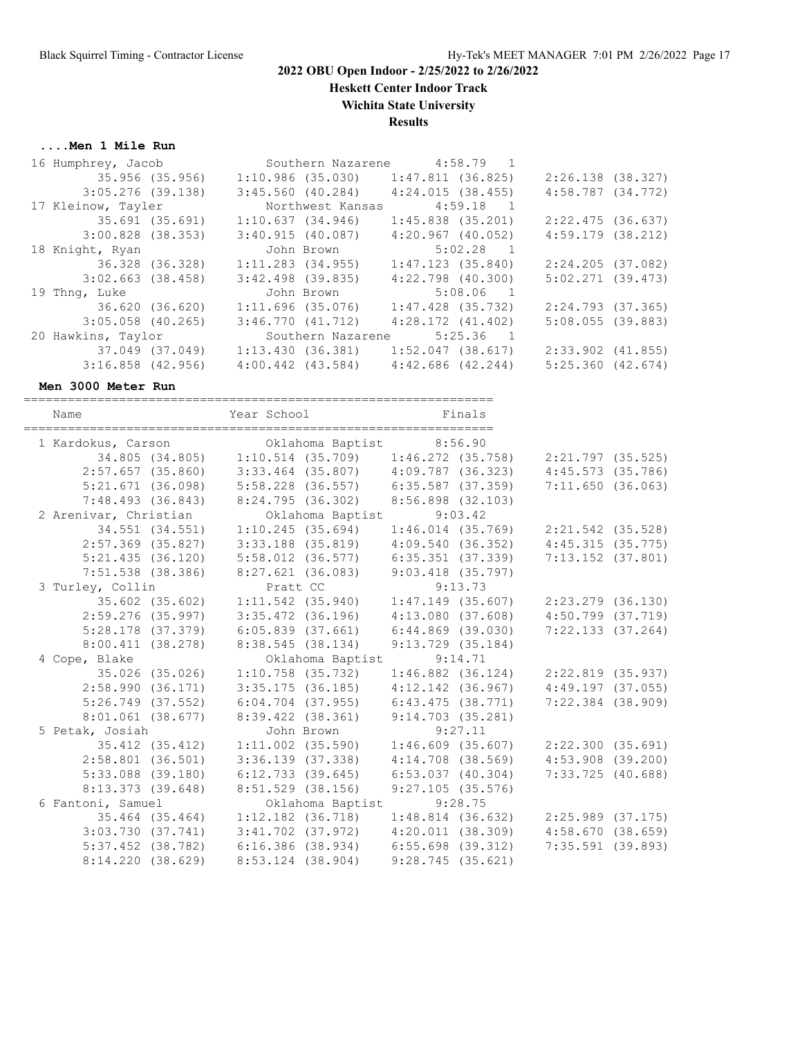**Heskett Center Indoor Track**

**Wichita State University Results**

#### **....Men 1 Mile Run**

| 16 Humphrey, Jacob  |                 |                       | Southern Nazarene |                       | $4:58.79$ 1 |                       |  |
|---------------------|-----------------|-----------------------|-------------------|-----------------------|-------------|-----------------------|--|
|                     | 35.956 (35.956) |                       | 1:10.986 (35.030) | 1:47.811(36.825)      |             | $2:26.138$ (38.327)   |  |
| $3:05.276$ (39.138) |                 | $3:45.560$ (40.284)   |                   | 4:24.015(38.455)      |             | $4:58.787$ $(34.772)$ |  |
| 17 Kleinow, Tayler  |                 |                       | Northwest Kansas  |                       | $4:59.18$ 1 |                       |  |
|                     | 35.691 (35.691) | 1:10.637(34.946)      |                   | $1:45.838$ $(35.201)$ |             | $2:22.475$ (36.637)   |  |
| $3:00.828$ (38.353) |                 | 3:40.915(40.087)      |                   | $4:20.967$ $(40.052)$ |             | $4:59.179$ $(38.212)$ |  |
| 18 Knight, Ryan     |                 |                       | John Brown        |                       | $5:02.28$ 1 |                       |  |
|                     | 36.328 (36.328) | $1:11.283$ (34.955)   |                   | $1:47.123$ (35.840)   |             | $2:24.205$ (37.082)   |  |
| $3:02.663$ (38.458) |                 | $3:42.498$ (39.835)   |                   | $4:22.798$ $(40.300)$ |             | $5:02.271$ (39.473)   |  |
| 19 Thng, Luke       |                 |                       | John Brown        |                       | $5:08.06$ 1 |                       |  |
|                     | 36.620 (36.620) | $1:11.696$ (35.076)   |                   | $1:47.428$ (35.732)   |             | $2:24.793$ (37.365)   |  |
| $3:05.058$ (40.265) |                 | 3:46.770(41.712)      |                   | $4:28.172$ $(41.402)$ |             | 5:08.055(39.883)      |  |
| 20 Hawkins, Taylor  |                 |                       | Southern Nazarene |                       | $5:25.36$ 1 |                       |  |
|                     | 37.049 (37.049) | 1:13.430(36.381)      |                   | $1:52.047$ (38.617)   |             | $2:33.902$ (41.855)   |  |
| $3:16.858$ (42.956) |                 | $4:00.442$ $(43.584)$ |                   | $4:42.686$ $(42.244)$ |             | $5:25.360$ $(42.674)$ |  |
|                     |                 |                       |                   |                       |             |                       |  |

#### **Men 3000 Meter Run**

| Name                  | Year School                                                           | <b>Example 1</b> Finals |                       |  |
|-----------------------|-----------------------------------------------------------------------|-------------------------|-----------------------|--|
|                       | 1 Kardokus, Carson <a> Oklahoma Baptist <a> 8:56.90</a></a>           |                         |                       |  |
|                       | 34.805 (34.805) 1:10.514 (35.709) 1:46.272 (35.758) 2:21.797 (35.525) |                         |                       |  |
| 2:57.657(35.860)      | $3:33.464$ (35.807) $4:09.787$ (36.323)                               |                         | $4:45.573$ (35.786)   |  |
| 5:21.671(36.098)      | $5:58.228$ (36.557) 6:35.587 (37.359)                                 |                         | 7:11.650(36.063)      |  |
| 7:48.493(36.843)      | 8:24.795 (36.302) 8:56.898 (32.103)                                   |                         |                       |  |
| 2 Arenivar, Christian | Oklahoma Baptist                                                      | 9:03.42                 |                       |  |
|                       | 34.551 (34.551) 1:10.245 (35.694)                                     | $1:46.014$ (35.769)     | 2:21.542 (35.528)     |  |
| $2:57.369$ (35.827)   | $3:33.188$ (35.819) $4:09.540$ (36.352)                               |                         | 4:45.315(35.775)      |  |
| $5:21.435$ (36.120)   | $5:58.012$ (36.577)                                                   | $6:35.351$ (37.339)     | $7:13.152$ $(37.801)$ |  |
| $7:51.538$ (38.386)   | $8:27.621$ (36.083)                                                   | $9:03.418$ (35.797)     |                       |  |
| 3 Turley, Collin      | Pratt CC                                                              | 9:13.73                 |                       |  |
| 35.602 (35.602)       | $1:11.542$ (35.940)                                                   | $1:47.149$ (35.607)     | 2:23.279 (36.130)     |  |
| $2:59.276$ (35.997)   | $3:35.472$ (36.196) $4:13.080$ (37.608)                               |                         | $4:50.799$ $(37.719)$ |  |
| $5:28.178$ (37.379)   | $6:05.839$ (37.661)                                                   | $6:44.869$ (39.030)     | 7:22.133(37.264)      |  |
| 8:00.411(38.278)      | 8:38.545(38.134)                                                      | 9:13.729(35.184)        |                       |  |
| 4 Cope, Blake         | Oklahoma Baptist 9:14.71                                              |                         |                       |  |
| 35.026 (35.026)       | $1:10.758$ (35.732)                                                   | $1:46.882$ $(36.124)$   | 2:22.819 (35.937)     |  |
| 2:58.990(36.171)      | $3:35.175$ (36.185) $4:12.142$ (36.967)                               |                         | $4:49.197$ $(37.055)$ |  |
| $5:26.749$ $(37.552)$ | $6:04.704$ (37.955)                                                   | 6:43.475 (38.771)       | $7:22.384$ (38.909)   |  |
| $8:01.061$ (38.677)   | 8:39.422 (38.361)                                                     | 9:14.703(35.281)        |                       |  |
| 5 Petak, Josiah       | John Brown                                                            | 9:27.11                 |                       |  |
| 35.412 (35.412)       | $1:11.002$ (35.590)                                                   | $1:46.609$ (35.607)     | 2:22.300 (35.691)     |  |
| $2:58.801$ (36.501)   | $3:36.139$ $(37.338)$                                                 | $4:14.708$ (38.569)     | $4:53.908$ $(39.200)$ |  |
| $5:33.088$ (39.180)   | $6:12.733$ $(39.645)$                                                 | $6:53.037$ $(40.304)$   | $7:33.725$ (40.688)   |  |
| $8:13.373$ (39.648)   | $8:51.529$ (38.156)                                                   | $9:27.105$ (35.576)     |                       |  |
| 6 Fantoni, Samuel     | Oklahoma Baptist 9:28.75                                              |                         |                       |  |
|                       | 35.464 (35.464) 1:12.182 (36.718)                                     | $1:48.814$ (36.632)     | 2:25.989 (37.175)     |  |
| $3:03.730$ $(37.741)$ | $3:41.702$ (37.972) $4:20.011$ (38.309)                               |                         | 4:58.670(38.659)      |  |
| $5:37.452$ (38.782)   | 6:16.386(38.934)                                                      | $6:55.698$ (39.312)     | $7:35.591$ (39.893)   |  |
| 8:14.220(38.629)      | $8:53.124$ (38.904)                                                   | 9:28.745(35.621)        |                       |  |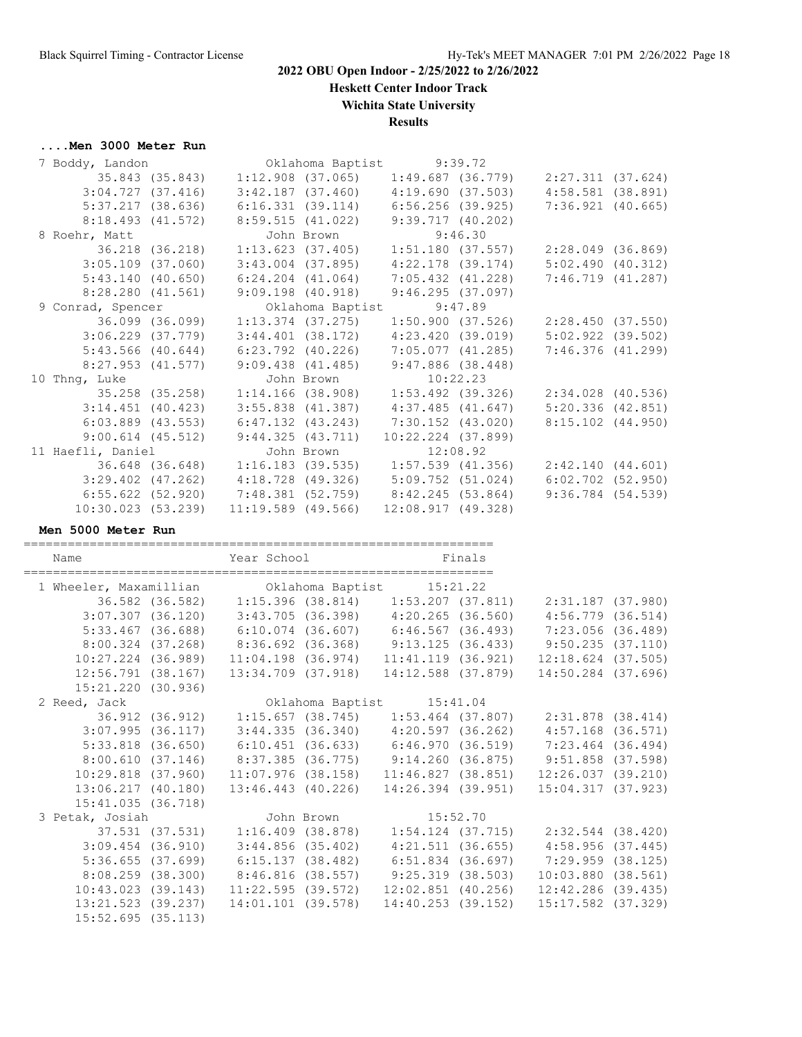**Heskett Center Indoor Track**

**Wichita State University**

# **Results**

## **....Men 3000 Meter Run**

| 7 Boddy, Landon                               |                       |                                                             |                   | Oklahoma Baptist 9:39.72                                  |        |                                                                       |  |
|-----------------------------------------------|-----------------------|-------------------------------------------------------------|-------------------|-----------------------------------------------------------|--------|-----------------------------------------------------------------------|--|
|                                               |                       |                                                             |                   |                                                           |        | 35.843 (35.843) 1:12.908 (37.065) 1:49.687 (36.779) 2:27.311 (37.624) |  |
|                                               |                       | $3:04.727$ (37.416) $3:42.187$ (37.460) $4:19.690$ (37.503) |                   |                                                           |        | $4:58.581$ $(38.891)$                                                 |  |
|                                               |                       | $5:37.217$ (38.636) 6:16.331 (39.114) 6:56.256 (39.925)     |                   |                                                           |        | $7:36.921$ (40.665)                                                   |  |
|                                               |                       | 8:18.493 (41.572) 8:59.515 (41.022) 9:39.717 (40.202)       |                   |                                                           |        |                                                                       |  |
| 8 Roehr, Matt                                 |                       |                                                             |                   |                                                           |        |                                                                       |  |
| 36.218 (36.218)                               |                       |                                                             |                   | John Brown 9:46.30<br>1:13.623 (37.405) 1:51.180 (37.557) |        | 2:28.049 (36.869)                                                     |  |
| $3:05.109$ $(37.060)$                         |                       |                                                             | 3:43.004 (37.895) | 4:22.178 (39.174)                                         |        | 5:02.490(40.312)                                                      |  |
| 5:43.140(40.650)                              |                       | $6:24.204$ $(41.064)$                                       |                   | 7:05.432 (41.228)                                         |        | 7:46.719 (41.287)                                                     |  |
|                                               |                       | $8:28.280$ (41.561) $9:09.198$ (40.918)                     |                   | 9:46.295(37.097)                                          |        |                                                                       |  |
| 9 Conrad, Spencer                             |                       |                                                             |                   | Oklahoma Baptist 9:47.89                                  |        |                                                                       |  |
|                                               | 36.099 (36.099)       |                                                             |                   |                                                           |        | $1:13.374$ (37.275) $1:50.900$ (37.526) $2:28.450$ (37.550)           |  |
|                                               |                       | $3:06.229$ (37.779) $3:44.401$ (38.172) $4:23.420$ (39.019) |                   |                                                           |        | $5:02.922$ $(39.502)$                                                 |  |
| $5:43.566$ (40.644)                           |                       | 6:23.792 (40.226)                                           |                   | 7:05.077 (41.285)                                         |        | 7:46.376 (41.299)                                                     |  |
|                                               | $8:27.953$ $(41.577)$ | $9:09.438$ $(41.485)$                                       |                   | 9:47.886(38.448)                                          |        |                                                                       |  |
| 10 Thng, Luke                                 |                       |                                                             |                   | John Brown 10:22.23                                       |        |                                                                       |  |
|                                               |                       |                                                             |                   |                                                           |        | 35.258 (35.258) 1:14.166 (38.908) 1:53.492 (39.326) 2:34.028 (40.536) |  |
| $3:14.451$ (40.423)                           |                       |                                                             |                   | $3:55.838$ (41.387) $4:37.485$ (41.647)                   |        | 5:20.336(42.851)                                                      |  |
|                                               |                       | $6:03.889$ (43.553) $6:47.132$ (43.243) 7:30.152 (43.020)   |                   |                                                           |        | $8:15.102$ $(44.950)$                                                 |  |
|                                               |                       | $9:00.614$ (45.512) $9:44.325$ (43.711)                     |                   | $10:22.224$ $(37.899)$                                    |        |                                                                       |  |
| 11 Haefli, Daniel                             |                       |                                                             | John Brown        | 12:08.92                                                  |        |                                                                       |  |
|                                               |                       |                                                             |                   | 1:57.539 (41.356)                                         |        | 2:42.140 (44.601)                                                     |  |
|                                               |                       | $3:29.402$ (47.262) $4:18.728$ (49.326) $5:09.752$ (51.024) |                   |                                                           |        | $6:02.702$ (52.950)                                                   |  |
|                                               |                       | $6:55.622$ (52.920) 7:48.381 (52.759) 8:42.245 (53.864)     |                   |                                                           |        | $9:36.784$ (54.539)                                                   |  |
|                                               |                       | $10:30.023$ (53.239) 11:19.589 (49.566) 12:08.917 (49.328)  |                   |                                                           |        |                                                                       |  |
| Men 5000 Meter Run<br>======================= |                       |                                                             |                   | ====================================                      |        |                                                                       |  |
| Name                                          |                       | Year School                                                 |                   |                                                           | Finals |                                                                       |  |
|                                               |                       |                                                             |                   |                                                           |        |                                                                       |  |

| 1 Wheeler, Maxamillian 60 Oklahoma Baptist 15:21.22                                           |  |  |                                                                                        |                                                                                     |  |
|-----------------------------------------------------------------------------------------------|--|--|----------------------------------------------------------------------------------------|-------------------------------------------------------------------------------------|--|
|                                                                                               |  |  |                                                                                        | 36.582 (36.582) 1:15.396 (38.814) 1:53.207 (37.811) 2:31.187 (37.980)               |  |
|                                                                                               |  |  | $3:07.307$ (36.120) $3:43.705$ (36.398) $4:20.265$ (36.560)                            | $4:56.779$ (36.514)                                                                 |  |
|                                                                                               |  |  |                                                                                        | $5:33.467$ (36.688) 6:10.074 (36.607) 6:46.567 (36.493) 7:23.056 (36.489)           |  |
|                                                                                               |  |  |                                                                                        | 8:00.324 (37.268) 8:36.692 (36.368) 9:13.125 (36.433) 9:50.235 (37.110)             |  |
|                                                                                               |  |  |                                                                                        | $10:27.224$ (36.989) $11:04.198$ (36.974) $11:41.119$ (36.921) $12:18.624$ (37.505) |  |
|                                                                                               |  |  |                                                                                        | 12:56.791 (38.167) 13:34.709 (37.918) 14:12.588 (37.879) 14:50.284 (37.696)         |  |
| $15:21.220$ (30.936)                                                                          |  |  |                                                                                        |                                                                                     |  |
| 2 Reed, Jack 0klahoma Baptist 15:41.04<br>36.912 (36.912) 1:15.657 (38.745) 1:53.464 (37.807) |  |  |                                                                                        |                                                                                     |  |
|                                                                                               |  |  |                                                                                        | 2:31.878 (38.414)                                                                   |  |
| $3:07.995$ (36.117) $3:44.335$ (36.340) $4:20.597$ (36.262)                                   |  |  |                                                                                        | $4:57.168$ (36.571)                                                                 |  |
|                                                                                               |  |  |                                                                                        | 5:33.818 (36.650) 6:10.451 (36.633) 6:46.970 (36.519) 7:23.464 (36.494)             |  |
|                                                                                               |  |  |                                                                                        | 8:00.610 (37.146) 8:37.385 (36.775) 9:14.260 (36.875) 9:51.858 (37.598)             |  |
|                                                                                               |  |  |                                                                                        | 10:29.818 (37.960) 11:07.976 (38.158) 11:46.827 (38.851) 12:26.037 (39.210)         |  |
|                                                                                               |  |  |                                                                                        | 13:06.217 (40.180) 13:46.443 (40.226) 14:26.394 (39.951) 15:04.317 (37.923)         |  |
| 15:41.035(36.718)                                                                             |  |  |                                                                                        |                                                                                     |  |
| 3 Petak, Josiah Manuel John Brown 15:52.70                                                    |  |  |                                                                                        |                                                                                     |  |
|                                                                                               |  |  | 37.531 (37.531)                1:16.409 (38.878)                     1:54.124 (37.715) | 2:32.544 (38.420)                                                                   |  |
|                                                                                               |  |  |                                                                                        | $3:09.454$ (36.910) $3:44.856$ (35.402) $4:21.511$ (36.655) $4:58.956$ (37.445)     |  |
|                                                                                               |  |  |                                                                                        | $5:36.655$ (37.699) 6:15.137 (38.482) 6:51.834 (36.697) 7:29.959 (38.125)           |  |
|                                                                                               |  |  | 8:08.259 (38.300)  8:46.816 (38.557)  9:25.319 (38.503)                                | $10:03.880$ (38.561)                                                                |  |
|                                                                                               |  |  |                                                                                        | $10:43.023$ (39.143) $11:22.595$ (39.572) $12:02.851$ (40.256) $12:42.286$ (39.435) |  |
|                                                                                               |  |  |                                                                                        | 13:21.523 (39.237) 14:01.101 (39.578) 14:40.253 (39.152) 15:17.582 (37.329)         |  |
| $15:52.695$ (35.113)                                                                          |  |  |                                                                                        |                                                                                     |  |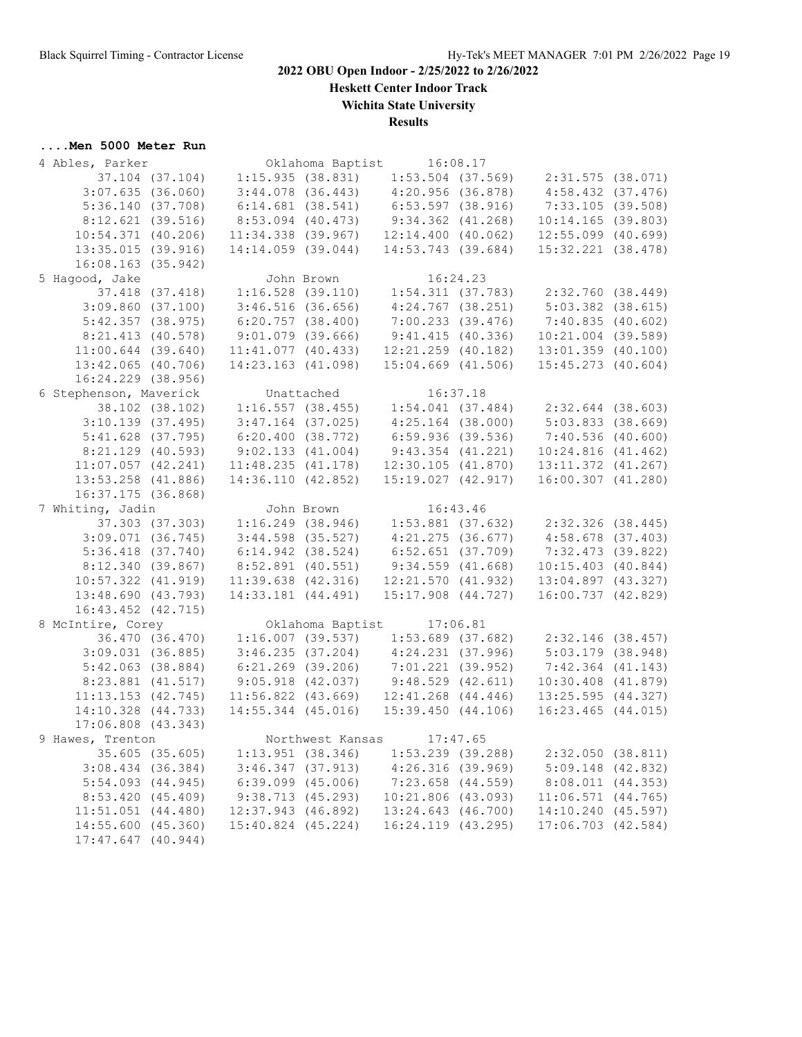**Heskett Center Indoor Track**

**Wichita State University**

**Results**

# **....Men 5000 Meter Run**

| 4 Ables, Parker        |                        |                                         |            | Oklahoma Baptist 16:08.17 |                     |                                                             |  |
|------------------------|------------------------|-----------------------------------------|------------|---------------------------|---------------------|-------------------------------------------------------------|--|
|                        | 37.104 (37.104)        | 1:15.935(38.831)                        |            |                           |                     | $1:53.504$ (37.569) $2:31.575$ (38.071)                     |  |
|                        | $3:07.635$ (36.060)    | $3:44.078$ $(36.443)$                   |            | 4:20.956 (36.878)         |                     | 4:58.432(37.476)                                            |  |
|                        | 5:36.140(37.708)       | $6:14.681$ (38.541)                     |            | $6:53.597$ (38.916)       |                     | 7:33.105 (39.508)                                           |  |
|                        | 8:12.621(39.516)       | 8:53.094 (40.473)                       |            | $9:34.362$ $(41.268)$     |                     | 10:14.165(39.803)                                           |  |
|                        | $10:54.371$ $(40.206)$ | 11:34.338 (39.967)                      |            | 12:14.400(40.062)         |                     | $12:55.099$ (40.699)                                        |  |
|                        | 13:35.015 (39.916)     | 14:14.059 (39.044)                      |            | $14:53.743$ (39.684)      |                     | 15:32.221 (38.478)                                          |  |
|                        |                        |                                         |            |                           |                     |                                                             |  |
|                        | $16:08.163$ (35.942)   |                                         |            |                           |                     |                                                             |  |
| 5 Hagood, Jake         |                        |                                         | John Brown |                           | 16:24.23            |                                                             |  |
|                        | 37.418 (37.418)        |                                         |            |                           |                     | $1:16.528$ (39.110) $1:54.311$ (37.783) $2:32.760$ (38.449) |  |
|                        | $3:09.860$ (37.100)    | $3:46.516$ (36.656)                     |            | $4:24.767$ (38.251)       |                     | $5:03.382$ $(38.615)$                                       |  |
|                        | 5:42.357(38.975)       | 6:20.757(38.400)                        |            | $7:00.233$ $(39.476)$     |                     | 7:40.835(40.602)                                            |  |
|                        | 8:21.413 (40.578)      | $9:01.079$ (39.666)                     |            | 9:41.415(40.336)          |                     | $10:21.004$ (39.589)                                        |  |
|                        | $11:00.644$ (39.640)   | $11:41.077$ (40.433)                    |            | 12:21.259 (40.182)        |                     | $13:01.359$ (40.100)                                        |  |
|                        | $13:42.065$ (40.706)   | 14:23.163 (41.098)                      |            | $15:04.669$ $(41.506)$    |                     | $15:45.273$ $(40.604)$                                      |  |
|                        | 16:24.229 (38.956)     |                                         |            |                           |                     |                                                             |  |
| 6 Stephenson, Maverick |                        | Unattached                              |            | 16:37.18                  |                     |                                                             |  |
|                        | 38.102 (38.102)        | $1:16.557$ (38.455) $1:54.041$ (37.484) |            |                           |                     | $2:32.644$ (38.603)                                         |  |
|                        | $3:10.139$ (37.495)    | $3:47.164$ (37.025)                     |            | $4:25.164$ (38.000)       |                     | 5:03.833(38.669)                                            |  |
|                        |                        | 6:20.400(38.772)                        |            | $6:59.936$ (39.536)       |                     | 7:40.536(40.600)                                            |  |
|                        | 5:41.628 (37.795)      |                                         |            |                           |                     |                                                             |  |
|                        | $8:21.129$ (40.593)    | 9:02.133(41.004)                        |            | $9:43.354$ $(41.221)$     |                     | 10:24.816(41.462)                                           |  |
|                        | $11:07.057$ $(42.241)$ | 11:48.235(41.178)                       |            | 12:30.105(41.870)         |                     | 13:11.372 (41.267)                                          |  |
|                        | $13:53.258$ (41.886)   | 14:36.110 (42.852)                      |            | 15:19.027(42.917)         |                     | 16:00.307 (41.280)                                          |  |
|                        | $16:37.175$ (36.868)   |                                         |            |                           |                     |                                                             |  |
| 7 Whiting, Jadin       |                        |                                         | John Brown |                           | 16:43.46            |                                                             |  |
|                        | 37.303 (37.303)        |                                         |            |                           |                     | $1:16.249$ (38.946) $1:53.881$ (37.632) $2:32.326$ (38.445) |  |
|                        | $3:09.071$ $(36.745)$  | $3:44.598$ (35.527)                     |            | $4:21.275$ (36.677)       |                     | $4:58.678$ (37.403)                                         |  |
|                        | $5:36.418$ $(37.740)$  | 6:14.942(38.524)                        |            | $6:52.651$ (37.709)       |                     | 7:32.473 (39.822)                                           |  |
|                        | 8:12.340(39.867)       | 8:52.891 (40.551)                       |            | 9:34.559(41.668)          |                     | $10:15.403$ $(40.844)$                                      |  |
|                        | $10:57.322$ $(41.919)$ | $11:39.638$ $(42.316)$                  |            | 12:21.570(41.932)         |                     | 13:04.897 (43.327)                                          |  |
|                        | 13:48.690 (43.793)     | 14:33.181 (44.491)                      |            | $15:17.908$ $(44.727)$    |                     | 16:00.737 (42.829)                                          |  |
|                        | $16:43.452$ $(42.715)$ |                                         |            |                           |                     |                                                             |  |
| 8 McIntire, Corey      |                        |                                         |            | Oklahoma Baptist 17:06.81 |                     |                                                             |  |
|                        | 36.470 (36.470)        | 1:16.007(39.537)                        |            | 1:53.689 (37.682)         |                     | 2:32.146 (38.457)                                           |  |
|                        |                        |                                         |            |                           |                     |                                                             |  |
|                        | $3:09.031$ (36.885)    | 3:46.235(37.204)                        |            | 4:24.231(37.996)          |                     | 5:03.179 (38.948)                                           |  |
|                        | $5:42.063$ (38.884)    | $6:21.269$ (39.206)                     |            | $7:01.221$ (39.952)       |                     | $7:42.364$ $(41.143)$                                       |  |
|                        | 8:23.881 (41.517)      | $9:05.918$ $(42.037)$                   |            | 9:48.529(42.611)          |                     | $10:30.408$ $(41.879)$                                      |  |
|                        | $11:13.153$ $(42.745)$ | $11:56.822$ $(43.669)$                  |            | $12:41.268$ $(44.446)$    |                     | $13:25.595$ $(44.327)$                                      |  |
|                        | 14:10.328 (44.733)     | $14:55.344$ (45.016)                    |            | $15:39.450$ $(44.106)$    |                     | $16:23.465$ $(44.015)$                                      |  |
|                        | $17:06.808$ $(43.343)$ |                                         |            |                           |                     |                                                             |  |
| 9 Hawes, Trenton       |                        |                                         |            | Northwest Kansas 17:47.65 |                     |                                                             |  |
|                        | 35.605 (35.605)        | $1:13.951$ (38.346)                     |            |                           | $1:53.239$ (39.288) | 2:32.050(38.811)                                            |  |
|                        | $3:08.434$ (36.384)    | 3:46.347(37.913)                        |            | $4:26.316$ (39.969)       |                     | $5:09.148$ $(42.832)$                                       |  |
|                        | $5:54.093$ $(44.945)$  | $6:39.099$ $(45.006)$                   |            | 7:23.658 (44.559)         |                     | 8:08.011 (44.353)                                           |  |
|                        | 8:53.420(45.409)       | 9:38.713 (45.293)                       |            | $10:21.806$ (43.093)      |                     | $11:06.571$ (44.765)                                        |  |
|                        | 11:51.051(44.480)      | $12:37.943$ (46.892)                    |            | $13:24.643$ (46.700)      |                     | 14:10.240 (45.597)                                          |  |
|                        | 14:55.600 (45.360)     | 15:40.824 (45.224)                      |            | 16:24.119 (43.295)        |                     | 17:06.703 (42.584)                                          |  |
|                        | $17:47.647$ (40.944)   |                                         |            |                           |                     |                                                             |  |
|                        |                        |                                         |            |                           |                     |                                                             |  |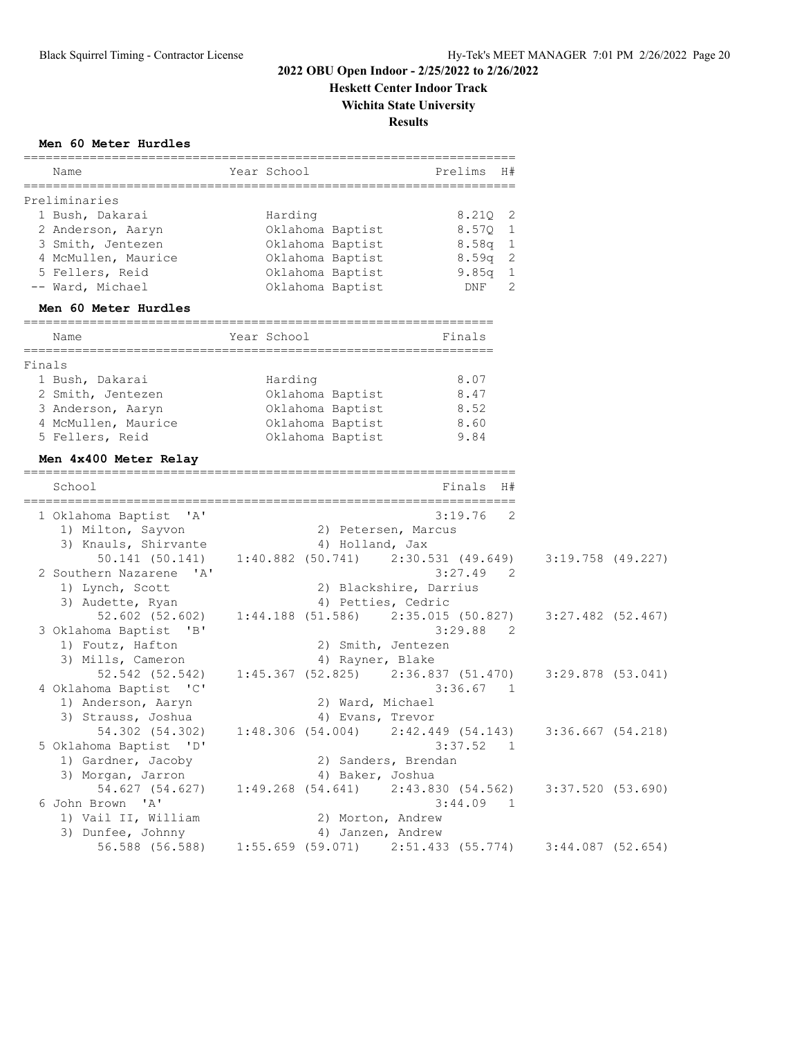**Heskett Center Indoor Track**

**Wichita State University**

**Results**

|  |  | Men 60 Meter Hurdles |
|--|--|----------------------|
|--|--|----------------------|

|        |                                                 | =================                                           |                  |                        |             |              |
|--------|-------------------------------------------------|-------------------------------------------------------------|------------------|------------------------|-------------|--------------|
|        | Name                                            | Year School                                                 |                  |                        | Prelims     | H#           |
|        | Preliminaries                                   |                                                             |                  |                        |             |              |
|        | 1 Bush, Dakarai                                 | Harding                                                     |                  |                        | $8.21Q$ 2   |              |
|        | 2 Anderson, Aaryn                               | Oklahoma Baptist                                            |                  |                        | 8.57Q 1     |              |
|        | 3 Smith, Jentezen                               | Oklahoma Baptist                                            |                  |                        | $8.58q$ 1   |              |
|        | 4 McMullen, Maurice                             | Oklahoma Baptist                                            |                  |                        | $8.59q$ 2   |              |
|        | 5 Fellers, Reid                                 | Oklahoma Baptist                                            |                  |                        | $9.85q$ 1   |              |
|        | -- Ward, Michael                                | Oklahoma Baptist                                            |                  |                        | DNF         | 2            |
|        | Men 60 Meter Hurdles                            |                                                             |                  |                        |             |              |
|        | Name                                            | Year School                                                 |                  |                        | Finals      |              |
| Finals |                                                 |                                                             |                  |                        |             |              |
|        | 1 Bush, Dakarai                                 | Harding                                                     |                  |                        | 8.07        |              |
|        | 2 Smith, Jentezen                               | Oklahoma Baptist                                            |                  |                        | 8.47        |              |
|        | 3 Anderson, Aaryn                               | Oklahoma Baptist                                            |                  |                        | 8.52        |              |
|        | 4 McMullen, Maurice                             | Oklahoma Baptist                                            |                  |                        | 8.60        |              |
|        | 5 Fellers, Reid                                 | Oklahoma Baptist                                            |                  |                        | 9.84        |              |
|        | Men 4x400 Meter Relay                           |                                                             |                  |                        |             |              |
|        | School                                          |                                                             |                  |                        | Finals      | H#           |
|        | 1 Oklahoma Baptist<br>$^{\prime}$ A $^{\prime}$ |                                                             |                  |                        | 3:19.76     | 2            |
|        | 1) Milton, Sayvon                               |                                                             |                  | 2) Petersen, Marcus    |             |              |
|        | 3) Knauls, Shirvante                            |                                                             | 4) Holland, Jax  |                        |             |              |
|        | 50.141 (50.141)                                 | $1:40.882$ (50.741) $2:30.531$ (49.649)                     |                  |                        |             |              |
|        | 2 Southern Nazarene 'A'                         |                                                             |                  |                        | 3:27.49     | 2            |
|        | 1) Lynch, Scott                                 |                                                             |                  | 2) Blackshire, Darrius |             |              |
|        | 3) Audette, Ryan                                |                                                             |                  | 4) Petties, Cedric     |             |              |
|        | $52.602$ $(52.602)$                             | $1:44.188$ (51.586)                                         |                  | 2:35.015 (50.827)      |             |              |
|        | 3 Oklahoma Baptist 'B'                          |                                                             |                  |                        | $3:29.88$ 2 |              |
|        | 1) Foutz, Hafton                                |                                                             |                  | 2) Smith, Jentezen     |             |              |
|        | 3) Mills, Cameron                               |                                                             | 4) Rayner, Blake |                        |             |              |
|        | 52.542 (52.542)                                 | $1:45.367$ (52.825) $2:36.837$ (51.470) $3:29.878$ (53.041) |                  |                        | 3:36.67     | $\mathbf{1}$ |
|        | 4 Oklahoma Baptist 'C'<br>1) Anderson, Aaryn    |                                                             | 2) Ward, Michael |                        |             |              |
|        | 3) Strauss, Joshua                              |                                                             | 4) Evans, Trevor |                        |             |              |
|        | 54.302 (54.302)                                 | $1:48.306$ (54.004) $2:42.449$ (54.143) $3:36.667$ (54.218) |                  |                        |             |              |
|        | 5 Oklahoma Baptist 'D'                          |                                                             |                  |                        | 3:37.52     | 1            |
|        | 1) Gardner, Jacoby                              |                                                             |                  | 2) Sanders, Brendan    |             |              |
|        | 3) Morgan, Jarron                               |                                                             | 4) Baker, Joshua |                        |             |              |
|        | 54.627 (54.627)                                 | $1:49.268$ $(54.641)$                                       |                  | 2:43.830(54.562)       |             |              |
|        | 6 John Brown 'A'                                |                                                             |                  |                        | 3:44.09     | $\mathbf{1}$ |
|        | 1) Vail II, William                             |                                                             |                  | 2) Morton, Andrew      |             |              |
|        | 3) Dunfee, Johnny                               |                                                             |                  | 4) Janzen, Andrew      |             |              |
|        | 56.588 (56.588)                                 | $1:55.659$ (59.071) 2:51.433 (55.774)                       |                  |                        |             |              |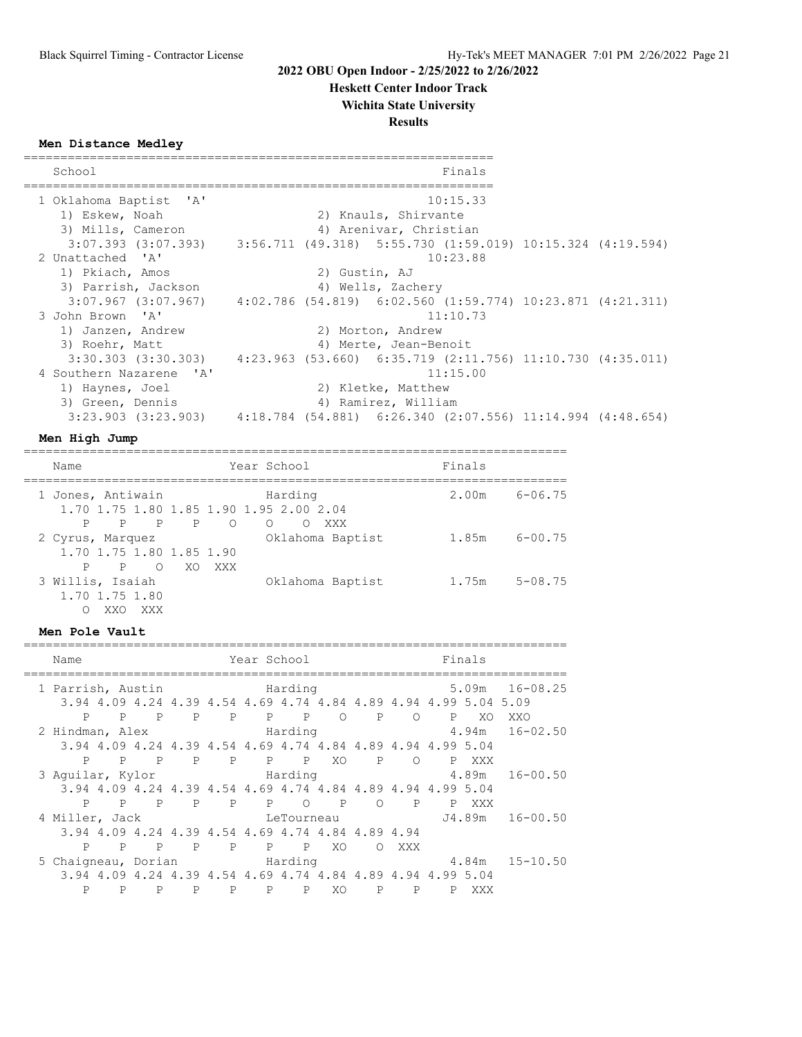**Heskett Center Indoor Track**

## **Wichita State University**

**Results**

**Men Distance Medley**

| School                                                                                         |  |                      |                        | Finals                                                       |  |
|------------------------------------------------------------------------------------------------|--|----------------------|------------------------|--------------------------------------------------------------|--|
| 1 Oklahoma Baptist 'A'                                                                         |  |                      |                        | 10:15.33                                                     |  |
| 1) Eskew, Noah                                                                                 |  | 2) Knauls, Shirvante |                        |                                                              |  |
| 3) Mills, Cameron                                                                              |  |                      | 4) Arenivar, Christian |                                                              |  |
| $3:07.393$ $(3:07.393)$ $3:56.711$ $(49.318)$ $5:55.730$ $(1:59.019)$ $10:15.324$ $(4:19.594)$ |  |                      |                        |                                                              |  |
| 2 Unattached 'A'                                                                               |  |                      |                        | 10:23.88                                                     |  |
| 1) Pkiach, Amos                                                                                |  | 2) Gustin, AJ        |                        |                                                              |  |
| 3) Parrish, Jackson                                                                            |  |                      | 4) Wells, Zachery      |                                                              |  |
| $3:07.967$ $(3:07.967)$ $4:02.786$ $(54.819)$ $6:02.560$ $(1:59.774)$ $10:23.871$ $(4:21.311)$ |  |                      |                        |                                                              |  |
| 3 John Brown 'A'                                                                               |  |                      |                        | 11:10.73                                                     |  |
| 1) Janzen, Andrew                                                                              |  |                      | 2) Morton, Andrew      |                                                              |  |
| 3) Roehr, Matt                                                                                 |  |                      | 4) Merte, Jean-Benoit  |                                                              |  |
| 3:30.303 (3:30.303)                                                                            |  |                      |                        | $4:23.963$ (53.660) 6:35.719 (2:11.756) 11:10.730 (4:35.011) |  |
| 4 Southern Nazarene 'A'                                                                        |  |                      |                        | 11:15.00                                                     |  |
| 1) Haynes, Joel                                                                                |  |                      | 2) Kletke, Matthew     |                                                              |  |
| 3) Green, Dennis                                                                               |  |                      | 4) Ramirez, William    |                                                              |  |
| $3:23.903$ $(3:23.903)$                                                                        |  |                      |                        | $4:18.784$ (54.881) 6:26.340 (2:07.556) 11:14.994 (4:48.654) |  |

#### **Men High Jump**

==========================================================================

| Name                                             | Year School                                        | Finals               |
|--------------------------------------------------|----------------------------------------------------|----------------------|
| 1 Jones, Antiwain                                | Harding<br>1.70 1.75 1.80 1.85 1.90 1.95 2.00 2.04 | $6 - 06.75$<br>2.00m |
| $\mathbb{P}$<br>$\mathbf{P}$<br>P                | $P$ 0<br>$\Omega$<br>XXX<br>$\circ$                |                      |
| 2 Cyrus, Marquez<br>1.70 1.75 1.80 1.85 1.90     | Oklahoma Baptist                                   | $6 - 00.75$<br>1.85m |
| $\circ$<br>$\mathsf{P}$<br>P                     | XO XXX                                             |                      |
| 3 Willis, Isaiah<br>1.70 1.75 1.80<br>XXX<br>XXO | Oklahoma Baptist                                   | $5 - 08.75$<br>1.75m |

#### **Men Pole Vault**

| Name                            |              |              |              | Year School                                       |       |                              |     | Finals       |          |                                                                  |                                                                     |
|---------------------------------|--------------|--------------|--------------|---------------------------------------------------|-------|------------------------------|-----|--------------|----------|------------------------------------------------------------------|---------------------------------------------------------------------|
| 1 Parrish, Austin               |              |              |              | Marding                                           |       |                              |     |              |          |                                                                  | $5.09m$ $16-08.25$                                                  |
|                                 |              |              |              |                                                   |       |                              |     |              |          | 3.94 4.09 4.24 4.39 4.54 4.69 4.74 4.84 4.89 4.94 4.99 5.04 5.09 |                                                                     |
| P                               |              | P P          |              | P P P P O P                                       |       |                              |     |              | $\Omega$ | $\mathbf{P}$<br>XO                                               | XXO                                                                 |
| 2 Hindman, Alex                 |              |              |              |                                                   |       |                              |     |              |          |                                                                  | Harding 5.94m 16-02.50                                              |
|                                 |              |              |              |                                                   |       |                              |     |              |          | 3.94 4.09 4.24 4.39 4.54 4.69 4.74 4.84 4.89 4.94 4.99 5.04      |                                                                     |
| P                               |              |              |              | P P P P P P                                       |       |                              |     |              | XO P O   | P XXX                                                            |                                                                     |
|                                 |              |              |              |                                                   |       |                              |     |              |          |                                                                  | 3 Aguilar, Kylor             Harding               4.89m   16-00.50 |
|                                 |              |              |              |                                                   |       |                              |     |              |          | 3.94 4.09 4.24 4.39 4.54 4.69 4.74 4.84 4.89 4.94 4.99 5.04      |                                                                     |
|                                 |              |              |              |                                                   |       |                              |     |              |          | P P P P P P P P P P XXX                                          |                                                                     |
| 4 Miller, Jack                  |              |              |              |                                                   |       |                              |     |              |          |                                                                  |                                                                     |
|                                 |              |              |              | 3.94 4.09 4.24 4.39 4.54 4.69 4.74 4.84 4.89 4.94 |       |                              |     |              |          |                                                                  |                                                                     |
| P                               | $\mathsf{P}$ | $\mathbf{P}$ | $\mathbf{P}$ |                                                   | P P P |                              | XO  | $\circ$      | XXX      |                                                                  |                                                                     |
| 5 Chaigneau, Dorian and Harding |              |              |              |                                                   |       |                              |     |              |          |                                                                  | $4.84m$ $15-10.50$                                                  |
|                                 |              |              |              |                                                   |       |                              |     |              |          | 3.94 4.09 4.24 4.39 4.54 4.69 4.74 4.84 4.89 4.94 4.99 5.04      |                                                                     |
| P                               | P            | P            | P            | P                                                 |       | $\mathbf{P}$<br>$\mathbf{P}$ | XO. | $\mathbf{P}$ | P        | XXX                                                              |                                                                     |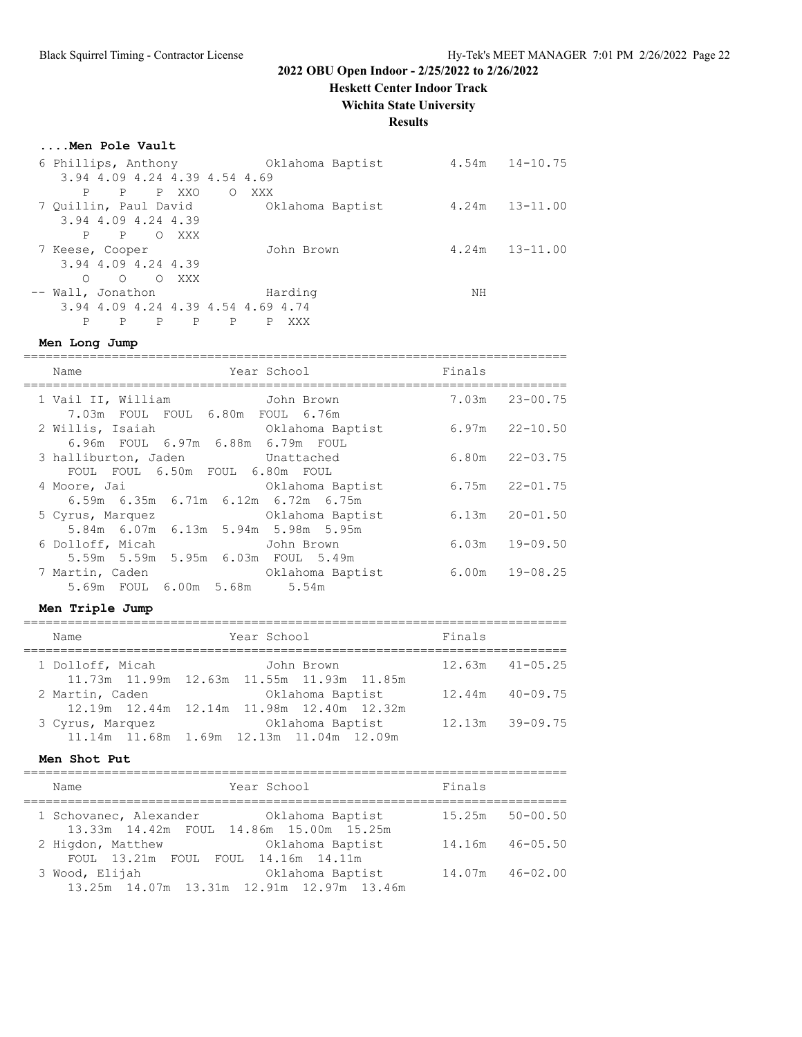**Heskett Center Indoor Track**

**Wichita State University**

#### **Results**

#### **....Men Pole Vault**

| 6 Phillips, Anthony   |              |                                    |       |         |     |            | Oklahoma Baptist | 4.54m | $14 - 10.75$       |
|-----------------------|--------------|------------------------------------|-------|---------|-----|------------|------------------|-------|--------------------|
|                       |              | 3.94 4.09 4.24 4.39 4.54 4.69      |       |         |     |            |                  |       |                    |
| P                     | P            |                                    | P XXO | $\circ$ | XXX |            |                  |       |                    |
| 7 Quillin, Paul David |              |                                    |       |         |     |            | Oklahoma Baptist |       | $4.24m$ $13-11.00$ |
|                       |              | 3.94 4.09 4.24 4.39                |       |         |     |            |                  |       |                    |
| P                     | $\mathbf{P}$ | $\Omega$                           | XXX   |         |     |            |                  |       |                    |
| 7 Keese, Cooper       |              |                                    |       |         |     | John Brown |                  | 4.24m | $13 - 11.00$       |
|                       |              | 3.94 4.09 4.24 4.39                |       |         |     |            |                  |       |                    |
| ∩                     | $\Omega$     | $\Omega$                           | XXX   |         |     |            |                  |       |                    |
| -- Wall, Jonathon     |              |                                    |       |         |     | Harding    |                  | NH    |                    |
|                       |              | 3.94 4.09 4.24 4.39 4.54 4.69 4.74 |       |         |     |            |                  |       |                    |
| P                     | P            | P                                  | P     | P       | P.  | XXX        |                  |       |                    |

#### **Men Long Jump**

========================================================================== Name Year School ========================================================================== 1 Vail II, William John Brown 7.03m 23-00.75 7.03m FOUL FOUL 6.80m FOUL 6.76m 2 Willis, Isaiah Oklahoma Baptist 6.97m 22-10.50 6.96m FOUL 6.97m 6.88m 6.79m FOUL 3 halliburton, Jaden Unattached 6.80m 22-03.75 FOUL FOUL 6.50m FOUL 6.80m FOUL 4 Moore, Jai Oklahoma Baptist 6.75m 22-01.75 6.59m 6.35m 6.71m 6.12m 6.72m 6.75m 5 Cyrus, Marquez Oklahoma Baptist 6.13m 20-01.50 5.84m 6.07m 6.13m 5.94m 5.98m 5.95m 6 Dolloff, Micah John Brown 6.03m 19-09.50 5.59m 5.59m 5.95m 6.03m FOUL 5.49m 7 Martin, Caden Oklahoma Baptist 6.00m 19-08.25 5.69m FOUL 6.00m 5.68m 5.54m

#### **Men Triple Jump**

========================================================================== Name Year School Finals ========================================================================== 1 Dolloff, Micah John Brown 12.63m 41-05.25 11.73m 11.99m 12.63m 11.55m 11.93m 11.85m 2 Martin, Caden Oklahoma Baptist 12.44m 40-09.75 12.19m 12.44m 12.14m 11.98m 12.40m 12.32m 3 Cyrus, Marquez Oklahoma Baptist 12.13m 39-09.75 11.14m 11.68m 1.69m 12.13m 11.04m 12.09m

#### **Men Shot Put**

========================================================================== Name Year School Finals

| Name                                      | Year School                               | Finals |                     |
|-------------------------------------------|-------------------------------------------|--------|---------------------|
| 1 Schovanec, Alexander 6 Oklahoma Baptist |                                           |        | $15.25m$ $50-00.50$ |
|                                           | 13.33m 14.42m FOUL 14.86m 15.00m 15.25m   |        |                     |
| 2 Higdon, Matthew                         | Oklahoma Baptist                          |        | 14.16m 46-05.50     |
| FOUL 13.21m FOUL FOUL 14.16m 14.11m       |                                           |        |                     |
| 3 Wood, Elijah                            | Oklahoma Baptist                          | 14.07m | 46-02.00            |
|                                           | 13.25m 14.07m 13.31m 12.91m 12.97m 13.46m |        |                     |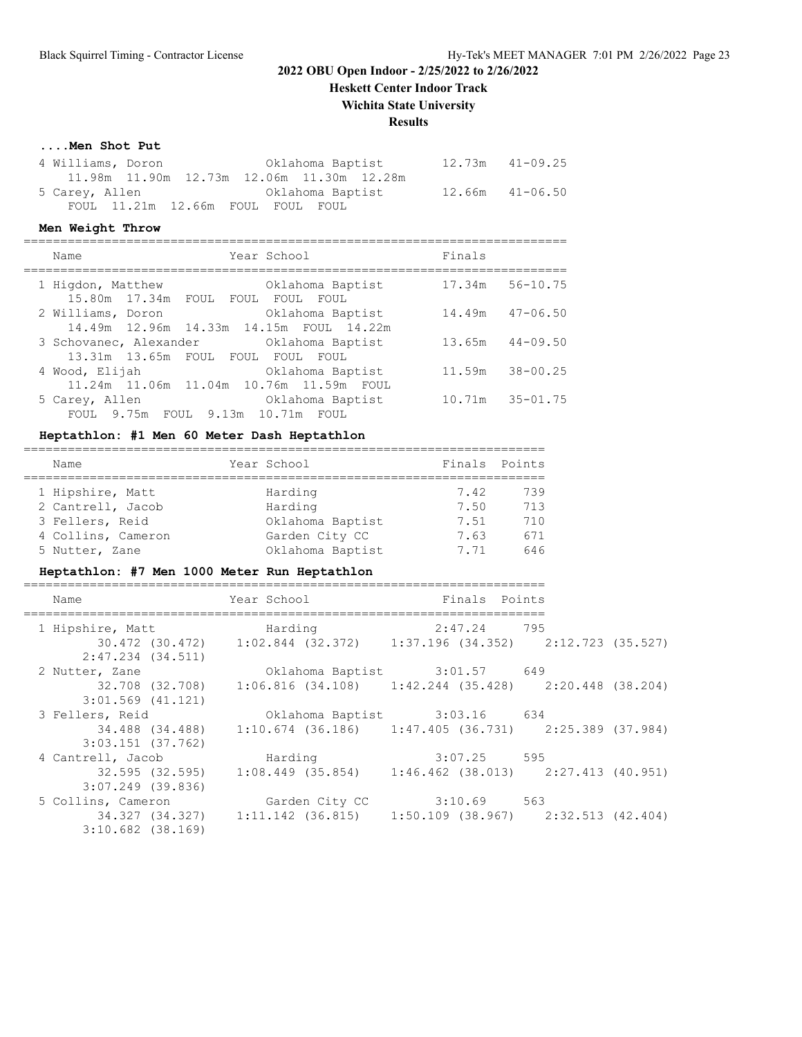**Heskett Center Indoor Track**

#### **Wichita State University**

## **Results**

#### **....Men Shot Put**

| 4 Williams, Doron |  |                                                | Oklahoma Baptist |  | $12.73m$ $41-09.25$ |
|-------------------|--|------------------------------------------------|------------------|--|---------------------|
|                   |  | 11.98m  11.90m  12.73m  12.06m  11.30m  12.28m |                  |  |                     |
| 5 Carey, Allen    |  |                                                | Oklahoma Baptist |  | $12.66m$ $41-06.50$ |
|                   |  | FOUL 11.21m 12.66m FOUL FOUL FOUL              |                  |  |                     |

#### **Men Weight Throw**

==========================================================================

|  | Name                                     | Year School      | Finals          |              |
|--|------------------------------------------|------------------|-----------------|--------------|
|  | 1 Higdon, Matthew                        | Oklahoma Baptist | 17.34m          | $56 - 10.75$ |
|  | 15.80m  17.34m  FOUL  FOUL               | FOUL<br>FOUL     |                 |              |
|  | 2 Williams, Doron                        | Oklahoma Baptist | 14.49m          | $47 - 06.50$ |
|  | 14.49m 12.96m 14.33m 14.15m FOUL 14.22m  |                  |                 |              |
|  | 3 Schovanec, Alexander Collahoma Baptist |                  | 13.65m          | $44 - 09.50$ |
|  | 13.31m 13.65m FOUL FOUL FOUL             | FOUL             |                 |              |
|  | 4 Wood, Elijah                           | Oklahoma Baptist | 11.59m          | $38 - 00.25$ |
|  | 11.24m 11.06m 11.04m 10.76m 11.59m       | FOUL.            |                 |              |
|  | 5 Carey, Allen                           | Oklahoma Baptist | 10.71m 35-01.75 |              |
|  | FOUL 9.75m FOUL 9.13m 10.71m             | FOUL.            |                 |              |
|  |                                          |                  |                 |              |

#### **Heptathlon: #1 Men 60 Meter Dash Heptathlon**

| Name               |  | Year School      | Finals Points |     |  |  |  |  |
|--------------------|--|------------------|---------------|-----|--|--|--|--|
|                    |  |                  |               |     |  |  |  |  |
| 1 Hipshire, Matt   |  | Harding          | 7.42          | 739 |  |  |  |  |
| 2 Cantrell, Jacob  |  | Harding          | 7.50          | 713 |  |  |  |  |
| 3 Fellers, Reid    |  | Oklahoma Baptist | 7.51          | 710 |  |  |  |  |
| 4 Collins, Cameron |  | Garden City CC   | 7.63          | 671 |  |  |  |  |
| 5 Nutter, Zane     |  | Oklahoma Baptist | 7.71          | 646 |  |  |  |  |

## **Heptathlon: #7 Men 1000 Meter Run Heptathlon**

| Name                  | Year School I                                                           | Finals Points |  |
|-----------------------|-------------------------------------------------------------------------|---------------|--|
|                       |                                                                         |               |  |
| 1 Hipshire, Matt      | Harding                                                                 | 2:47.24 795   |  |
|                       | 30.472 (30.472) 1:02.844 (32.372) 1:37.196 (34.352) 2:12.723 (35.527)   |               |  |
| 2:47.234 (34.511)     |                                                                         |               |  |
| 2 Nutter, Zane        | Oklahoma Baptist 3:01.57 649                                            |               |  |
|                       | 32.708 (32.708) 1:06.816 (34.108) 1:42.244 (35.428) 2:20.448 (38.204)   |               |  |
| $3:01.569$ $(41.121)$ |                                                                         |               |  |
| 3 Fellers, Reid       | Oklahoma Baptist 3:03.16 634                                            |               |  |
|                       | 34.488 (34.488) 1:10.674 (36.186) 1:47.405 (36.731) 2:25.389 (37.984)   |               |  |
| $3:03.151$ (37.762)   |                                                                         |               |  |
| 4 Cantrell, Jacob     | Harding 3:07.25 595                                                     |               |  |
|                       | $32.595$ (32.595) 1:08.449 (35.854) 1:46.462 (38.013) 2:27.413 (40.951) |               |  |
| $3:07.249$ (39.836)   |                                                                         |               |  |
| 5 Collins, Cameron    | Garden City CC                                                          | $3:10.69$ 563 |  |
|                       | 34.327 (34.327) 1:11.142 (36.815) 1:50.109 (38.967) 2:32.513 (42.404)   |               |  |
| $3:10.682$ (38.169)   |                                                                         |               |  |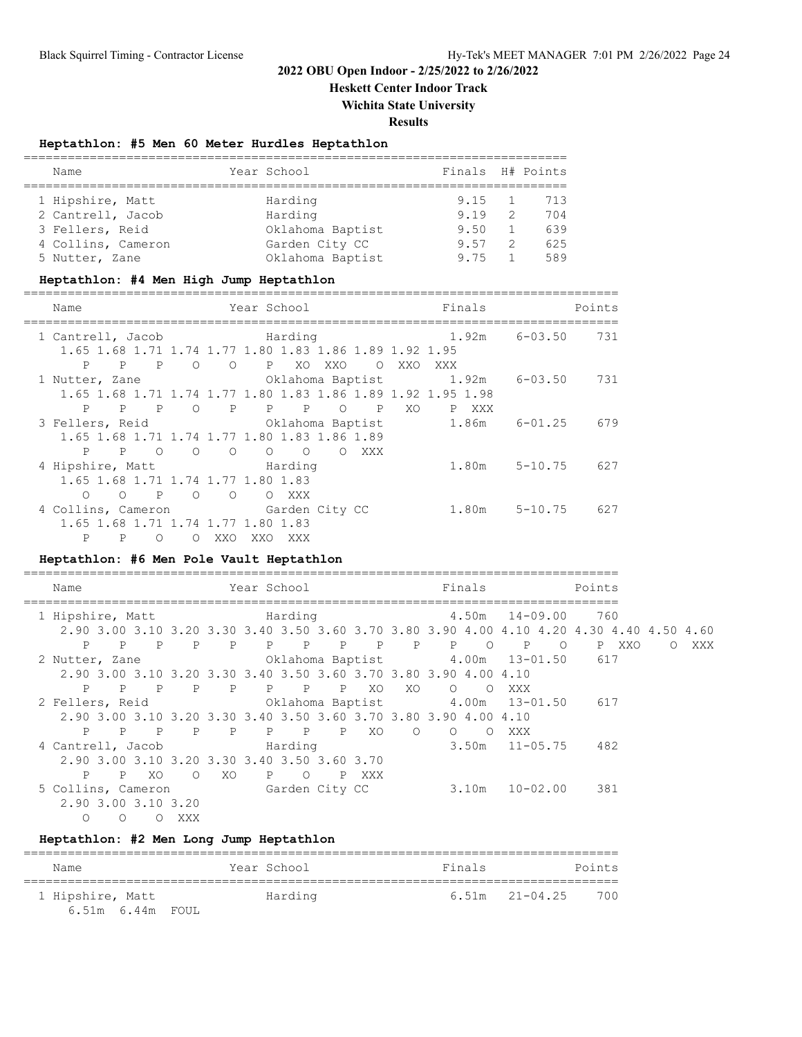**Heskett Center Indoor Track**

**Wichita State University**

**Results**

## **Heptathlon: #5 Men 60 Meter Hurdles Heptathlon**

| Name               |  | Year School      | Finals H# Points |                |     |  |  |
|--------------------|--|------------------|------------------|----------------|-----|--|--|
|                    |  |                  |                  |                |     |  |  |
| 1 Hipshire, Matt   |  | Harding          | $9.15 \quad 1$   |                | 713 |  |  |
| 2 Cantrell, Jacob  |  | Harding          | 9.19             | $\overline{2}$ | 704 |  |  |
| 3 Fellers, Reid    |  | Oklahoma Baptist | 9.50             |                | 639 |  |  |
| 4 Collins, Cameron |  | Garden City CC   | 9.57             | $\overline{2}$ | 625 |  |  |
| 5 Nutter, Zane     |  | Oklahoma Baptist | 9.75             |                | 589 |  |  |

#### **Heptathlon: #4 Men High Jump Heptathlon**

| Name                                         | Year School                                                    | Finals               | Points |
|----------------------------------------------|----------------------------------------------------------------|----------------------|--------|
| 1 Cantrell, Jacob                            | Marding                                                        | 1.92m<br>6-03.50     | 731    |
|                                              | 1.65 1.68 1.71 1.74 1.77 1.80 1.83 1.86 1.89 1.92 1.95         |                      |        |
| P<br>P<br>P                                  | P XO<br>$\circ$<br>$\circ$<br>XXO<br>$\circ$                   | XXO<br>XXX           |        |
| 1 Nutter, Zane                               | Oklahoma Baptist 1.92m                                         | 6-03.50              | 731    |
|                                              | 1.65 1.68 1.71 1.74 1.77 1.80 1.83 1.86 1.89 1.92 1.95 1.98    |                      |        |
| $\mathbf{P}$<br>$\mathbb{P}$<br>$\mathbf{P}$ | $\mathbb{P}$<br>$P$ $P$<br>$\circ$<br>$\mathbb{P}$<br>$\circ$  | XO.<br>P XXX         |        |
| 3 Fellers, Reid                              | Oklahoma Baptist                                               | 1.86m<br>$6 - 01.25$ | 679    |
|                                              | 1.65 1.68 1.71 1.74 1.77 1.80 1.83 1.86 1.89                   |                      |        |
| P<br>P<br>$\bigcirc$                         | $\circ$<br>$\Omega$<br>$\circ$<br>$\circ$<br>$\bigcirc$<br>XXX |                      |        |
|                                              | 4 Hipshire, Matt Marding                                       | $1.80m$ $5-10.75$    | 627    |
|                                              | 1.65 1.68 1.71 1.74 1.77 1.80 1.83                             |                      |        |
| $\mathbb{P}$<br>$\circ$<br>$\circ$           | $\circ$<br>$\Omega$<br>O XXX                                   |                      |        |
|                                              | 4 Collins, Cameron Garden City CC                              | 1.80m<br>$5 - 10.75$ | 627    |
|                                              | 1.65 1.68 1.71 1.74 1.77 1.80 1.83                             |                      |        |
| P<br>P<br>∩                                  | XXO<br>XXO.<br>XXX<br>∩                                        |                      |        |

=================================================================================

#### **Heptathlon: #6 Men Pole Vault Heptathlon**

| Name                                    | Year School                                                                               | Finals                           | Points                              |                 |
|-----------------------------------------|-------------------------------------------------------------------------------------------|----------------------------------|-------------------------------------|-----------------|
| 1 Hipshire, Matt                        | Marding                                                                                   |                                  | 4.50m 14-09.00<br>760               |                 |
|                                         | 2.90 3.00 3.10 3.20 3.30 3.40 3.50 3.60 3.70 3.80 3.90 4.00 4.10 4.20 4.30 4.40 4.50 4.60 |                                  |                                     |                 |
| P P<br>P                                | P P P P P P P P                                                                           | $P$ 0                            | $\mathbb{P}$<br>$\circ$<br>P XXO    | XXX<br>$\Omega$ |
| 2 Nutter, Zane                          |                                                                                           | Oklahoma Baptist 4.00m 13-01.50  | 617                                 |                 |
|                                         | 2.90 3.00 3.10 3.20 3.30 3.40 3.50 3.60 3.70 3.80 3.90 4.00 4.10                          |                                  |                                     |                 |
| $\mathbb{P}$<br>P                       | P P P P P                                                                                 | XO.<br>XO.<br>$\circ$<br>$\circ$ | XXX                                 |                 |
| 2 Fellers, Reid                         |                                                                                           |                                  | Oklahoma Baptist 4.00m 13-01.50 617 |                 |
|                                         | 2.90 3.00 3.10 3.20 3.30 3.40 3.50 3.60 3.70 3.80 3.90 4.00 4.10                          |                                  |                                     |                 |
|                                         | P P P P P P P P XO                                                                        | $\circ$<br>$\circ$<br>$\circ$    | XXX                                 |                 |
| 4 Cantrell, Jacob                       | Harding                                                                                   |                                  | $3.50m$ $11-05.75$<br>482           |                 |
|                                         | 2.90 3.00 3.10 3.20 3.30 3.40 3.50 3.60 3.70                                              |                                  |                                     |                 |
| $\mathbf{P}$<br>XO.<br>$\mathbb{P}$     | XO.<br>P O<br>$\circ$<br>P XXX                                                            |                                  |                                     |                 |
| 5 Collins, Cameron                      | Garden City CC                                                                            | 3.10m                            | 10-02.00<br>381                     |                 |
| 2.90 3.00 3.10 3.20                     |                                                                                           |                                  |                                     |                 |
| XXX<br>$\Omega$<br>$\Omega$<br>$\Omega$ |                                                                                           |                                  |                                     |                 |

#### **Heptathlon: #2 Men Long Jump Heptathlon**

| Name                   | Year School | Finals | Points                    |
|------------------------|-------------|--------|---------------------------|
| 1 Hipshire, Matt       | Harding     |        | 700<br>$6.51m$ $21-04.25$ |
| $6.51m$ $6.44m$ $FOUL$ |             |        |                           |